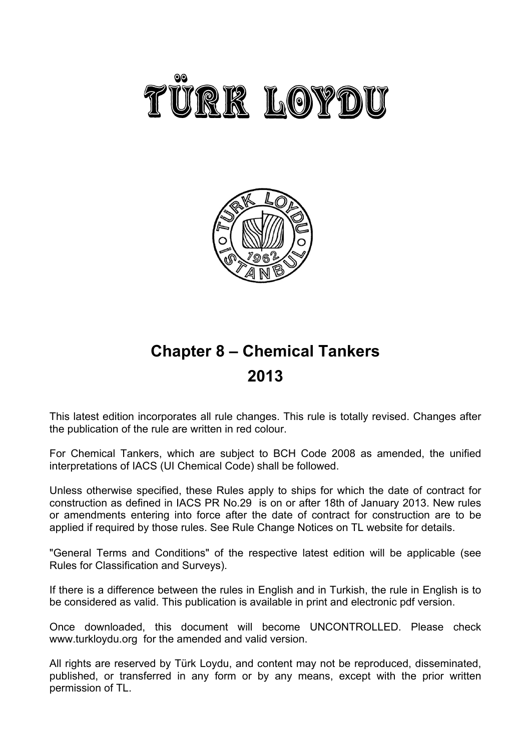



# **Chapter 8 – Chemical Tankers 2013**

This latest edition incorporates all rule changes. This rule is totally revised. Changes after the publication of the rule are written in red colour.

For Chemical Tankers, which are subject to BCH Code 2008 as amended, the unified interpretations of IACS (UI Chemical Code) shall be followed.

Unless otherwise specified, these Rules apply to ships for which the date of contract for construction as defined in IACS PR No.29 is on or after 18th of January 2013. New rules or amendments entering into force after the date of contract for construction are to be applied if required by those rules. See Rule Change Notices on TL website for details.

"General Terms and Conditions" of the respective latest edition will be applicable (see Rules for Classification and Surveys).

If there is a difference between the rules in English and in Turkish, the rule in English is to be considered as valid. This publication is available in print and electronic pdf version.

Once downloaded, this document will become UNCONTROLLED. Please check www.turkloydu.org for the amended and valid version.

All rights are reserved by Türk Loydu, and content may not be reproduced, disseminated, published, or transferred in any form or by any means, except with the prior written permission of TL.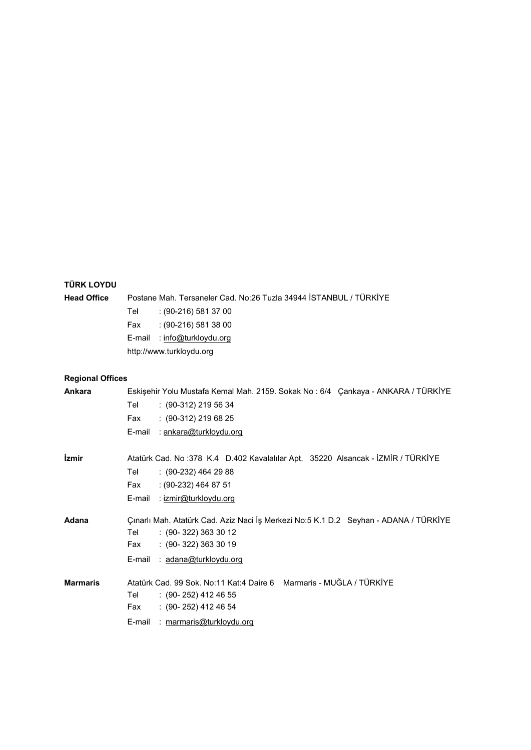# **TÜRK LOYDU**

| TURK LOYDU                 |                                                                                      |
|----------------------------|--------------------------------------------------------------------------------------|
| <b>Head Office</b>         | Postane Mah. Tersaneler Cad. No:26 Tuzla 34944 STANBUL / TÜRKİYE                     |
|                            | : (90-216) 581 37 00<br>Tel                                                          |
|                            | $(90-216)$ 581 38 00<br>Fax                                                          |
|                            | E-mail<br>: info@turkloydu.org                                                       |
|                            | http://www.turkloydu.org                                                             |
| <b>Regional Offices</b>    |                                                                                      |
| Ankara                     | Eskişehir Yolu Mustafa Kemal Mah. 2159. Sokak No: 6/4 Çankaya - ANKARA / TÜRKİYE     |
|                            | Tel<br>$: (90-312)$ 219 56 34                                                        |
|                            | Fax<br>$: (90-312) 219 68 25$                                                        |
|                            | E-mail<br>: <u>ankara@turkloydu.org</u>                                              |
| <i><u><b>izmir</b></u></i> | Atatürk Cad. No: 378 K.4 D.402 Kavalalılar Apt. 35220 Alsancak - İZMİR / TÜRKİYE     |
|                            | Tel<br>$: (90-232)$ 464 29 88                                                        |
|                            | Fax<br>$(90-232)$ 464 87 51                                                          |
|                            | E-mail<br>: izmir@turkloydu.org                                                      |
| Adana                      | Çınarlı Mah. Atatürk Cad. Aziz Naci İş Merkezi No:5 K.1 D.2 Seyhan - ADANA / TÜRKİYE |
|                            | Tel<br>$: (90 - 322) 363 30 12$                                                      |
|                            | $: (90-322) 363 30 19$<br>Fax                                                        |
|                            | : adana@turkloydu.org<br>E-mail                                                      |
| <b>Marmaris</b>            | Atatürk Cad. 99 Sok. No:11 Kat:4 Daire 6 Marmaris - MUĞLA / TÜRKİYE                  |
|                            | Tel<br>$(90-252)$ 412 46 55                                                          |
|                            | $(90-252)$ 412 46 54<br>Fax                                                          |

E-mail : marmaris@turkloydu.org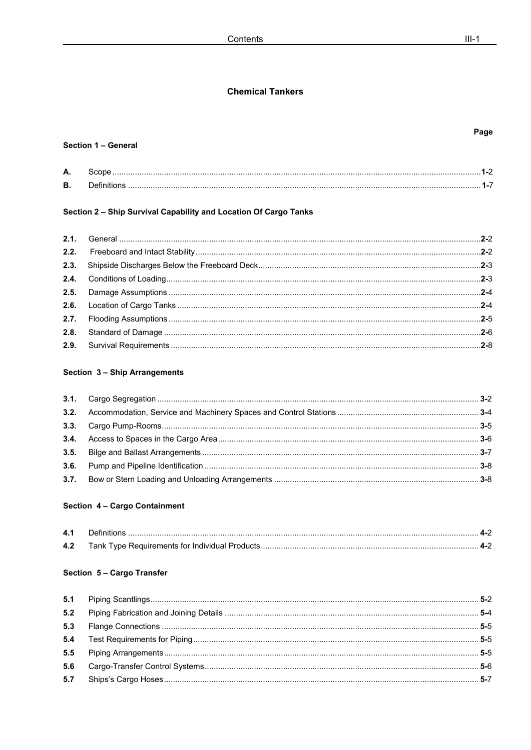## **Chemical Tankers**

## Section 1 - General

| А. |  |
|----|--|
| В. |  |

## Section 2 - Ship Survival Capability and Location Of Cargo Tanks

## Section 3 - Ship Arrangements

## Section 4 - Cargo Containment

## Section 5 - Cargo Transfer

## Page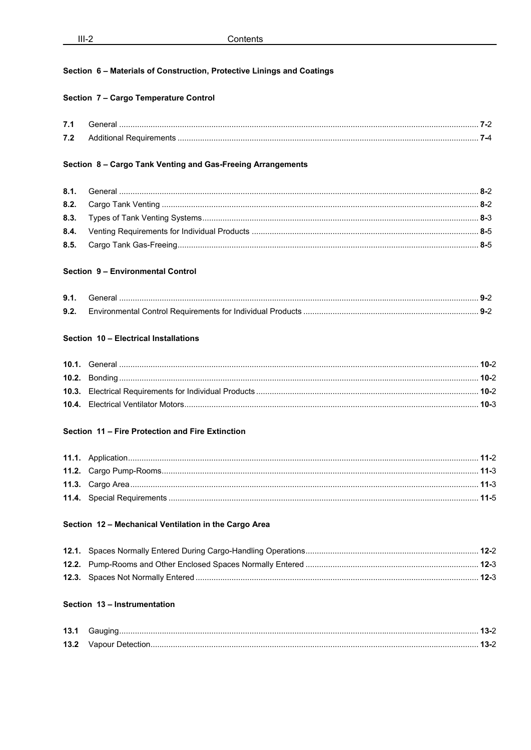## Section 6 - Materials of Construction, Protective Linings and Coatings

## Section 7 - Cargo Temperature Control

| 7.1    | ___    |  |
|--------|--------|--|
| 72<br> | .<br>. |  |

#### Section 8 - Cargo Tank Venting and Gas-Freeing Arrangements

#### Section 9 - Environmental Control

| 9.1. |  |
|------|--|
| 9.2. |  |

#### Section 10 - Electrical Installations

## Section 11 - Fire Protection and Fire Extinction

#### Section 12 - Mechanical Ventilation in the Cargo Area

## Section 13 - Instrumentation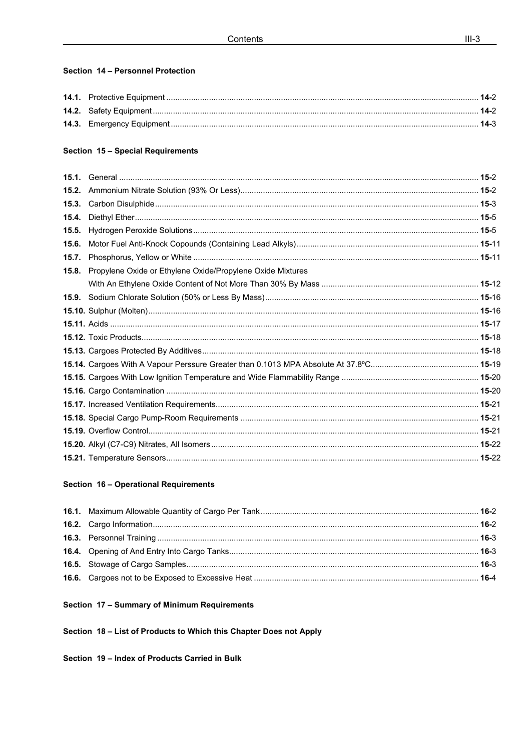## Section 14 - Personnel Protection

## Section 15 - Special Requirements

| 15.3. |                                                                  |  |
|-------|------------------------------------------------------------------|--|
| 15.4. |                                                                  |  |
| 15.5. |                                                                  |  |
| 15.6. |                                                                  |  |
| 15.7. |                                                                  |  |
|       | 15.8. Propylene Oxide or Ethylene Oxide/Propylene Oxide Mixtures |  |
|       |                                                                  |  |
|       |                                                                  |  |
|       |                                                                  |  |
|       |                                                                  |  |
|       |                                                                  |  |
|       |                                                                  |  |
|       |                                                                  |  |
|       |                                                                  |  |
|       |                                                                  |  |
|       |                                                                  |  |
|       |                                                                  |  |
|       |                                                                  |  |
|       |                                                                  |  |
|       |                                                                  |  |
|       |                                                                  |  |

## Section 16 - Operational Requirements

## Section 17 - Summary of Minimum Requirements

Section 18 - List of Products to Which this Chapter Does not Apply

Section 19 - Index of Products Carried in Bulk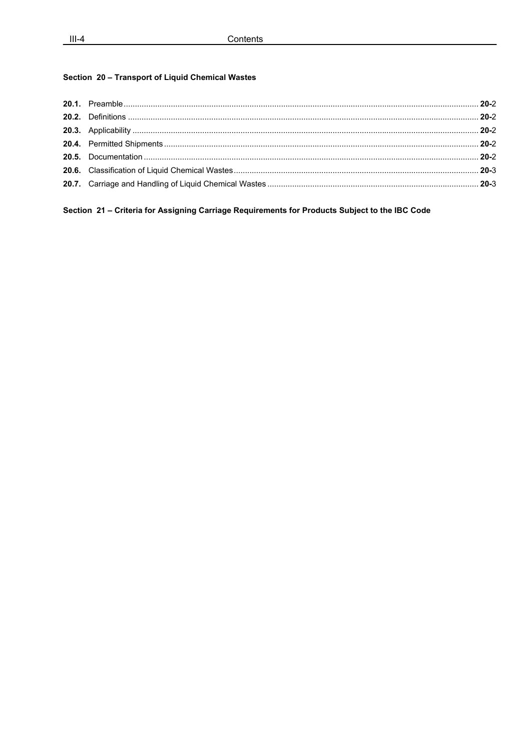## Section 20 - Transport of Liquid Chemical Wastes

Section 21 - Criteria for Assigning Carriage Requirements for Products Subject to the IBC Code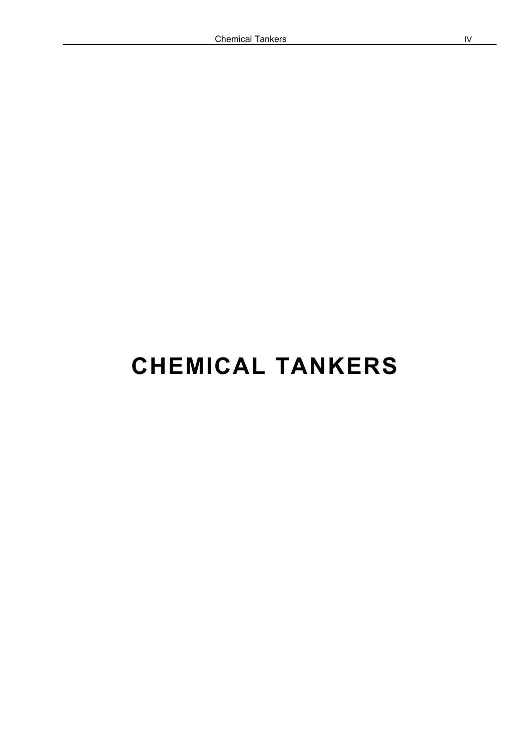# **CHEMICAL TANKERS**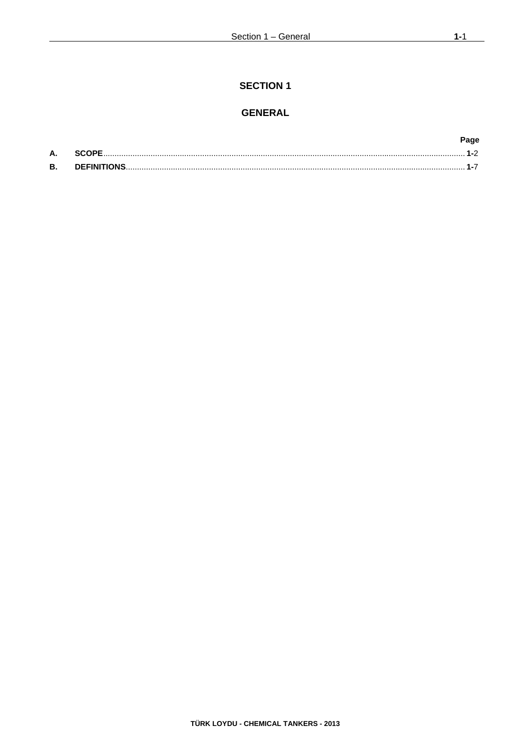## **SECTION 1**

## **GENERAL**

|           |       | Page |
|-----------|-------|------|
| А.        | SCOPF |      |
| <b>B.</b> |       |      |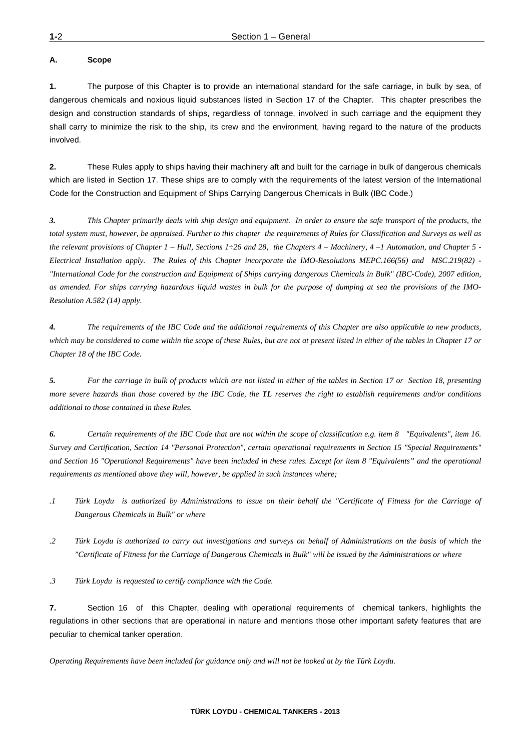#### **A. Scope**

**1.** The purpose of this Chapter is to provide an international standard for the safe carriage, in bulk by sea, of dangerous chemicals and noxious liquid substances listed in Section 17 of the Chapter. This chapter prescribes the design and construction standards of ships, regardless of tonnage, involved in such carriage and the equipment they shall carry to minimize the risk to the ship, its crew and the environment, having regard to the nature of the products involved.

**2.** These Rules apply to ships having their machinery aft and built for the carriage in bulk of dangerous chemicals which are listed in Section 17. These ships are to comply with the requirements of the latest version of the International Code for the Construction and Equipment of Ships Carrying Dangerous Chemicals in Bulk (IBC Code.)

*3. This Chapter primarily deals with ship design and equipment. In order to ensure the safe transport of the products, the total system must, however, be appraised. Further to this chapter the requirements of Rules for Classification and Surveys as well as the relevant provisions of Chapter 1 – Hull, Sections 1÷26 and 28, the Chapters 4 – Machinery, 4 –1 Automation, and Chapter 5 - Electrical Installation apply. The Rules of this Chapter incorporate the IMO-Resolutions MEPC.166(56) and MSC.219(82) - "International Code for the construction and Equipment of Ships carrying dangerous Chemicals in Bulk" (IBC-Code), 2007 edition, as amended. For ships carrying hazardous liquid wastes in bulk for the purpose of dumping at sea the provisions of the IMO-Resolution A.582 (14) apply.* 

*4. The requirements of the IBC Code and the additional requirements of this Chapter are also applicable to new products, which may be considered to come within the scope of these Rules, but are not at present listed in either of the tables in Chapter 17 or Chapter 18 of the IBC Code.*

*5. For the carriage in bulk of products which are not listed in either of the tables in Section 17 or Section 18, presenting more severe hazards than those covered by the IBC Code, the TL reserves the right to establish requirements and/or conditions additional to those contained in these Rules.*

*6. Certain requirements of the IBC Code that are not within the scope of classification e.g. item 8 "Equivalents", item 16. Survey and Certification, Section 14 "Personal Protection", certain operational requirements in Section 15 "Special Requirements" and Section 16 "Operational Requirements" have been included in these rules. Except for item 8 "Equivalents" and the operational requirements as mentioned above they will, however, be applied in such instances where;* 

- *.1 Türk Loydu is authorized by Administrations to issue on their behalf the "Certificate of Fitness for the Carriage of Dangerous Chemicals in Bulk" or where*
- *.2 Türk Loydu is authorized to carry out investigations and surveys on behalf of Administrations on the basis of which the "Certificate of Fitness for the Carriage of Dangerous Chemicals in Bulk" will be issued by the Administrations or where*

*.3 Türk Loydu is requested to certify compliance with the Code.* 

**7.** Section 16 of this Chapter, dealing with operational requirements of chemical tankers, highlights the regulations in other sections that are operational in nature and mentions those other important safety features that are peculiar to chemical tanker operation.

*Operating Requirements have been included for guidance only and will not be looked at by the Türk Loydu.*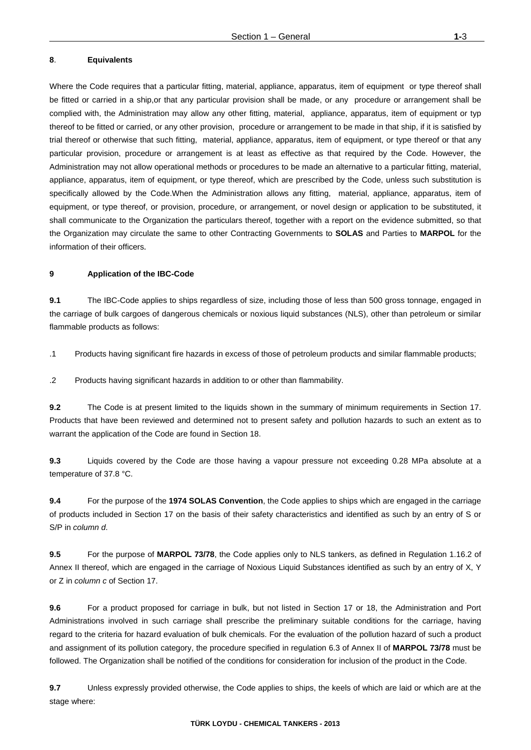#### **8**. **Equivalents**

Where the Code requires that a particular fitting, material, appliance, apparatus, item of equipment or type thereof shall be fitted or carried in a ship,or that any particular provision shall be made, or any procedure or arrangement shall be complied with, the Administration may allow any other fitting, material, appliance, apparatus, item of equipment or typ thereof to be fitted or carried, or any other provision, procedure or arrangement to be made in that ship, if it is satisfied by trial thereof or otherwise that such fitting, material, appliance, apparatus, item of equipment, or type thereof or that any particular provision, procedure or arrangement is at least as effective as that required by the Code. However, the Administration may not allow operational methods or procedures to be made an alternative to a particular fitting, material, appliance, apparatus, item of equipment, or type thereof, which are prescribed by the Code, unless such substitution is specifically allowed by the Code.When the Administration allows any fitting, material, appliance, apparatus, item of equipment, or type thereof, or provision, procedure, or arrangement, or novel design or application to be substituted, it shall communicate to the Organization the particulars thereof, together with a report on the evidence submitted, so that the Organization may circulate the same to other Contracting Governments to **SOLAS** and Parties to **MARPOL** for the information of their officers.

#### **9 Application of the IBC-Code**

**9.1** The IBC-Code applies to ships regardless of size, including those of less than 500 gross tonnage, engaged in the carriage of bulk cargoes of dangerous chemicals or noxious liquid substances (NLS), other than petroleum or similar flammable products as follows:

.1Products having significant fire hazards in excess of those of petroleum products and similar flammable products;

.2Products having significant hazards in addition to or other than flammability.

**9.2** The Code is at present limited to the liquids shown in the summary of minimum requirements in Section 17. Products that have been reviewed and determined not to present safety and pollution hazards to such an extent as to warrant the application of the Code are found in Section 18.

**9.3** Liquids covered by the Code are those having a vapour pressure not exceeding 0.28 MPa absolute at a temperature of 37.8 °C.

**9.4** For the purpose of the **1974 SOLAS Convention**, the Code applies to ships which are engaged in the carriage of products included in Section 17 on the basis of their safety characteristics and identified as such by an entry of S or S/P in *column d*.

**9.5** For the purpose of **MARPOL 73/78**, the Code applies only to NLS tankers, as defined in Regulation 1.16.2 of Annex II thereof, which are engaged in the carriage of Noxious Liquid Substances identified as such by an entry of X, Y or Z in *column c* of Section 17.

**9.6** For a product proposed for carriage in bulk, but not listed in Section 17 or 18, the Administration and Port Administrations involved in such carriage shall prescribe the preliminary suitable conditions for the carriage, having regard to the criteria for hazard evaluation of bulk chemicals. For the evaluation of the pollution hazard of such a product and assignment of its pollution category, the procedure specified in regulation 6.3 of Annex II of **MARPOL 73/78** must be followed. The Organization shall be notified of the conditions for consideration for inclusion of the product in the Code.

**9.7** Unless expressly provided otherwise, the Code applies to ships, the keels of which are laid or which are at the stage where: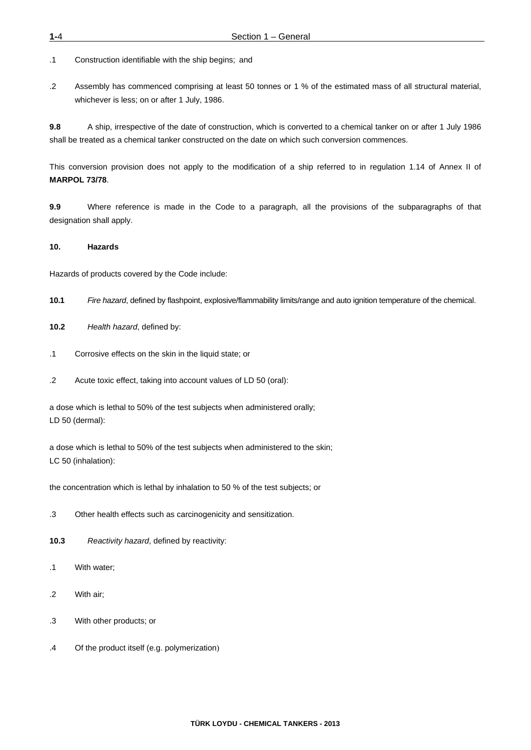.1Construction identifiable with the ship begins; and

.2Assembly has commenced comprising at least 50 tonnes or 1 % of the estimated mass of all structural material, whichever is less; on or after 1 July, 1986.

**9.8** A ship, irrespective of the date of construction, which is converted to a chemical tanker on or after 1 July 1986 shall be treated as a chemical tanker constructed on the date on which such conversion commences.

This conversion provision does not apply to the modification of a ship referred to in regulation 1.14 of Annex II of **MARPOL 73/78**.

**9.9** Where reference is made in the Code to a paragraph, all the provisions of the subparagraphs of that designation shall apply.

#### **10. Hazards**

Hazards of products covered by the Code include:

- **10.1** *Fire hazard*, defined by flashpoint, explosive/flammability limits/range and auto ignition temperature of the chemical.
- **10.2** *Health hazard*, defined by:
- .1Corrosive effects on the skin in the liquid state; or
- .2Acute toxic effect, taking into account values of LD 50 (oral):

a dose which is lethal to 50% of the test subjects when administered orally; LD 50 (dermal):

a dose which is lethal to 50% of the test subjects when administered to the skin; LC 50 (inhalation):

the concentration which is lethal by inhalation to 50 % of the test subjects; or

- .3 Other health effects such as carcinogenicity and sensitization.
- **10.3** *Reactivity hazard*, defined by reactivity:
- .1With water;
- .2 With air;
- .3With other products; or
- .4Of the product itself (e.g. polymerization)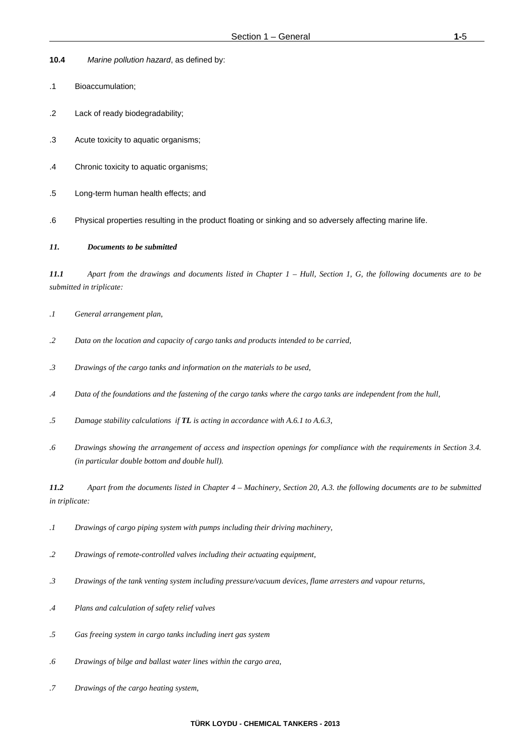- **10.4** *Marine pollution hazard*, as defined by:
- .1Bioaccumulation;
- .2Lack of ready biodegradability;
- .3Acute toxicity to aquatic organisms;
- .4Chronic toxicity to aquatic organisms;
- .5Long-term human health effects; and
- .6Physical properties resulting in the product floating or sinking and so adversely affecting marine life.

#### *11. Documents to be submitted*

*11.1 Apart from the drawings and documents listed in Chapter 1 – Hull, Section 1, G, the following documents are to be submitted in triplicate:* 

- *.1 General arrangement plan,*
- *.2 Data on the location and capacity of cargo tanks and products intended to be carried,*
- *.3 Drawings of the cargo tanks and information on the materials to be used,*
- *.4 Data of the foundations and the fastening of the cargo tanks where the cargo tanks are independent from the hull,*
- *.5 Damage stability calculations if TL is acting in accordance with A.6.1 to A.6.3,*
- *.6 Drawings showing the arrangement of access and inspection openings for compliance with the requirements in Section 3.4. (in particular double bottom and double hull).*

*11.2 Apart from the documents listed in Chapter 4 – Machinery, Section 20, A.3. the following documents are to be submitted in triplicate:* 

- *.1 Drawings of cargo piping system with pumps including their driving machinery,*
- *.2 Drawings of remote-controlled valves including their actuating equipment,*
- *.3 Drawings of the tank venting system including pressure/vacuum devices, flame arresters and vapour returns,*
- *.4 Plans and calculation of safety relief valves*
- *.5 Gas freeing system in cargo tanks including inert gas system*
- *.6 Drawings of bilge and ballast water lines within the cargo area,*
- *.7 Drawings of the cargo heating system,*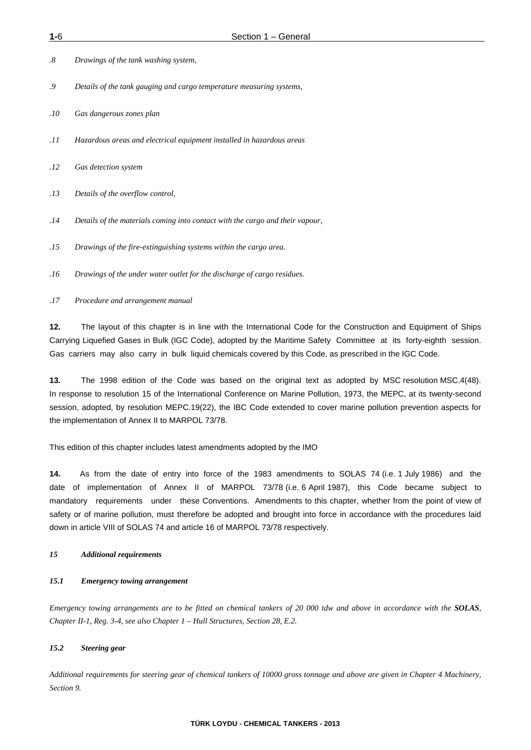- *.8 Drawings of the tank washing system,*
- *.9 Details of the tank gauging and cargo temperature measuring systems,*
- *.10 Gas dangerous zones plan*
- *.11 Hazardous areas and electrical equipment installed in hazardous areas*
- *.12 Gas detection system*
- *.13 Details of the overflow control,*
- *.14 Details of the materials coming into contact with the cargo and their vapour,*
- *.15 Drawings of the fire-extinguishing systems within the cargo area.*
- *.16 Drawings of the under water outlet for the discharge of cargo residues.*
- *.17 Procedure and arrangement manual*

**12.** The layout of this chapter is in line with the International Code for the Construction and Equipment of Ships Carrying Liquefied Gases in Bulk (IGC Code), adopted by the Maritime Safety Committee at its forty-eighth session. Gas carriers may also carry in bulk liquid chemicals covered by this Code, as prescribed in the IGC Code.

**13.** The 1998 edition of the Code was based on the original text as adopted by MSC resolution MSC.4(48). In response to resolution 15 of the International Conference on Marine Pollution, 1973, the MEPC, at its twenty-second session, adopted, by resolution MEPC.19(22), the IBC Code extended to cover marine pollution prevention aspects for the implementation of Annex II to MARPOL 73/78.

This edition of this chapter includes latest amendments adopted by the IMO

**14.** As from the date of entry into force of the 1983 amendments to SOLAS 74 (i.e. 1 July 1986) and the date of implementation of Annex II of MARPOL 73/78 (i.e. 6 April 1987), this Code became subject to mandatory requirements under these Conventions. Amendments to this chapter, whether from the point of view of safety or of marine pollution, must therefore be adopted and brought into force in accordance with the procedures laid down in article VIII of SOLAS 74 and article 16 of MARPOL 73/78 respectively.

#### *15 Additional requirements*

#### *15.1 Emergency towing arrangement*

*Emergency towing arrangements are to be fitted on chemical tankers of 20 000 tdw and above in accordance with the SOLAS, Chapter II-1, Reg. 3-4, see also Chapter 1 – Hull Structures, Section 28, E.2.* 

#### *15.2 Steering gear*

*Additional requirements for steering gear of chemical tankers of 10000 gross tonnage and above are given in Chapter 4 Machinery, Section 9.*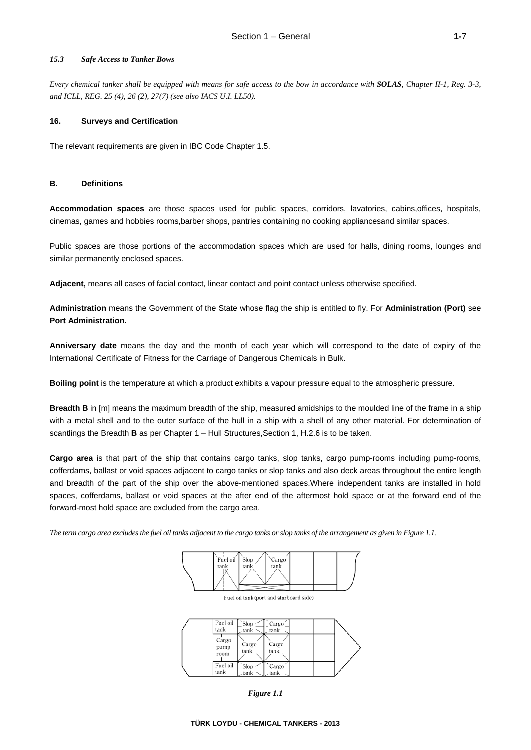#### *15.3 Safe Access to Tanker Bows*

*Every chemical tanker shall be equipped with means for safe access to the bow in accordance with SOLAS, Chapter II-1, Reg. 3-3, and ICLL, REG. 25 (4), 26 (2), 27(7) (see also IACS U.I. LL50).*

#### **16. Surveys and Certification**

The relevant requirements are given in IBC Code Chapter 1.5.

#### **B. Definitions**

**Accommodation spaces** are those spaces used for public spaces, corridors, lavatories, cabins,offices, hospitals, cinemas, games and hobbies rooms,barber shops, pantries containing no cooking appliancesand similar spaces.

Public spaces are those portions of the accommodation spaces which are used for halls, dining rooms, lounges and similar permanently enclosed spaces.

**Adjacent,** means all cases of facial contact, linear contact and point contact unless otherwise specified.

**Administration** means the Government of the State whose flag the ship is entitled to fly. For **Administration (Port)** see **Port Administration.** 

**Anniversary date** means the day and the month of each year which will correspond to the date of expiry of the International Certificate of Fitness for the Carriage of Dangerous Chemicals in Bulk.

**Boiling point** is the temperature at which a product exhibits a vapour pressure equal to the atmospheric pressure.

**Breadth B** in [m] means the maximum breadth of the ship, measured amidships to the moulded line of the frame in a ship with a metal shell and to the outer surface of the hull in a ship with a shell of any other material. For determination of scantlings the Breadth **B** as per Chapter 1 – Hull Structures,Section 1, H.2.6 is to be taken.

**Cargo area** is that part of the ship that contains cargo tanks, slop tanks, cargo pump-rooms including pump-rooms, cofferdams, ballast or void spaces adjacent to cargo tanks or slop tanks and also deck areas throughout the entire length and breadth of the part of the ship over the above-mentioned spaces.Where independent tanks are installed in hold spaces, cofferdams, ballast or void spaces at the after end of the aftermost hold space or at the forward end of the forward-most hold space are excluded from the cargo area.

*The term cargo area excludes the fuel oil tanks adjacent to the cargo tanks or slop tanks of the arrangement as given in Figure 1.1.* 



 $\mathbf{I}$ 

| Fuel oil<br>tank      | Slop<br>tank   | Cargo<br>tank |  |  |
|-----------------------|----------------|---------------|--|--|
| Cargo<br>pump<br>room | Cargo<br>tank  | Cargo<br>tank |  |  |
| Fuel oil<br>tank      | Slop<br>tank : | Cargo<br>tank |  |  |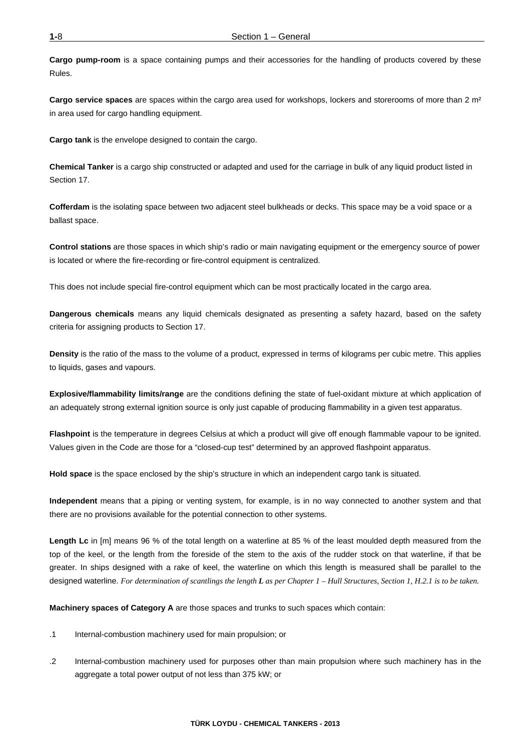**Cargo pump-room** is a space containing pumps and their accessories for the handling of products covered by these Rules.

**Cargo service spaces** are spaces within the cargo area used for workshops, lockers and storerooms of more than 2 m² in area used for cargo handling equipment.

**Cargo tank** is the envelope designed to contain the cargo.

**Chemical Tanker** is a cargo ship constructed or adapted and used for the carriage in bulk of any liquid product listed in Section 17.

**Cofferdam** is the isolating space between two adjacent steel bulkheads or decks. This space may be a void space or a ballast space.

**Control stations** are those spaces in which ship's radio or main navigating equipment or the emergency source of power is located or where the fire-recording or fire-control equipment is centralized.

This does not include special fire-control equipment which can be most practically located in the cargo area.

**Dangerous chemicals** means any liquid chemicals designated as presenting a safety hazard, based on the safety criteria for assigning products to Section 17.

**Density** is the ratio of the mass to the volume of a product, expressed in terms of kilograms per cubic metre. This applies to liquids, gases and vapours.

**Explosive/flammability limits/range** are the conditions defining the state of fuel-oxidant mixture at which application of an adequately strong external ignition source is only just capable of producing flammability in a given test apparatus.

**Flashpoint** is the temperature in degrees Celsius at which a product will give off enough flammable vapour to be ignited. Values given in the Code are those for a "closed-cup test" determined by an approved flashpoint apparatus.

**Hold space** is the space enclosed by the ship's structure in which an independent cargo tank is situated.

**Independent** means that a piping or venting system, for example, is in no way connected to another system and that there are no provisions available for the potential connection to other systems.

Length Lc in [m] means 96 % of the total length on a waterline at 85 % of the least moulded depth measured from the top of the keel, or the length from the foreside of the stem to the axis of the rudder stock on that waterline, if that be greater. In ships designed with a rake of keel, the waterline on which this length is measured shall be parallel to the designed waterline. *For determination of scantlings the length L as per Chapter 1 – Hull Structures, Section 1, H.2.1 is to be taken.*

**Machinery spaces of Category A** are those spaces and trunks to such spaces which contain:

- .1Internal-combustion machinery used for main propulsion; or
- .2Internal-combustion machinery used for purposes other than main propulsion where such machinery has in the aggregate a total power output of not less than 375 kW; or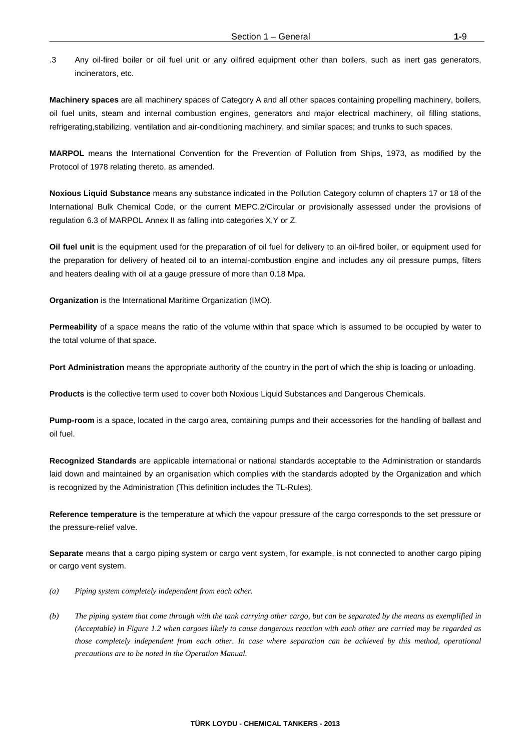.3 Any oil-fired boiler or oil fuel unit or any oilfired equipment other than boilers, such as inert gas generators, incinerators, etc.

**Machinery spaces** are all machinery spaces of Category A and all other spaces containing propelling machinery, boilers, oil fuel units, steam and internal combustion engines, generators and major electrical machinery, oil filling stations, refrigerating,stabilizing, ventilation and air-conditioning machinery, and similar spaces; and trunks to such spaces.

**MARPOL** means the International Convention for the Prevention of Pollution from Ships, 1973, as modified by the Protocol of 1978 relating thereto, as amended.

**Noxious Liquid Substance** means any substance indicated in the Pollution Category column of chapters 17 or 18 of the International Bulk Chemical Code, or the current MEPC.2/Circular or provisionally assessed under the provisions of regulation 6.3 of MARPOL Annex II as falling into categories X,Y or Z.

**Oil fuel unit** is the equipment used for the preparation of oil fuel for delivery to an oil-fired boiler, or equipment used for the preparation for delivery of heated oil to an internal-combustion engine and includes any oil pressure pumps, filters and heaters dealing with oil at a gauge pressure of more than 0.18 Mpa.

**Organization** is the International Maritime Organization (IMO).

**Permeability** of a space means the ratio of the volume within that space which is assumed to be occupied by water to the total volume of that space.

**Port Administration** means the appropriate authority of the country in the port of which the ship is loading or unloading.

**Products** is the collective term used to cover both Noxious Liquid Substances and Dangerous Chemicals.

**Pump-room** is a space, located in the cargo area, containing pumps and their accessories for the handling of ballast and oil fuel.

**Recognized Standards** are applicable international or national standards acceptable to the Administration or standards laid down and maintained by an organisation which complies with the standards adopted by the Organization and which is recognized by the Administration (This definition includes the TL-Rules).

**Reference temperature** is the temperature at which the vapour pressure of the cargo corresponds to the set pressure or the pressure-relief valve.

**Separate** means that a cargo piping system or cargo vent system, for example, is not connected to another cargo piping or cargo vent system.

- *(a) Piping system completely independent from each other.*
- *(b) The piping system that come through with the tank carrying other cargo, but can be separated by the means as exemplified in (Acceptable) in Figure 1.2 when cargoes likely to cause dangerous reaction with each other are carried may be regarded as those completely independent from each other. In case where separation can be achieved by this method, operational precautions are to be noted in the Operation Manual.*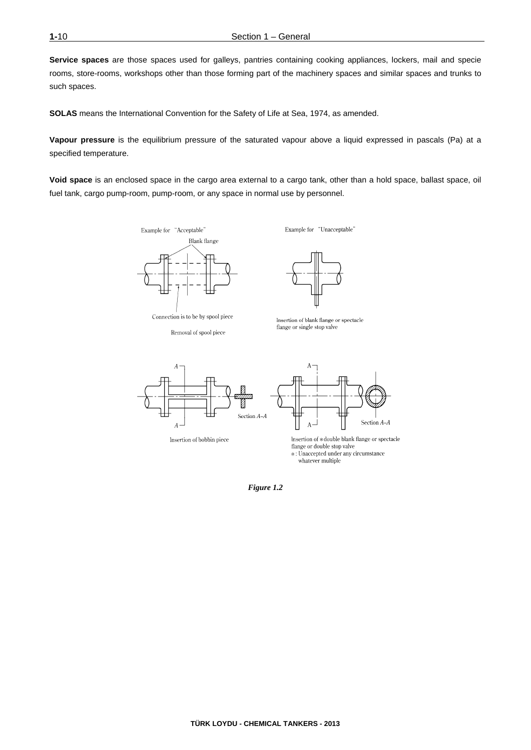**Service spaces** are those spaces used for galleys, pantries containing cooking appliances, lockers, mail and specie rooms, store-rooms, workshops other than those forming part of the machinery spaces and similar spaces and trunks to such spaces.

**SOLAS** means the International Convention for the Safety of Life at Sea, 1974, as amended.

**Vapour pressure** is the equilibrium pressure of the saturated vapour above a liquid expressed in pascals (Pa) at a specified temperature.

**Void space** is an enclosed space in the cargo area external to a cargo tank, other than a hold space, ballast space, oil fuel tank, cargo pump-room, pump-room, or any space in normal use by personnel.

Example for "Acceptable"



Connection is to be by spool piece

Removal of spool piece

Example for "Unacceptable"



Insertion of blank flange or spectacle flange or single stop valve



Insertion of bobbin piece



Insertion of \*double blank flange or spectacle flange or double stop valve \*: Unaccepted under any circumstance whatever multiple

*Figure 1.2*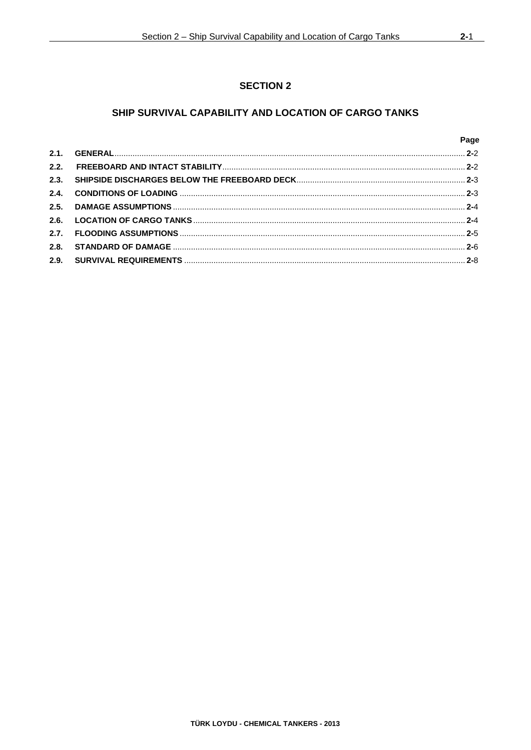## **SECTION 2**

## SHIP SURVIVAL CAPABILITY AND LOCATION OF CARGO TANKS

|      | Page |
|------|------|
| 2.1. |      |
| 2.2. |      |
| 2.3. |      |
| 2.4. |      |
|      |      |
| 2.6. |      |
| 2.7. |      |
| 2.8. |      |
|      |      |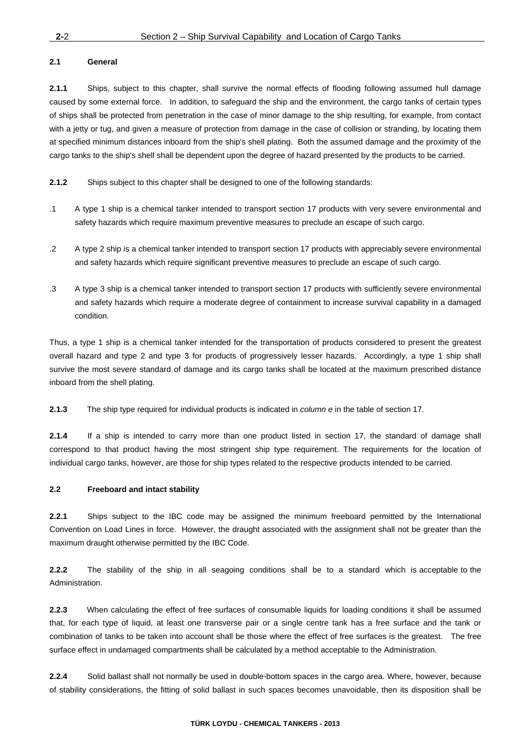#### **2.1 General**

**2.1.1** Ships, subject to this chapter, shall survive the normal effects of flooding following assumed hull damage caused by some external force. In addition, to safeguard the ship and the environment, the cargo tanks of certain types of ships shall be protected from penetration in the case of minor damage to the ship resulting, for example, from contact with a jetty or tug, and given a measure of protection from damage in the case of collision or stranding, by locating them at specified minimum distances inboard from the ship's shell plating. Both the assumed damage and the proximity of the cargo tanks to the ship's shell shall be dependent upon the degree of hazard presented by the products to be carried.

**2.1.2** Ships subject to this chapter shall be designed to one of the following standards:

- .1 A type 1 ship is a chemical tanker intended to transport section 17 products with very severe environmental and safety hazards which require maximum preventive measures to preclude an escape of such cargo.
- .2 A type 2 ship is a chemical tanker intended to transport section 17 products with appreciably severe environmental and safety hazards which require significant preventive measures to preclude an escape of such cargo.
- .3 A type 3 ship is a chemical tanker intended to transport section 17 products with sufficiently severe environmental and safety hazards which require a moderate degree of containment to increase survival capability in a damaged condition.

Thus, a type 1 ship is a chemical tanker intended for the transportation of products considered to present the greatest overall hazard and type 2 and type 3 for products of progressively lesser hazards. Accordingly, a type 1 ship shall survive the most severe standard of damage and its cargo tanks shall be located at the maximum prescribed distance inboard from the shell plating.

**2.1.3** The ship type required for individual products is indicated in *column e* in the table of section 17.

**2.1.4** If a ship is intended to carry more than one product listed in section 17, the standard of damage shall correspond to that product having the most stringent ship type requirement. The requirements for the location of individual cargo tanks, however, are those for ship types related to the respective products intended to be carried.

#### **2.2 Freeboard and intact stability**

**2.2.1** Ships subject to the IBC code may be assigned the minimum freeboard permitted by the International Convention on Load Lines in force. However, the draught associated with the assignment shall not be greater than the maximum draught otherwise permitted by the IBC Code.

**2.2.2** The stability of the ship in all seagoing conditions shall be to a standard which is acceptable to the Administration.

**2.2.3** When calculating the effect of free surfaces of consumable liquids for loading conditions it shall be assumed that, for each type of liquid, at least one transverse pair or a single centre tank has a free surface and the tank or combination of tanks to be taken into account shall be those where the effect of free surfaces is the greatest. The free surface effect in undamaged compartments shall be calculated by a method acceptable to the Administration.

**2.2.4** Solid ballast shall not normally be used in double-bottom spaces in the cargo area. Where, however, because of stability considerations, the fitting of solid ballast in such spaces becomes unavoidable, then its disposition shall be

#### **TÜRK LOYDU - CHEMICAL TANKERS - 2013**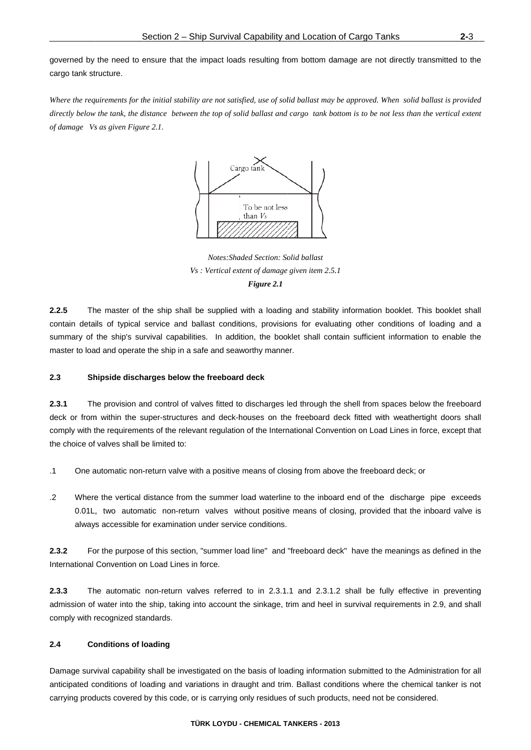governed by the need to ensure that the impact loads resulting from bottom damage are not directly transmitted to the cargo tank st ructure.

Where the requirements for the initial stability are not satisfied, use of solid ballast may be approved. When solid ballast is provided Where the requirements for the initial stability are not satisfied, use of solid ballast may be approved. When solid ballast is provided<br>directly below the tank, the distance between the top of solid ballast and cargo tank *of damage Vs as given Figure 2.1.* 



*Vs* : Vertical extent of damage given item 2.5.1  $Notes: Shaded Section: Solid ballast$ *Figure 2.1* 

 $2.2.5$ contain details of typical service and ballast conditions, provisions for evaluating other conditions of loading and a summary of the ship's survival capabilities. In addition, the booklet shall contain sufficient information to enable the master to load and operate the ship in a safe and seaworthy manner. he master of the ship shall be supplied with a loading and stability information booklet. This booklet shall e<br>d<br>all

#### **2.3 Sh** hipside discharges below the freeboard deck

 $2.3.1$ deck or from within the super-structures and deck-houses on the freeboard deck fitted with weathertight doors shal comply with the requirements of the relevant regulation of the International Convention on Load Lines in force, except that the choice of valves shall b be limited to: he provision and control of valves fitted to discharges led through the shell from spaces below the freeboard at<br>Is

- .1 One automatic non-return valve with a positive means of closing from above the freeboard deck; or
- .2 Where the vertical distance from the summer load waterline to the inboard end of the discharge pipe exceeds 0.01L, two automatic non-return valves without positive means of closing, provided that the inboard valve is always accessible for examination under service conditions.

 $2.3.2$ International Convention on Load Lines in force. or the purpose of this section, "summer load line" and "freeboard deck" have the meanings as defined in the

 $2.3.3$ admission of water into the ship, taking into account the sinkage, trim and heel in survival requirements in 2.9, and shal comply with recognized standards. he automatic non-return valves referred to in 2.3.1.1 and 2.3.1.2 shall be fully effective in preventing is<br>e<br>ll

#### **2.4 Co onditions of l oading**

Damage survival capability shall be investigated on the basis of loading information submitted to the Administration for all anticipated conditions of loading and variations in draught and trim. Ballast conditions where the chemical tanker is not carrying products covered by this code, or is carrying only residues of such products, need not be considered.

#### **T TÜRK LOYDU - - CHEMICAL T ANKERS - 201 3**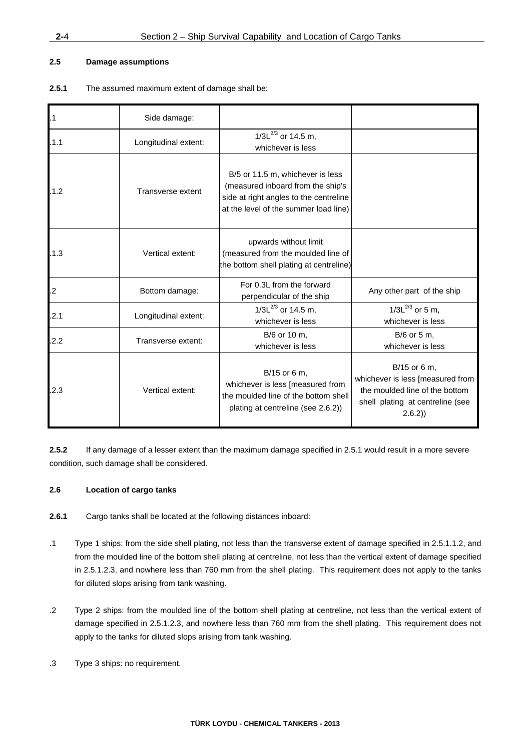#### **2.5 Damage assumptions**

**2.5.1** The assumed maximum extent of damage shall be:

| $\overline{.1}$ | Side damage:         |                                                                                                                                                          |                                                                                                                                  |
|-----------------|----------------------|----------------------------------------------------------------------------------------------------------------------------------------------------------|----------------------------------------------------------------------------------------------------------------------------------|
| .1.1            | Longitudinal extent: | $1/3L^{2/3}$ or 14.5 m,<br>whichever is less                                                                                                             |                                                                                                                                  |
| .1.2            | Transverse extent    | B/5 or 11.5 m, whichever is less<br>(measured inboard from the ship's<br>side at right angles to the centreline<br>at the level of the summer load line) |                                                                                                                                  |
| .1.3            | Vertical extent:     | upwards without limit<br>(measured from the moulded line of<br>the bottom shell plating at centreline)                                                   |                                                                                                                                  |
| .2              | Bottom damage:       | For 0.3L from the forward<br>perpendicular of the ship                                                                                                   | Any other part of the ship                                                                                                       |
| .2.1            | Longitudinal extent: | $1/3L^{2/3}$ or 14.5 m,<br>whichever is less                                                                                                             | $1/3L^{2/3}$ or 5 m,<br>whichever is less                                                                                        |
| .2.2            | Transverse extent:   | B/6 or 10 m,<br>whichever is less                                                                                                                        | B/6 or 5 m,<br>whichever is less                                                                                                 |
| .2.3            | Vertical extent:     | B/15 or 6 m,<br>whichever is less [measured from<br>the moulded line of the bottom shell<br>plating at centreline (see 2.6.2))                           | B/15 or 6 m,<br>whichever is less [measured from<br>the moulded line of the bottom<br>shell plating at centreline (see<br>2.6.2) |

**2.5.2** If any damage of a lesser extent than the maximum damage specified in 2.5.1 would result in a more severe condition, such damage shall be considered.

#### **2.6 Location of cargo tanks**

- **2.6.1** Cargo tanks shall be located at the following distances inboard:
- .1 Type 1 ships: from the side shell plating, not less than the transverse extent of damage specified in 2.5.1.1.2, and from the moulded line of the bottom shell plating at centreline, not less than the vertical extent of damage specified in 2.5.1.2.3, and nowhere less than 760 mm from the shell plating. This requirement does not apply to the tanks for diluted slops arising from tank washing.
- .2 Type 2 ships: from the moulded line of the bottom shell plating at centreline, not less than the vertical extent of damage specified in 2.5.1.2.3, and nowhere less than 760 mm from the shell plating. This requirement does not apply to the tanks for diluted slops arising from tank washing.
- .3 Type 3 ships: no requirement.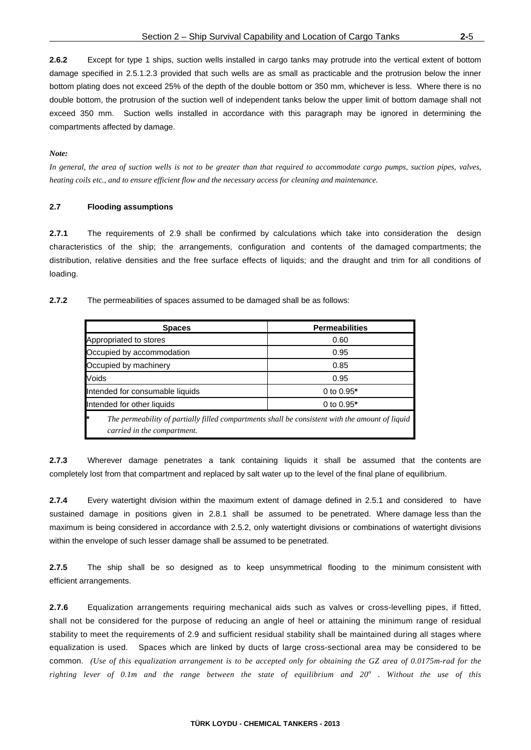**2.6.2** Except for type 1 ships, suction wells installed in cargo tanks may protrude into the vertical extent of bottom damage specified in 2.5.1.2.3 provided that such wells are as small as practicable and the protrusion below the inner bottom plating does not exceed 25% of the depth of the double bottom or 350 mm, whichever is less. Where there is no double bottom, the protrusion of the suction well of independent tanks below the upper limit of bottom damage shall not exceed 350 mm. Suction wells installed in accordance with this paragraph may be ignored in determining the compartments affected by damage.

#### *Note:*

*In general, the area of suction wells is not to be greater than that required to accommodate cargo pumps, suction pipes, valves, heating coils etc., and to ensure efficient flow and the necessary access for cleaning and maintenance.* 

#### **2.7 Flooding assumptions**

**2.7.1** The requirements of 2.9 shall be confirmed by calculations which take into consideration the design characteristics of the ship; the arrangements, configuration and contents of the damaged compartments; the distribution, relative densities and the free surface effects of liquids; and the draught and trim for all conditions of loading.

**2.7.2** The permeabilities of spaces assumed to be damaged shall be as follows:

| <b>Spaces</b>                                                                                                                        | <b>Permeabilities</b> |  |
|--------------------------------------------------------------------------------------------------------------------------------------|-----------------------|--|
| Appropriated to stores                                                                                                               | 0.60                  |  |
| Occupied by accommodation                                                                                                            | 0.95                  |  |
| Occupied by machinery                                                                                                                | 0.85                  |  |
| Voids                                                                                                                                | 0.95                  |  |
| Intended for consumable liquids                                                                                                      | 0 to $0.95*$          |  |
| Intended for other liquids                                                                                                           | 0 to $0.95*$          |  |
| ŀ×<br>The permeability of partially filled compartments shall be consistent with the amount of liquid<br>carried in the compartment. |                       |  |

**2.7.3** Wherever damage penetrates a tank containing liquids it shall be assumed that the contents are completely lost from that compartment and replaced by salt water up to the level of the final plane of equilibrium.

**2.7.4** Every watertight division within the maximum extent of damage defined in 2.5.1 and considered to have sustained damage in positions given in 2.8.1 shall be assumed to be penetrated. Where damage less than the maximum is being considered in accordance with 2.5.2, only watertight divisions or combinations of watertight divisions within the envelope of such lesser damage shall be assumed to be penetrated.

**2.7.5** The ship shall be so designed as to keep unsymmetrical flooding to the minimum consistent with efficient arrangements.

**2.7.6** Equalization arrangements requiring mechanical aids such as valves or cross-levelling pipes, if fitted, shall not be considered for the purpose of reducing an angle of heel or attaining the minimum range of residual stability to meet the requirements of 2.9 and sufficient residual stability shall be maintained during all stages where equalization is used. Spaces which are linked by ducts of large cross-sectional area may be considered to be common. *(Use of this equalization arrangement is to be accepted only for obtaining the GZ area of 0.0175m-rad for the righting lever of 0.1m and the range between the state of equilibrium and 20<sup>o</sup> . Without the use of this*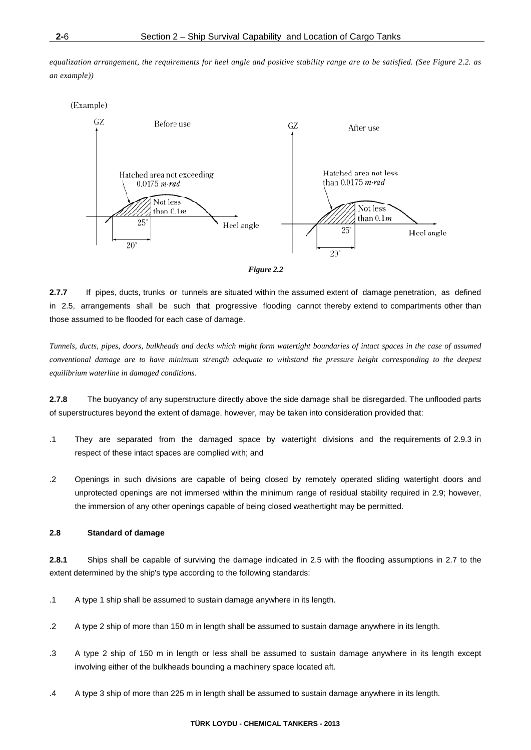*equalization arrangement, the requirements for heel angle and positive stability range are to be satisfied. (See Figure 2.2. as an example))* 





**2.7.7** If pipes, ducts, trunks or tunnels are situated within the assumed extent of damage penetration, as defined in 2.5, arrangements shall be such that progressive flooding cannot thereby extend to compartments other than those assumed to be flooded for each case of damage.

*Tunnels, ducts, pipes, doors, bulkheads and decks which might form watertight boundaries of intact spaces in the case of assumed conventional damage are to have minimum strength adequate to withstand the pressure height corresponding to the deepest equilibrium waterline in damaged conditions.* 

**2.7.8** The buoyancy of any superstructure directly above the side damage shall be disregarded. The unflooded parts of superstructures beyond the extent of damage, however, may be taken into consideration provided that:

- .1 They are separated from the damaged space by watertight divisions and the requirements of 2.9.3 in respect of these intact spaces are complied with; and
- .2 Openings in such divisions are capable of being closed by remotely operated sliding watertight doors and unprotected openings are not immersed within the minimum range of residual stability required in 2.9; however, the immersion of any other openings capable of being closed weathertight may be permitted.

#### **2.8 Standard of damage**

**2.8.1** Ships shall be capable of surviving the damage indicated in 2.5 with the flooding assumptions in 2.7 to the extent determined by the ship's type according to the following standards:

- .1 A type 1 ship shall be assumed to sustain damage anywhere in its length.
- .2 A type 2 ship of more than 150 m in length shall be assumed to sustain damage anywhere in its length.
- .3 A type 2 ship of 150 m in length or less shall be assumed to sustain damage anywhere in its length except involving either of the bulkheads bounding a machinery space located aft.
- .4 A type 3 ship of more than 225 m in length shall be assumed to sustain damage anywhere in its length.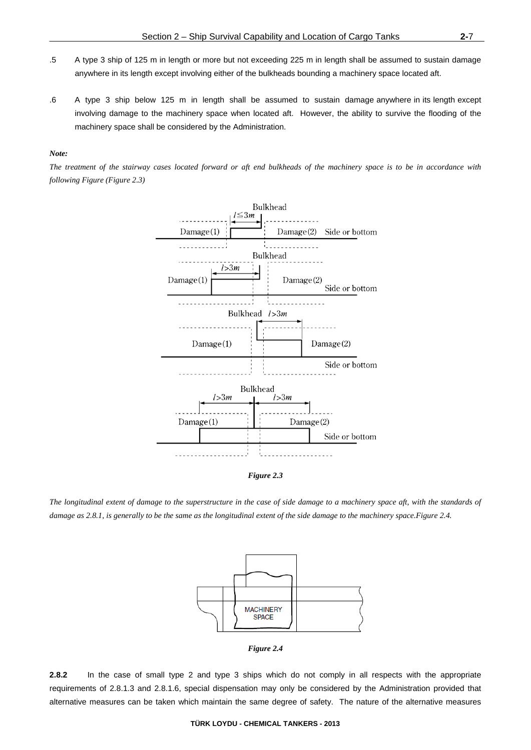- .5 A type 3 ship of 125 m in length or more but not exceeding 225 m in length shall be assumed to sustain damage anywhere in its length except involving either of the bulkheads bounding a machinery space located aft.
- .6 A type 3 ship below 125 m in length shall be assumed to sustain damage anywhere in its length except involving damage to the machinery space when located aft. However, the ability to survive the flooding of the machinery space shall be considered by the Administration.

#### *Note:*

*The treatment of the stairway cases located forward or aft end bulkheads of the machinery space is to be in accordance with following Figure (Figure 2.3)* 



*The longitudinal extent of damage to the superstructure in the case of side damage to a machinery space aft, with the standards of damage as 2.8.1, is generally to be the same as the longitudinal extent of the side damage to the machinery space.Figure 2.4.* 



*Figure 2.4* 

**2.8.2** In the case of small type 2 and type 3 ships which do not comply in all respects with the appropriate requirements of 2.8.1.3 and 2.8.1.6, special dispensation may only be considered by the Administration provided that alternative measures can be taken which maintain the same degree of safety. The nature of the alternative measures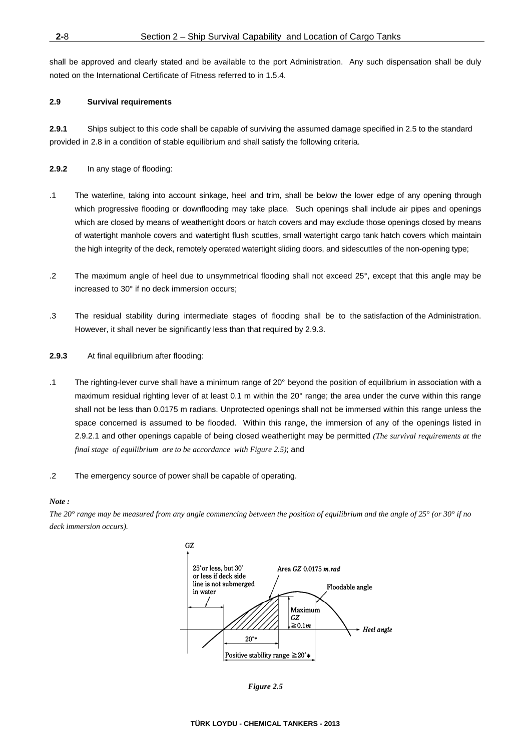shall be approved and clearly stated and be available to the port Administration. Any such dispensation shall be duly noted on the International Certificate of Fitness referred to in 1.5.4.

#### **2.9 Survival requirements**

**2.9.1** Ships subject to this code shall be capable of surviving the assumed damage specified in 2.5 to the standard provided in 2.8 in a condition of stable equilibrium and shall satisfy the following criteria.

**2.9.2** In any stage of flooding:

- .1 The waterline, taking into account sinkage, heel and trim, shall be below the lower edge of any opening through which progressive flooding or downflooding may take place. Such openings shall include air pipes and openings which are closed by means of weathertight doors or hatch covers and may exclude those openings closed by means of watertight manhole covers and watertight flush scuttles, small watertight cargo tank hatch covers which maintain the high integrity of the deck, remotely operated watertight sliding doors, and sidescuttles of the non-opening type;
- .2 The maximum angle of heel due to unsymmetrical flooding shall not exceed 25°, except that this angle may be increased to 30° if no deck immersion occurs;
- .3 The residual stability during intermediate stages of flooding shall be to the satisfaction of the Administration. However, it shall never be significantly less than that required by 2.9.3.
- **2.9.3** At final equilibrium after flooding:
- .1 The righting-lever curve shall have a minimum range of 20° beyond the position of equilibrium in association with a maximum residual righting lever of at least 0.1 m within the 20° range; the area under the curve within this range shall not be less than 0.0175 m radians. Unprotected openings shall not be immersed within this range unless the space concerned is assumed to be flooded. Within this range, the immersion of any of the openings listed in 2.9.2.1 and other openings capable of being closed weathertight may be permitted *(The survival requirements at the final stage of equilibrium are to be accordance with Figure 2.5)*; and
- .2 The emergency source of power shall be capable of operating.

#### *Note :*

*The 20° range may be measured from any angle commencing between the position of equilibrium and the angle of 25° (or 30° if no deck immersion occurs).* 



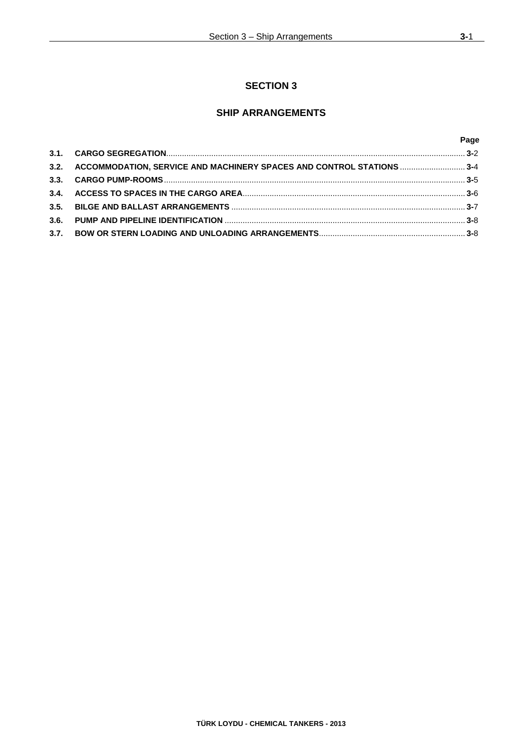## **SECTION 3**

## **SHIP ARRANGEMENTS**

|                                                                            | Page |
|----------------------------------------------------------------------------|------|
|                                                                            |      |
| 3.2. ACCOMMODATION, SERVICE AND MACHINERY SPACES AND CONTROL STATIONS  3-4 |      |
|                                                                            |      |
|                                                                            |      |
|                                                                            |      |
|                                                                            |      |
|                                                                            |      |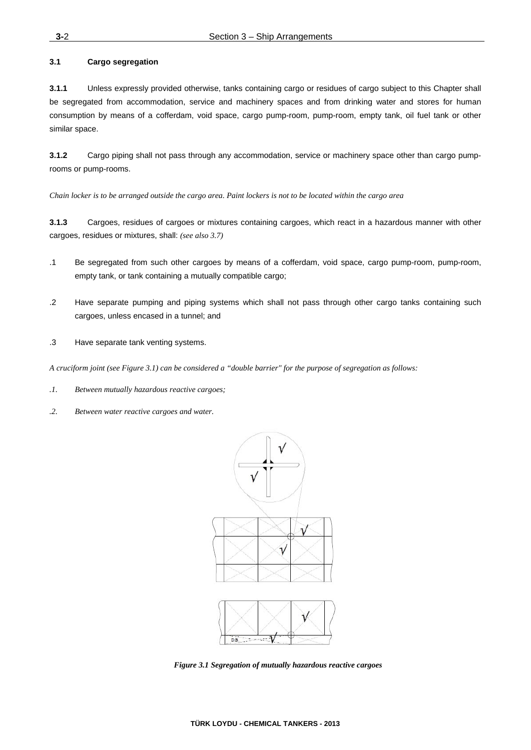#### **3.1 Cargo segregation**

**3.1.1** Unless expressly provided otherwise, tanks containing cargo or residues of cargo subject to this Chapter shall be segregated from accommodation, service and machinery spaces and from drinking water and stores for human consumption by means of a cofferdam, void space, cargo pump-room, pump-room, empty tank, oil fuel tank or other similar space.

**3.1.2** Cargo piping shall not pass through any accommodation, service or machinery space other than cargo pumprooms or pump-rooms.

*Chain locker is to be arranged outside the cargo area. Paint lockers is not to be located within the cargo area* 

**3.1.3** Cargoes, residues of cargoes or mixtures containing cargoes, which react in a hazardous manner with other cargoes, residues or mixtures, shall: *(see also 3.7)*

- .1 Be segregated from such other cargoes by means of a cofferdam, void space, cargo pump-room, pump-room, empty tank, or tank containing a mutually compatible cargo;
- .2 Have separate pumping and piping systems which shall not pass through other cargo tanks containing such cargoes, unless encased in a tunnel; and
- .3 Have separate tank venting systems.

*A cruciform joint (see Figure 3.1) can be considered a "double barrier" for the purpose of segregation as follows:* 

- *.1. Between mutually hazardous reactive cargoes;*
- *.2. Between water reactive cargoes and water.*



*Figure 3.1 Segregation of mutually hazardous reactive cargoes*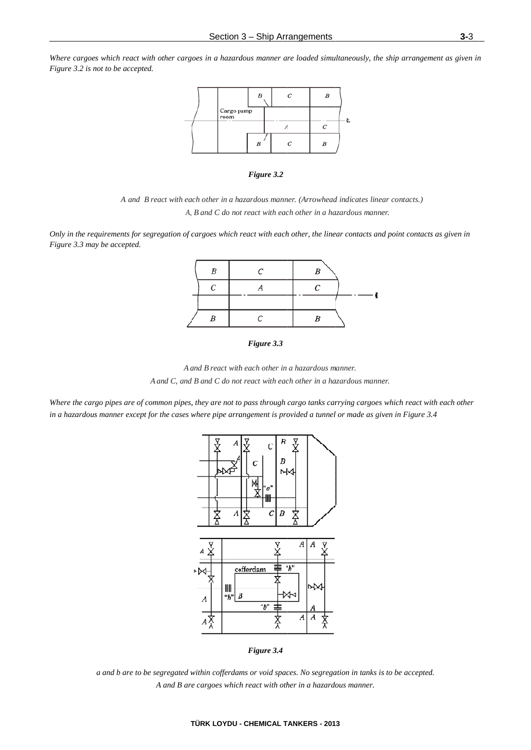Where cargoes which react with other cargoes in a hazardous manner are loaded simultaneously, the ship arrangement as given in *Figure 3.2 is not to be accepted.* 







*Only in the requirements for segregation of cargoes which react with each other, the linear contacts and point contacts as given in Figure 3.3 may be accepted.* 







Where the cargo pipes are of common pipes, they are not to pass through cargo tanks carrying cargoes which react with each other *in a hazardous manner except for the cases where pipe arrangement is provided a tunnel or made as given in Figure 3.4* 





*a* and *b* are to be segregated within cofferdams or void spaces. No segregation in tanks is to be accepted. A and B are cargoes which react with other in a hazardous manner.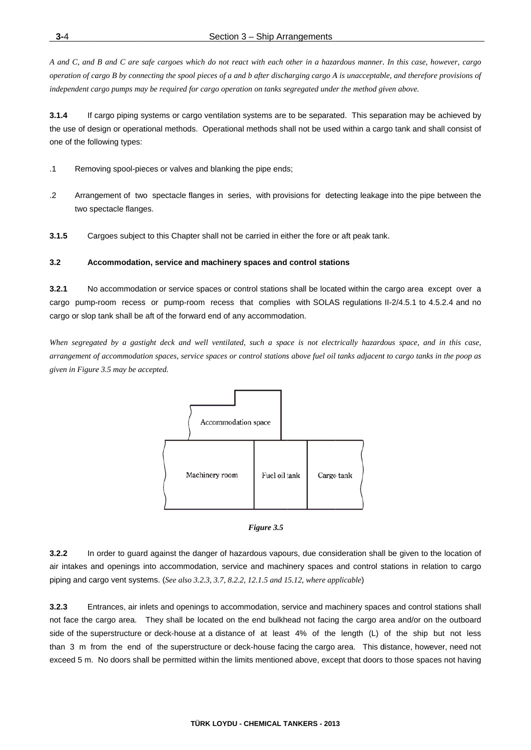A and C, and B and C are safe cargoes which do not react with each other in a hazardous manner. In this case, however, cargo operation of cargo B by connecting the spool pieces of a and b after discharging cargo A is unacceptable, and therefore provisions of independent cargo pumps may be required for cargo operation on tanks segregated under the method given above.

 $3.1.4$ If cargo piping systems or cargo ventilation systems are to be separated. This separation may be achieved by the use of design or operational methods. Operational methods shall not be used within a cargo tank and shall consist of one of the following types:

- $\cdot$ 1 Removing spool-pieces or valves and blanking the pipe ends;
- $\cdot$ Arrangement of two spectacle flanges in series, with provisions for detecting leakage into the pipe between the two spectacle flanges.
- $3.1.5$ Cargoes subject to this Chapter shall not be carried in either the fore or aft peak tank.

#### $3.2$ Accommodation, service and machinery spaces and control stations

 $3.2.1$ No accommodation or service spaces or control stations shall be located within the cargo area except over a cargo pump-room recess or pump-room recess that complies with SOLAS regulations II-2/4.5.1 to 4.5.2.4 and no cargo or slop tank shall be aft of the forward end of any accommodation.

When segregated by a gastight deck and well ventilated, such a space is not electrically hazardous space, and in this case, arrangement of accommodation spaces, service spaces or control stations above fuel oil tanks adjacent to cargo tanks in the poop as given in Figure 3.5 may be accepted.





 $3.2.2$ In order to guard against the danger of hazardous vapours, due consideration shall be given to the location of air intakes and openings into accommodation, service and machinery spaces and control stations in relation to cargo piping and cargo vent systems. (See also 3.2.3, 3.7, 8.2.2, 12.1.5 and 15.12, where applicable)

 $3.2.3$ Entrances, air inlets and openings to accommodation, service and machinery spaces and control stations shall not face the cargo area. They shall be located on the end bulkhead not facing the cargo area and/or on the outboard side of the superstructure or deck-house at a distance of at least 4% of the length (L) of the ship but not less than 3 m from the end of the superstructure or deck-house facing the cargo area. This distance, however, need not exceed 5 m. No doors shall be permitted within the limits mentioned above, except that doors to those spaces not having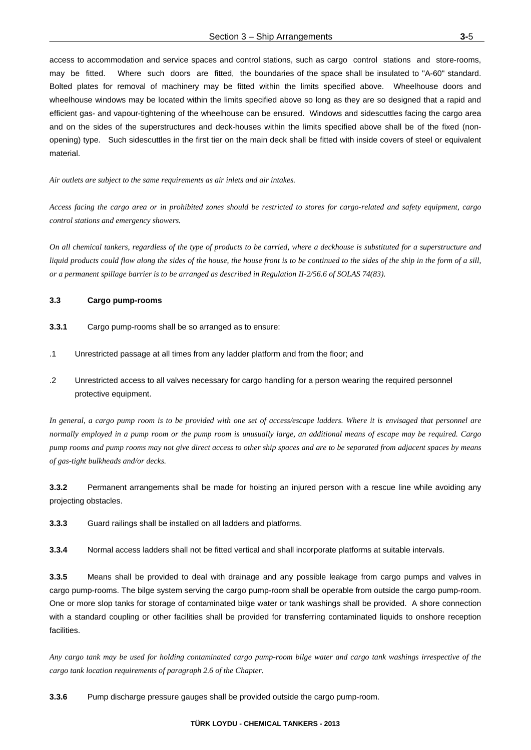access to accommodation and service spaces and control stations, such as cargo control stations and store-rooms, may be fitted. Where such doors are fitted, the boundaries of the space shall be insulated to "A-60" standard. Bolted plates for removal of machinery may be fitted within the limits specified above. Wheelhouse doors and wheelhouse windows may be located within the limits specified above so long as they are so designed that a rapid and efficient gas- and vapour-tightening of the wheelhouse can be ensured. Windows and sidescuttles facing the cargo area and on the sides of the superstructures and deck-houses within the limits specified above shall be of the fixed (nonopening) type. Such sidescuttles in the first tier on the main deck shall be fitted with inside covers of steel or equivalent material.

*Air outlets are subject to the same requirements as air inlets and air intakes.* 

*Access facing the cargo area or in prohibited zones should be restricted to stores for cargo-related and safety equipment, cargo control stations and emergency showers.* 

*On all chemical tankers, regardless of the type of products to be carried, where a deckhouse is substituted for a superstructure and liquid products could flow along the sides of the house, the house front is to be continued to the sides of the ship in the form of a sill, or a permanent spillage barrier is to be arranged as described in Regulation II-2/56.6 of SOLAS 74(83).* 

#### **3.3 Cargo pump-rooms**

- **3.3.1** Cargo pump-rooms shall be so arranged as to ensure:
- .1 Unrestricted passage at all times from any ladder platform and from the floor; and
- .2 Unrestricted access to all valves necessary for cargo handling for a person wearing the required personnel protective equipment.

*In general, a cargo pump room is to be provided with one set of access/escape ladders. Where it is envisaged that personnel are normally employed in a pump room or the pump room is unusually large, an additional means of escape may be required. Cargo pump rooms and pump rooms may not give direct access to other ship spaces and are to be separated from adjacent spaces by means of gas-tight bulkheads and/or decks.* 

**3.3.2** Permanent arrangements shall be made for hoisting an injured person with a rescue line while avoiding any projecting obstacles.

**3.3.3** Guard railings shall be installed on all ladders and platforms.

**3.3.4** Normal access ladders shall not be fitted vertical and shall incorporate platforms at suitable intervals.

**3.3.5** Means shall be provided to deal with drainage and any possible leakage from cargo pumps and valves in cargo pump-rooms. The bilge system serving the cargo pump-room shall be operable from outside the cargo pump-room. One or more slop tanks for storage of contaminated bilge water or tank washings shall be provided. A shore connection with a standard coupling or other facilities shall be provided for transferring contaminated liquids to onshore reception facilities.

*Any cargo tank may be used for holding contaminated cargo pump-room bilge water and cargo tank washings irrespective of the cargo tank location requirements of paragraph 2.6 of the Chapter.* 

**3.3.6** Pump discharge pressure gauges shall be provided outside the cargo pump-room.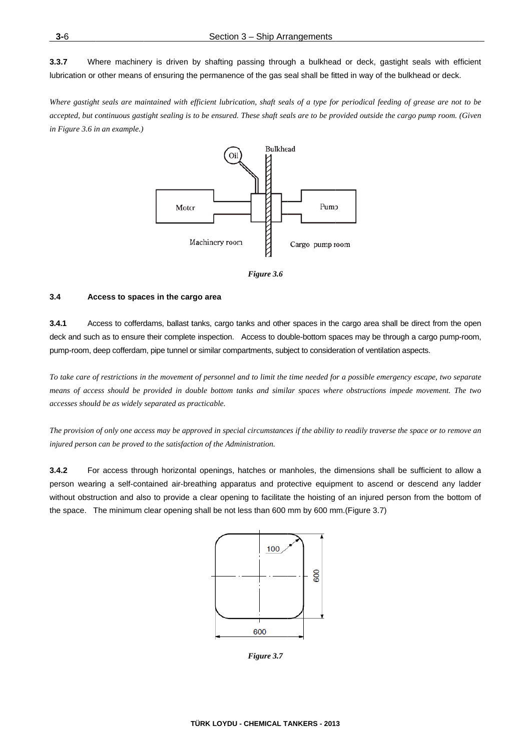$3.3.7$ Where machinery is driven by shafting passing through a bulkhead or deck, gastight seals with efficient lubrication or other means of ensuring the permanence of the gas seal shall be fitted in way of the bulkhead or deck.

Where gastight seals are maintained with efficient lubrication, shaft seals of a type for periodical feeding of grease are not to be accepted, but continuous gastight sealing is to be ensured. These shaft seals are to be provided outside the cargo pump room. (Given in Figure 3.6 in an example.)



Figure 3.6

#### $3.4$ Access to spaces in the cargo area

 $3.4.1$ Access to cofferdams, ballast tanks, cargo tanks and other spaces in the cargo area shall be direct from the open deck and such as to ensure their complete inspection. Access to double-bottom spaces may be through a cargo pump-room, pump-room, deep cofferdam, pipe tunnel or similar compartments, subject to consideration of ventilation aspects.

To take care of restrictions in the movement of personnel and to limit the time needed for a possible emergency escape, two separate means of access should be provided in double bottom tanks and similar spaces where obstructions impede movement. The two accesses should be as widely separated as practicable.

The provision of only one access may be approved in special circumstances if the ability to readily traverse the space or to remove an injured person can be proved to the satisfaction of the Administration.

 $3.4.2$ For access through horizontal openings, hatches or manholes, the dimensions shall be sufficient to allow a person wearing a self-contained air-breathing apparatus and protective equipment to ascend or descend any ladder without obstruction and also to provide a clear opening to facilitate the hoisting of an injured person from the bottom of the space. The minimum clear opening shall be not less than 600 mm by 600 mm.(Figure 3.7)



Figure 3.7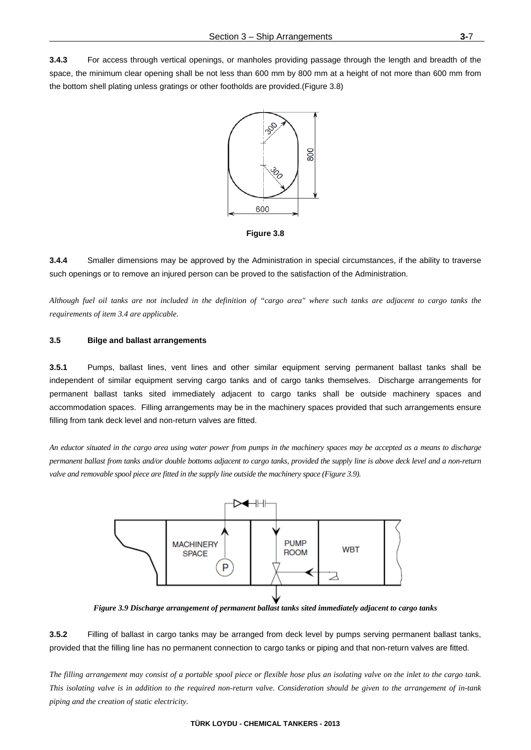**3.4.3** For access through vertical openings, or manholes providing passage through the length and breadth of the space, the minimum clear opening shall be not less than 600 mm by 800 mm at a height of not more than 600 mm from the bottom shell plating unless gratings or other footholds are provided.(Figure 3.8)



**Figure 3.8** 

**3.4.4** Smaller dimensions may be approved by the Administration in special circumstances, if the ability to traverse such openings or to remove an injured person can be proved to the satisfaction of the Administration.

*Although fuel oil tanks are not included in the definition of "cargo area" where such tanks are adjacent to cargo tanks the requirements of item 3.4 are applicable.* 

#### **3.5 Bilge and ballast arrangements**

**3.5.1** Pumps, ballast lines, vent lines and other similar equipment serving permanent ballast tanks shall be independent of similar equipment serving cargo tanks and of cargo tanks themselves. Discharge arrangements for permanent ballast tanks sited immediately adjacent to cargo tanks shall be outside machinery spaces and accommodation spaces. Filling arrangements may be in the machinery spaces provided that such arrangements ensure filling from tank deck level and non-return valves are fitted.

*An eductor situated in the cargo area using water power from pumps in the machinery spaces may be accepted as a means to discharge permanent ballast from tanks and/or double bottoms adjacent to cargo tanks, provided the supply line is above deck level and a non-return*  valve and removable spool piece are fitted in the supply line outside the machinery space (Figure 3.9).



*Figure 3.9 Discharge arrangement of permanent ballast tanks sited immediately adjacent to cargo tanks* 

**3.5.2** Filling of ballast in cargo tanks may be arranged from deck level by pumps serving permanent ballast tanks, provided that the filling line has no permanent connection to cargo tanks or piping and that non-return valves are fitted.

*The filling arrangement may consist of a portable spool piece or flexible hose plus an isolating valve on the inlet to the cargo tank. This isolating valve is in addition to the required non-return valve. Consideration should be given to the arrangement of in-tank piping and the creation of static electricity.*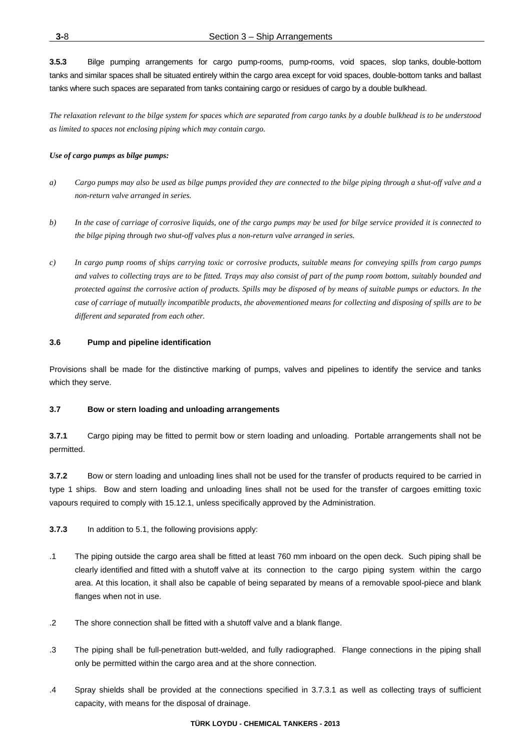**3.5.3** Bilge pumping arrangements for cargo pump-rooms, pump-rooms, void spaces, slop tanks, double-bottom tanks and similar spaces shall be situated entirely within the cargo area except for void spaces, double-bottom tanks and ballast tanks where such spaces are separated from tanks containing cargo or residues of cargo by a double bulkhead.

*The relaxation relevant to the bilge system for spaces which are separated from cargo tanks by a double bulkhead is to be understood as limited to spaces not enclosing piping which may contain cargo.* 

#### *Use of cargo pumps as bilge pumps:*

- *a) Cargo pumps may also be used as bilge pumps provided they are connected to the bilge piping through a shut-off valve and a non-return valve arranged in series.*
- *b) In the case of carriage of corrosive liquids, one of the cargo pumps may be used for bilge service provided it is connected to the bilge piping through two shut-off valves plus a non-return valve arranged in series.*
- *c) In cargo pump rooms of ships carrying toxic or corrosive products, suitable means for conveying spills from cargo pumps and valves to collecting trays are to be fitted. Trays may also consist of part of the pump room bottom, suitably bounded and protected against the corrosive action of products. Spills may be disposed of by means of suitable pumps or eductors. In the case of carriage of mutually incompatible products, the abovementioned means for collecting and disposing of spills are to be different and separated from each other.*

#### **3.6 Pump and pipeline identification**

Provisions shall be made for the distinctive marking of pumps, valves and pipelines to identify the service and tanks which they serve.

#### **3.7 Bow or stern loading and unloading arrangements**

**3.7.1** Cargo piping may be fitted to permit bow or stern loading and unloading. Portable arrangements shall not be permitted.

**3.7.2** Bow or stern loading and unloading lines shall not be used for the transfer of products required to be carried in type 1 ships. Bow and stern loading and unloading lines shall not be used for the transfer of cargoes emitting toxic vapours required to comply with 15.12.1, unless specifically approved by the Administration.

- **3.7.3** In addition to 5.1, the following provisions apply:
- .1 The piping outside the cargo area shall be fitted at least 760 mm inboard on the open deck. Such piping shall be clearly identified and fitted with a shutoff valve at its connection to the cargo piping system within the cargo area. At this location, it shall also be capable of being separated by means of a removable spool-piece and blank flanges when not in use.
- .2 The shore connection shall be fitted with a shutoff valve and a blank flange.
- .3 The piping shall be full-penetration butt-welded, and fully radiographed. Flange connections in the piping shall only be permitted within the cargo area and at the shore connection.
- .4 Spray shields shall be provided at the connections specified in 3.7.3.1 as well as collecting trays of sufficient capacity, with means for the disposal of drainage.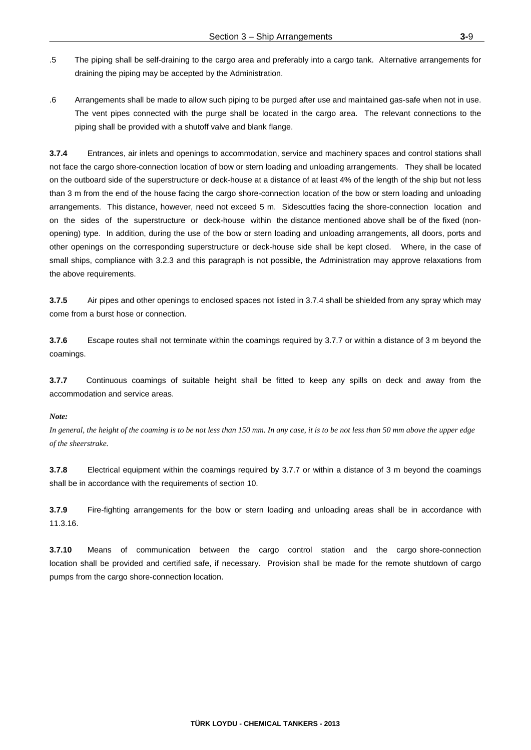- .5 The piping shall be self-draining to the cargo area and preferably into a cargo tank. Alternative arrangements for draining the piping may be accepted by the Administration.
- .6 Arrangements shall be made to allow such piping to be purged after use and maintained gas-safe when not in use. The vent pipes connected with the purge shall be located in the cargo area. The relevant connections to the piping shall be provided with a shutoff valve and blank flange.

**3.7.4** Entrances, air inlets and openings to accommodation, service and machinery spaces and control stations shall not face the cargo shore-connection location of bow or stern loading and unloading arrangements. They shall be located on the outboard side of the superstructure or deck-house at a distance of at least 4% of the length of the ship but not less than 3 m from the end of the house facing the cargo shore-connection location of the bow or stern loading and unloading arrangements. This distance, however, need not exceed 5 m. Sidescuttles facing the shore-connection location and on the sides of the superstructure or deck-house within the distance mentioned above shall be of the fixed (nonopening) type. In addition, during the use of the bow or stern loading and unloading arrangements, all doors, ports and other openings on the corresponding superstructure or deck-house side shall be kept closed. Where, in the case of small ships, compliance with 3.2.3 and this paragraph is not possible, the Administration may approve relaxations from the above requirements.

**3.7.5** Air pipes and other openings to enclosed spaces not listed in 3.7.4 shall be shielded from any spray which may come from a burst hose or connection.

**3.7.6** Escape routes shall not terminate within the coamings required by 3.7.7 or within a distance of 3 m beyond the coamings.

**3.7.7** Continuous coamings of suitable height shall be fitted to keep any spills on deck and away from the accommodation and service areas.

#### *Note:*

*In general, the height of the coaming is to be not less than 150 mm. In any case, it is to be not less than 50 mm above the upper edge of the sheerstrake.* 

**3.7.8** Electrical equipment within the coamings required by 3.7.7 or within a distance of 3 m beyond the coamings shall be in accordance with the requirements of section 10.

**3.7.9** Fire-fighting arrangements for the bow or stern loading and unloading areas shall be in accordance with 11.3.16.

**3.7.10** Means of communication between the cargo control station and the cargo shore-connection location shall be provided and certified safe, if necessary. Provision shall be made for the remote shutdown of cargo pumps from the cargo shore-connection location.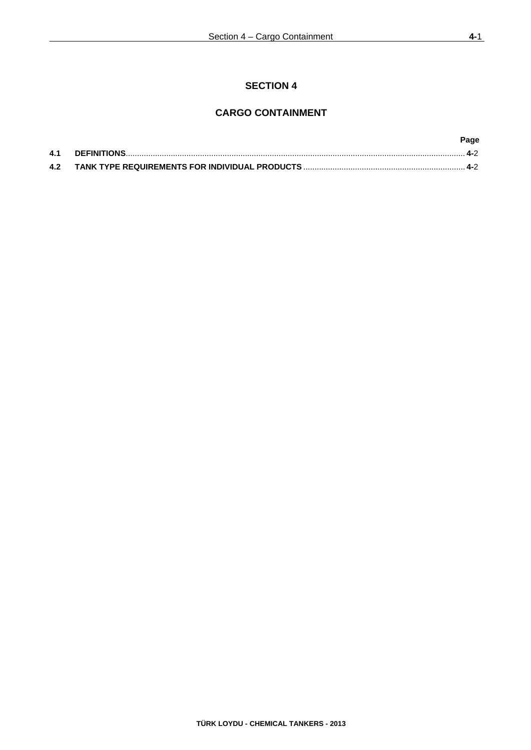## **SECTION 4**

## **CARGO CONTAINMENT**

|     | Page   |
|-----|--------|
| 4.1 | $-4-2$ |
| 4.2 | 4-2    |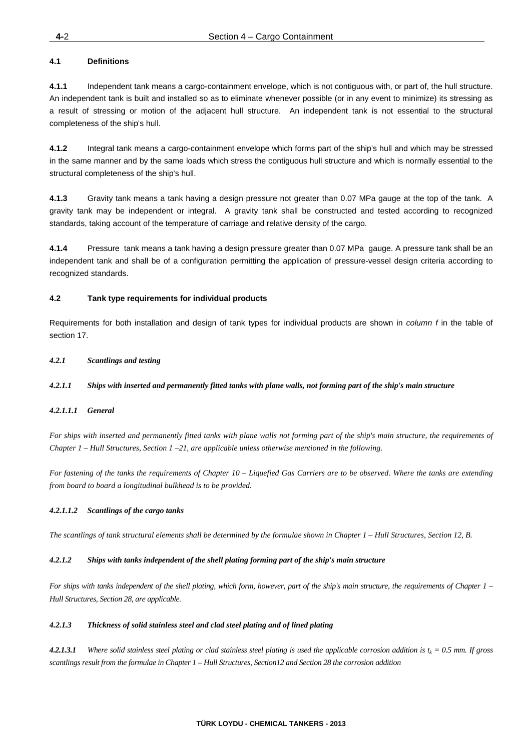#### **4.1 Definitions**

**4.1.1** Independent tank means a cargo-containment envelope, which is not contiguous with, or part of, the hull structure. An independent tank is built and installed so as to eliminate whenever possible (or in any event to minimize) its stressing as a result of stressing or motion of the adjacent hull structure. An independent tank is not essential to the structural completeness of the ship's hull.

**4.1.2** Integral tank means a cargo-containment envelope which forms part of the ship's hull and which may be stressed in the same manner and by the same loads which stress the contiguous hull structure and which is normally essential to the structural completeness of the ship's hull.

**4.1.3** Gravity tank means a tank having a design pressure not greater than 0.07 MPa gauge at the top of the tank. A gravity tank may be independent or integral. A gravity tank shall be constructed and tested according to recognized standards, taking account of the temperature of carriage and relative density of the cargo.

**4.1.4** Pressure tank means a tank having a design pressure greater than 0.07 MPa gauge. A pressure tank shall be an independent tank and shall be of a configuration permitting the application of pressure-vessel design criteria according to recognized standards.

#### **4.2 Tank type requirements for individual products**

Requirements for both installation and design of tank types for individual products are shown in *column f* in the table of section 17.

#### *4.2.1 Scantlings and testing*

#### *4.2.1.1 Ships with inserted and permanently fitted tanks with plane walls, not forming part of the ship's main structure*

#### *4.2.1.1.1 General*

*For ships with inserted and permanently fitted tanks with plane walls not forming part of the ship's main structure, the requirements of Chapter 1 – Hull Structures, Section 1 –21, are applicable unless otherwise mentioned in the following.* 

*For fastening of the tanks the requirements of Chapter 10 – Liquefied Gas Carriers are to be observed. Where the tanks are extending from board to board a longitudinal bulkhead is to be provided.* 

#### *4.2.1.1.2 Scantlings of the cargo tanks*

*The scantlings of tank structural elements shall be determined by the formulae shown in Chapter 1 – Hull Structures, Section 12, B.* 

#### *4.2.1.2 Ships with tanks independent of the shell plating forming part of the ship's main structure*

*For ships with tanks independent of the shell plating, which form, however, part of the ship's main structure, the requirements of Chapter 1 – Hull Structures, Section 28, are applicable.* 

#### *4.2.1.3 Thickness of solid stainless steel and clad steel plating and of lined plating*

**4.2.1.3.1** Where solid stainless steel plating or clad stainless steel plating is used the applicable corrosion addition is  $t_k = 0.5$  mm. If gross *scantlings result from the formulae in Chapter 1 – Hull Structures, Section12 and Section 28 the corrosion addition*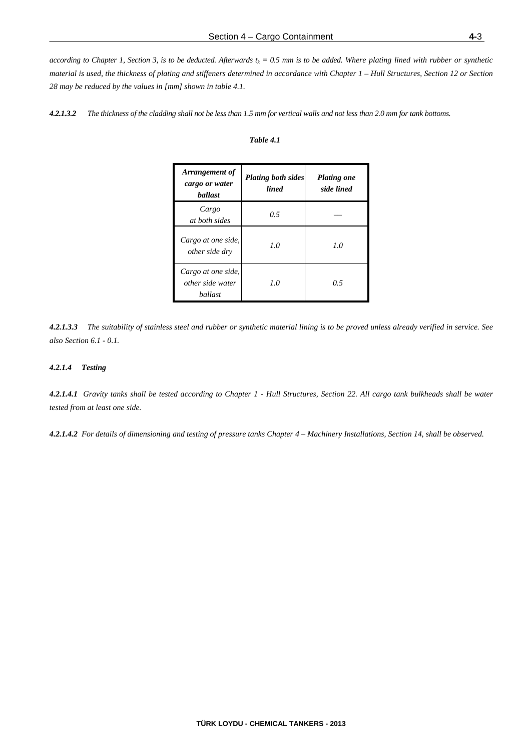*according to Chapter 1, Section 3, is to be deducted. Afterwards*  $t_k = 0.5$  mm is to be added. Where plating lined with rubber or synthetic *material is used, the thickness of plating and stiffeners determined in accordance with Chapter 1 – Hull Structures, Section 12 or Section 28 may be reduced by the values in [mm] shown in table 4.1.* 

*4.2.1.3.2 The thickness of the cladding shall not be less than 1.5 mm for vertical walls and not less than 2.0 mm for tank bottoms.* 

#### *Table 4.1*

| Arrangement of<br>cargo or water<br><b>ballast</b> | <b>Plating both sides</b><br><b>lined</b> | <b>Plating one</b><br>side lined |
|----------------------------------------------------|-------------------------------------------|----------------------------------|
| Cargo<br>at both sides                             | 0.5                                       |                                  |
| Cargo at one side,<br><i>other side dry</i>        | 1.0                                       | 1.0                              |
| Cargo at one side,<br>other side water<br>ballast  | 1.0                                       | 0.5                              |

*4.2.1.3.3 The suitability of stainless steel and rubber or synthetic material lining is to be proved unless already verified in service. See also Section 6.1 - 0.1.* 

#### *4.2.1.4 Testing*

*4.2.1.4.1 Gravity tanks shall be tested according to Chapter 1 - Hull Structures, Section 22. All cargo tank bulkheads shall be water tested from at least one side.* 

*4.2.1.4.2 For details of dimensioning and testing of pressure tanks Chapter 4 – Machinery Installations, Section 14, shall be observed.*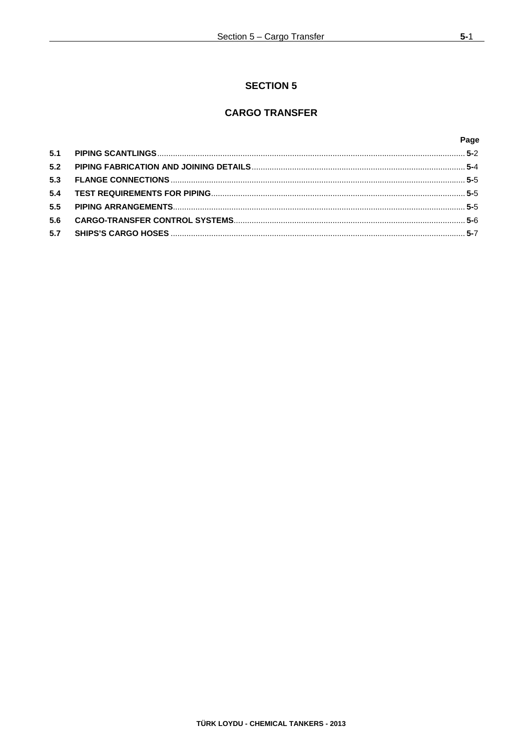# **SECTION 5**

# **CARGO TRANSFER**

|     | Page |
|-----|------|
| 5.1 |      |
| 5.2 |      |
| 5.3 |      |
| 5.4 |      |
| 5.5 |      |
| 5.6 |      |
| 5.7 |      |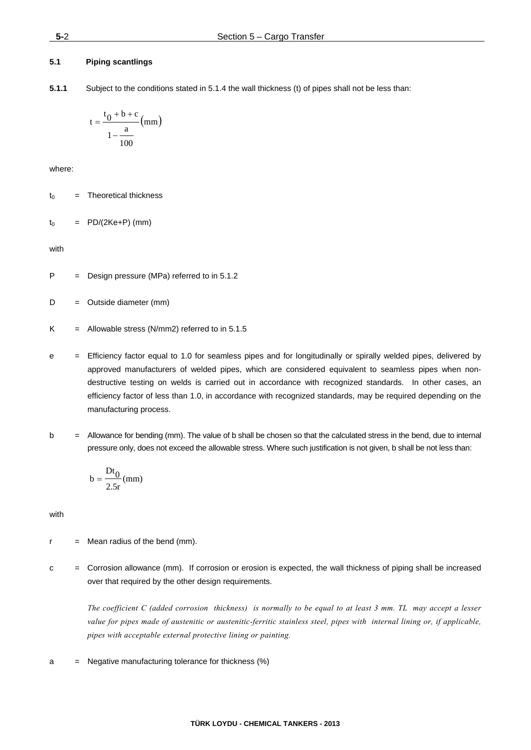## **5.1 Piping scantlings**

**5.1.1** Subject to the conditions stated in 5.1.4 the wall thickness (t) of pipes shall not be less than:

$$
t = \frac{t_0 + b + c}{1 - \frac{a}{100}} \text{ (mm)}
$$

where:

 $t_0$  = Theoretical thickness

$$
t_0 = PD/(2Ke+P) (mm)
$$

with

P = Design pressure (MPa) referred to in 5.1.2

 $D =$  Outside diameter (mm)

- $K =$  Allowable stress (N/mm2) referred to in 5.1.5
- e = Efficiency factor equal to 1.0 for seamless pipes and for longitudinally or spirally welded pipes, delivered by approved manufacturers of welded pipes, which are considered equivalent to seamless pipes when nondestructive testing on welds is carried out in accordance with recognized standards. In other cases, an efficiency factor of less than 1.0, in accordance with recognized standards, may be required depending on the manufacturing process.
- b = Allowance for bending (mm). The value of b shall be chosen so that the calculated stress in the bend, due to internal pressure only, does not exceed the allowable stress. Where such justification is not given, b shall be not less than:

$$
b = \frac{Dt_0}{2.5r} \text{(mm)}
$$

with

- $r =$  Mean radius of the bend (mm).
- c = Corrosion allowance (mm). If corrosion or erosion is expected, the wall thickness of piping shall be increased over that required by the other design requirements.

 *The coefficient C (added corrosion thickness) is normally to be equal to at least 3 mm. TL may accept a lesser value for pipes made of austenitic or austenitic-ferritic stainless steel, pipes with internal lining or, if applicable, pipes with acceptable external protective lining or painting.* 

a = Negative manufacturing tolerance for thickness (%)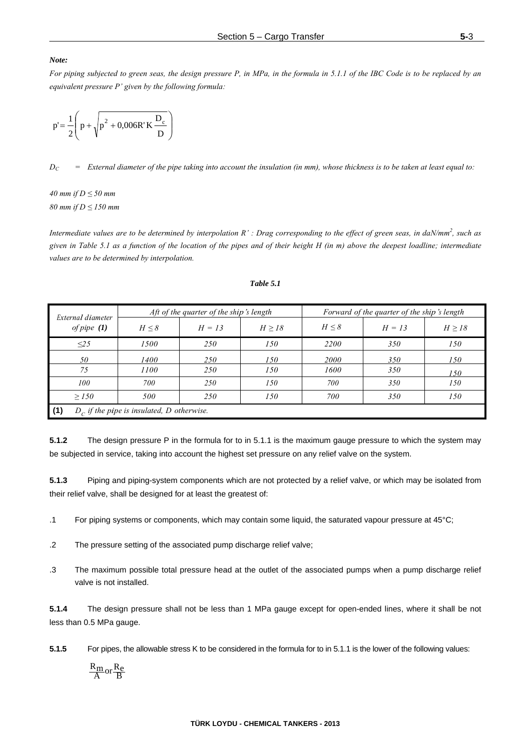#### *Note:*

*For piping subjected to green seas, the design pressure P, in MPa, in the formula in 5.1.1 of the IBC Code is to be replaced by an equivalent pressure P' given by the following formula:* 

$$
p' = \frac{1}{2} \left( p + \sqrt{p^2 + 0.006R'K \frac{D_c}{D}} \right)
$$

 $D_C$  = External diameter of the pipe taking into account the insulation (in mm), whose thickness is to be taken at least equal to:

*40 mm if D ≤ 50 mm 80 mm if D ≤ 150 mm* 

*Intermediate values are to be determined by interpolation R' : Drag corresponding to the effect of green seas, in daN/mm<sup>2</sup>, such as given in Table 5.1 as a function of the location of the pipes and of their height H (in m) above the deepest loadline; intermediate values are to be determined by interpolation.* 

| External diameter |                                              | Aft of the quarter of the ship's length |        |            | Forward of the quarter of the ship's length |             |
|-------------------|----------------------------------------------|-----------------------------------------|--------|------------|---------------------------------------------|-------------|
| of pipe $(1)$     | $H \leq 8$                                   | $H = 13$                                | H > 18 | $H \leq 8$ | $H = 13$                                    | $H \geq 18$ |
| $\leq$ 25         | 1500                                         | 250                                     | 150    | 2200       | 350                                         | 150         |
| 50                | 1400                                         | <i>250</i>                              | 150    | 2000       | 350                                         | 150         |
| 75                | 1100                                         | 250                                     | 150    | 1600       | 350                                         | 150         |
| 100               | 700                                          | 250                                     | 150    | 700        | 350                                         | 150         |
| $\geq$ 150        | 500                                          | 250                                     | 150    | 700        | 350                                         | 150         |
| (1)               | $D_c$ if the pipe is insulated, D otherwise. |                                         |        |            |                                             |             |

# *Table 5.1*

**5.1.2** The design pressure P in the formula for to in 5.1.1 is the maximum gauge pressure to which the system may be subjected in service, taking into account the highest set pressure on any relief valve on the system.

**5.1.3** Piping and piping-system components which are not protected by a relief valve, or which may be isolated from their relief valve, shall be designed for at least the greatest of:

.1 For piping systems or components, which may contain some liquid, the saturated vapour pressure at 45°C;

- .2 The pressure setting of the associated pump discharge relief valve;
- .3 The maximum possible total pressure head at the outlet of the associated pumps when a pump discharge relief valve is not installed.

**5.1.4** The design pressure shall not be less than 1 MPa gauge except for open-ended lines, where it shall be not less than 0.5 MPa gauge.

**5.1.5** For pipes, the allowable stress K to be considered in the formula for to in 5.1.1 is the lower of the following values:

$$
\frac{R_m}{A} or \frac{R_e}{B}
$$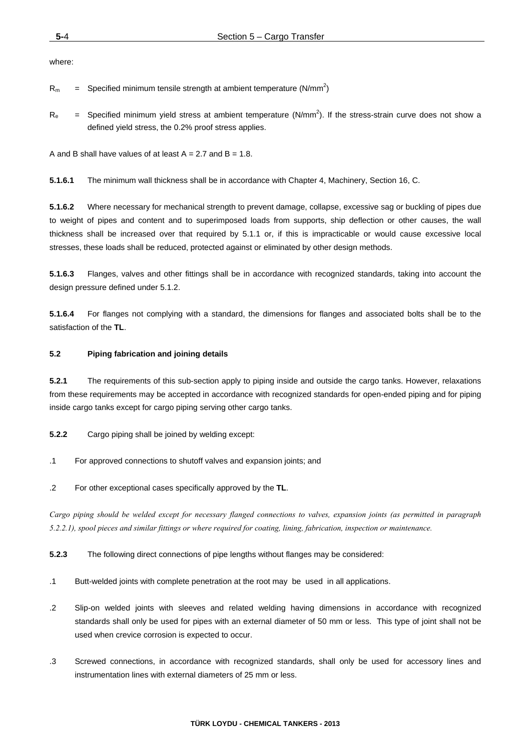where:

 $R_m$  = Specified minimum tensile strength at ambient temperature (N/mm<sup>2</sup>)

 $R_e$  = Specified minimum yield stress at ambient temperature (N/mm<sup>2</sup>). If the stress-strain curve does not show a defined yield stress, the 0.2% proof stress applies.

A and B shall have values of at least  $A = 2.7$  and  $B = 1.8$ .

**5.1.6.1** The minimum wall thickness shall be in accordance with Chapter 4, Machinery, Section 16, C.

**5.1.6.2** Where necessary for mechanical strength to prevent damage, collapse, excessive sag or buckling of pipes due to weight of pipes and content and to superimposed loads from supports, ship deflection or other causes, the wall thickness shall be increased over that required by 5.1.1 or, if this is impracticable or would cause excessive local stresses, these loads shall be reduced, protected against or eliminated by other design methods.

**5.1.6.3** Flanges, valves and other fittings shall be in accordance with recognized standards, taking into account the design pressure defined under 5.1.2.

**5.1.6.4** For flanges not complying with a standard, the dimensions for flanges and associated bolts shall be to the satisfaction of the **TL**.

# **5.2 Piping fabrication and joining details**

**5.2.1** The requirements of this sub-section apply to piping inside and outside the cargo tanks. However, relaxations from these requirements may be accepted in accordance with recognized standards for open-ended piping and for piping inside cargo tanks except for cargo piping serving other cargo tanks.

**5.2.2** Cargo piping shall be joined by welding except:

- .1 For approved connections to shutoff valves and expansion joints; and
- .2 For other exceptional cases specifically approved by the **TL**.

*Cargo piping should be welded except for necessary flanged connections to valves, expansion joints (as permitted in paragraph 5.2.2.1), spool pieces and similar fittings or where required for coating, lining, fabrication, inspection or maintenance.* 

**5.2.3** The following direct connections of pipe lengths without flanges may be considered:

- .1 Butt-welded joints with complete penetration at the root may be used in all applications.
- .2 Slip-on welded joints with sleeves and related welding having dimensions in accordance with recognized standards shall only be used for pipes with an external diameter of 50 mm or less. This type of joint shall not be used when crevice corrosion is expected to occur.
- .3 Screwed connections, in accordance with recognized standards, shall only be used for accessory lines and instrumentation lines with external diameters of 25 mm or less.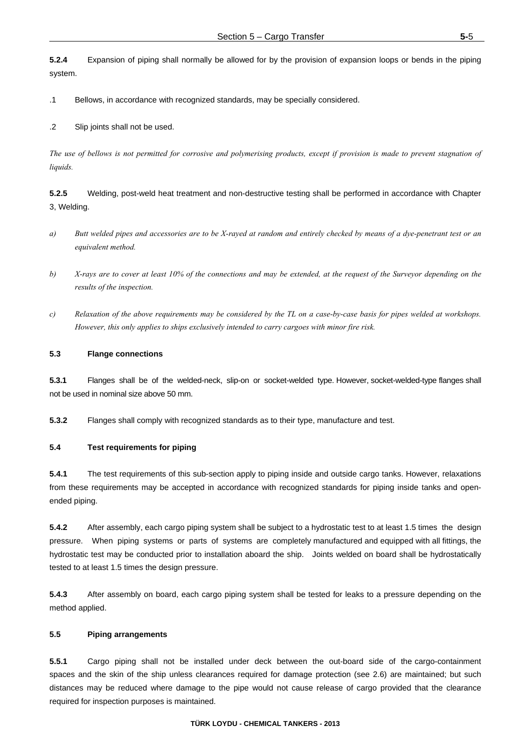**5.2.4** Expansion of piping shall normally be allowed for by the provision of expansion loops or bends in the piping system.

.1 Bellows, in accordance with recognized standards, may be specially considered.

.2 Slip joints shall not be used.

*The use of bellows is not permitted for corrosive and polymerising products, except if provision is made to prevent stagnation of liquids.*

**5.2.5** Welding, post-weld heat treatment and non-destructive testing shall be performed in accordance with Chapter 3, Welding.

- *a) Butt welded pipes and accessories are to be X-rayed at random and entirely checked by means of a dye-penetrant test or an equivalent method.*
- *b) X-rays are to cover at least 10% of the connections and may be extended, at the request of the Surveyor depending on the results of the inspection.*
- *c) Relaxation of the above requirements may be considered by the TL on a case-by-case basis for pipes welded at workshops. However, this only applies to ships exclusively intended to carry cargoes with minor fire risk.*

#### **5.3 Flange connections**

**5.3.1** Flanges shall be of the welded-neck, slip-on or socket-welded type. However, socket-welded-type flanges shall not be used in nominal size above 50 mm.

**5.3.2** Flanges shall comply with recognized standards as to their type, manufacture and test.

## **5.4 Test requirements for piping**

**5.4.1** The test requirements of this sub-section apply to piping inside and outside cargo tanks. However, relaxations from these requirements may be accepted in accordance with recognized standards for piping inside tanks and openended piping.

**5.4.2** After assembly, each cargo piping system shall be subject to a hydrostatic test to at least 1.5 times the design pressure. When piping systems or parts of systems are completely manufactured and equipped with all fittings, the hydrostatic test may be conducted prior to installation aboard the ship. Joints welded on board shall be hydrostatically tested to at least 1.5 times the design pressure.

**5.4.3** After assembly on board, each cargo piping system shall be tested for leaks to a pressure depending on the method applied.

#### **5.5 Piping arrangements**

**5.5.1** Cargo piping shall not be installed under deck between the out-board side of the cargo-containment spaces and the skin of the ship unless clearances required for damage protection (see 2.6) are maintained; but such distances may be reduced where damage to the pipe would not cause release of cargo provided that the clearance required for inspection purposes is maintained.

#### **TÜRK LOYDU - CHEMICAL TANKERS - 2013**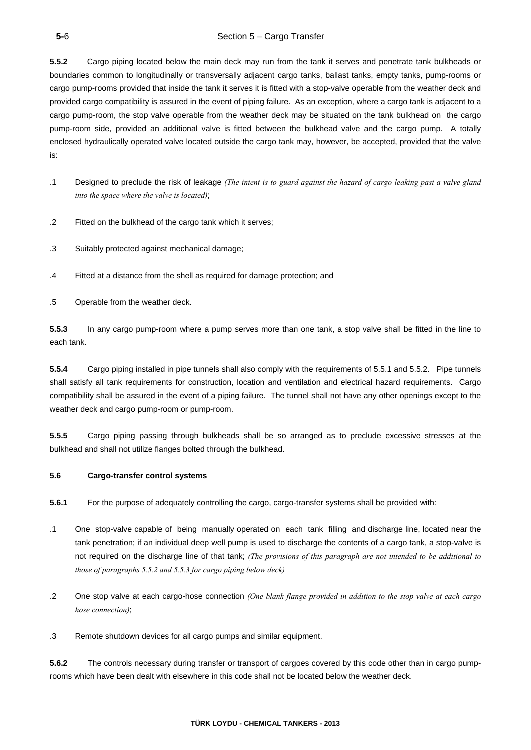**5.5.2** Cargo piping located below the main deck may run from the tank it serves and penetrate tank bulkheads or boundaries common to longitudinally or transversally adjacent cargo tanks, ballast tanks, empty tanks, pump-rooms or cargo pump-rooms provided that inside the tank it serves it is fitted with a stop-valve operable from the weather deck and provided cargo compatibility is assured in the event of piping failure. As an exception, where a cargo tank is adjacent to a cargo pump-room, the stop valve operable from the weather deck may be situated on the tank bulkhead on the cargo pump-room side, provided an additional valve is fitted between the bulkhead valve and the cargo pump. A totally enclosed hydraulically operated valve located outside the cargo tank may, however, be accepted, provided that the valve is:

- .1 Designed to preclude the risk of leakage *(The intent is to guard against the hazard of cargo leaking past a valve gland into the space where the valve is located)*;
- .2 Fitted on the bulkhead of the cargo tank which it serves;
- .3 Suitably protected against mechanical damage;
- .4 Fitted at a distance from the shell as required for damage protection; and
- .5 Operable from the weather deck.

**5.5.3** In any cargo pump-room where a pump serves more than one tank, a stop valve shall be fitted in the line to each tank.

**5.5.4** Cargo piping installed in pipe tunnels shall also comply with the requirements of 5.5.1 and 5.5.2. Pipe tunnels shall satisfy all tank requirements for construction, location and ventilation and electrical hazard requirements. Cargo compatibility shall be assured in the event of a piping failure. The tunnel shall not have any other openings except to the weather deck and cargo pump-room or pump-room.

**5.5.5** Cargo piping passing through bulkheads shall be so arranged as to preclude excessive stresses at the bulkhead and shall not utilize flanges bolted through the bulkhead.

# **5.6 Cargo-transfer control systems**

**5.6.1** For the purpose of adequately controlling the cargo, cargo-transfer systems shall be provided with:

- .1 One stop-valve capable of being manually operated on each tank filling and discharge line, located near the tank penetration; if an individual deep well pump is used to discharge the contents of a cargo tank, a stop-valve is not required on the discharge line of that tank; *(The provisions of this paragraph are not intended to be additional to those of paragraphs 5.5.2 and 5.5.3 for cargo piping below deck)*
- .2 One stop valve at each cargo-hose connection *(One blank flange provided in addition to the stop valve at each cargo hose connection)*;
- .3 Remote shutdown devices for all cargo pumps and similar equipment.

**5.6.2** The controls necessary during transfer or transport of cargoes covered by this code other than in cargo pumprooms which have been dealt with elsewhere in this code shall not be located below the weather deck.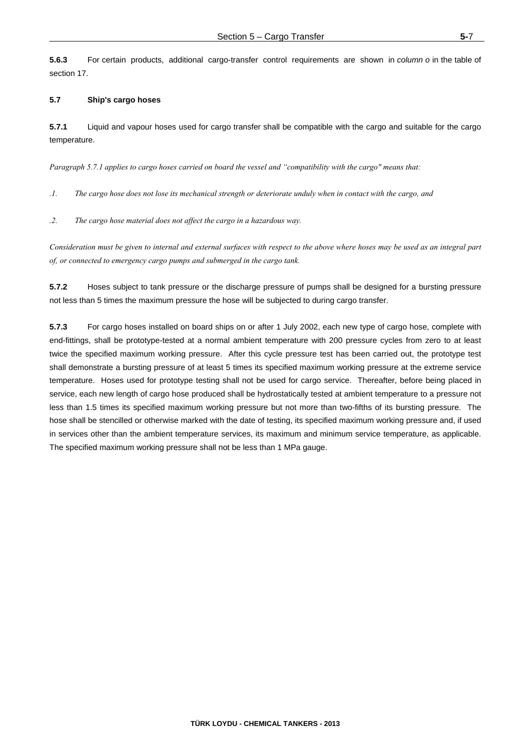**5.6.3** For certain products, additional cargo-transfer control requirements are shown in *column o* in the table of section 17.

## **5.7 Ship's cargo hoses**

**5.7.1** Liquid and vapour hoses used for cargo transfer shall be compatible with the cargo and suitable for the cargo temperature.

*Paragraph 5.7.1 applies to cargo hoses carried on board the vessel and "compatibility with the cargo" means that:* 

*.1. The cargo hose does not lose its mechanical strength or deteriorate unduly when in contact with the cargo, and* 

*.2. The cargo hose material does not affect the cargo in a hazardous way.* 

*Consideration must be given to internal and external surfaces with respect to the above where hoses may be used as an integral part of, or connected to emergency cargo pumps and submerged in the cargo tank.* 

**5.7.2** Hoses subject to tank pressure or the discharge pressure of pumps shall be designed for a bursting pressure not less than 5 times the maximum pressure the hose will be subjected to during cargo transfer.

**5.7.3** For cargo hoses installed on board ships on or after 1 July 2002, each new type of cargo hose, complete with end-fittings, shall be prototype-tested at a normal ambient temperature with 200 pressure cycles from zero to at least twice the specified maximum working pressure. After this cycle pressure test has been carried out, the prototype test shall demonstrate a bursting pressure of at least 5 times its specified maximum working pressure at the extreme service temperature. Hoses used for prototype testing shall not be used for cargo service. Thereafter, before being placed in service, each new length of cargo hose produced shall be hydrostatically tested at ambient temperature to a pressure not less than 1.5 times its specified maximum working pressure but not more than two-fifths of its bursting pressure. The hose shall be stencilled or otherwise marked with the date of testing, its specified maximum working pressure and, if used in services other than the ambient temperature services, its maximum and minimum service temperature, as applicable. The specified maximum working pressure shall not be less than 1 MPa gauge.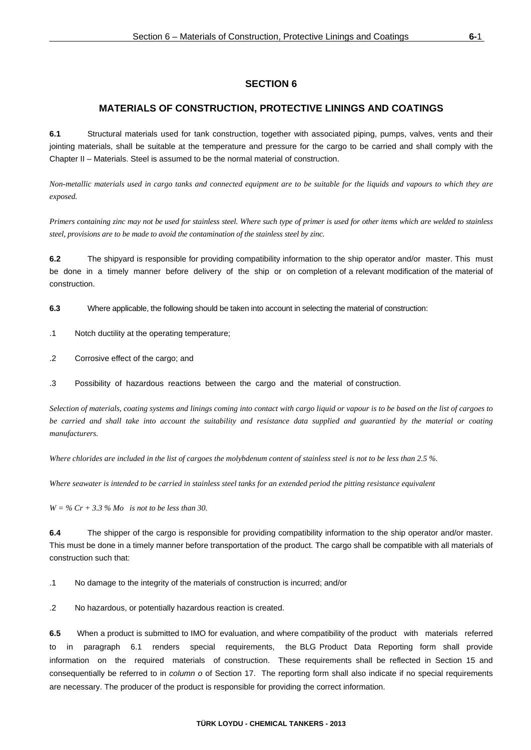# **MATERIALS OF CONSTRUCTION, PROTECTIVE LININGS AND COATINGS**

**6.1** Structural materials used for tank construction, together with associated piping, pumps, valves, vents and their jointing materials, shall be suitable at the temperature and pressure for the cargo to be carried and shall comply with the Chapter II – Materials. Steel is assumed to be the normal material of construction.

*Non-metallic materials used in cargo tanks and connected equipment are to be suitable for the liquids and vapours to which they are exposed.* 

*Primers containing zinc may not be used for stainless steel. Where such type of primer is used for other items which are welded to stainless steel, provisions are to be made to avoid the contamination of the stainless steel by zinc.* 

**6.2** The shipyard is responsible for providing compatibility information to the ship operator and/or master. This must be done in a timely manner before delivery of the ship or on completion of a relevant modification of the material of construction.

**6.3** Where applicable, the following should be taken into account in selecting the material of construction:

- .1 Notch ductility at the operating temperature;
- .2 Corrosive effect of the cargo; and
- .3 Possibility of hazardous reactions between the cargo and the material of construction.

*Selection of materials, coating systems and linings coming into contact with cargo liquid or vapour is to be based on the list of cargoes to*  be carried and shall take into account the suitability and resistance data supplied and guarantied by the material or coating *manufacturers.* 

*Where chlorides are included in the list of cargoes the molybdenum content of stainless steel is not to be less than 2.5 %.* 

*Where seawater is intended to be carried in stainless steel tanks for an extended period the pitting resistance equivalent* 

*W = % Cr + 3.3 % Mo is not to be less than 30.* 

**6.4** The shipper of the cargo is responsible for providing compatibility information to the ship operator and/or master. This must be done in a timely manner before transportation of the product. The cargo shall be compatible with all materials of construction such that:

.1 No damage to the integrity of the materials of construction is incurred; and/or

.2 No hazardous, or potentially hazardous reaction is created.

**6.5** When a product is submitted to IMO for evaluation, and where compatibility of the product with materials referred to in paragraph 6.1 renders special requirements, the BLG Product Data Reporting form shall provide information on the required materials of construction. These requirements shall be reflected in Section 15 and consequentially be referred to in *column o* of Section 17. The reporting form shall also indicate if no special requirements are necessary. The producer of the product is responsible for providing the correct information.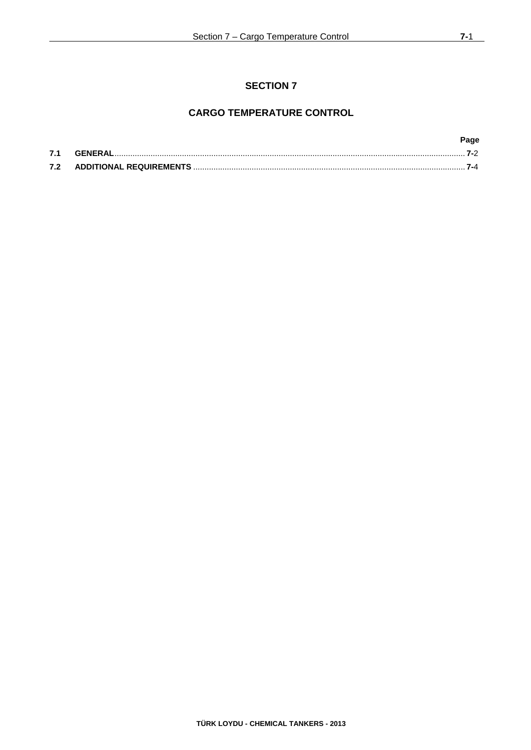# **CARGO TEMPERATURE CONTROL**

|     |         | Page |
|-----|---------|------|
| 7.1 | GENERAL |      |
| 7.2 |         |      |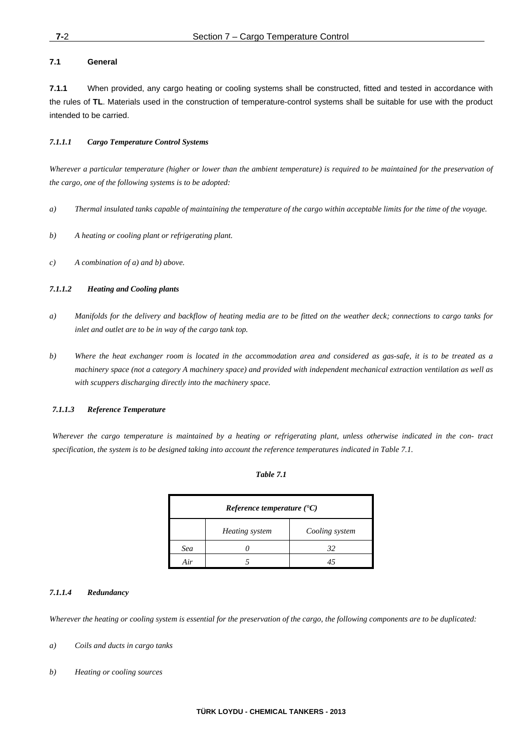# **7.1 General**

**7.1.1** When provided, any cargo heating or cooling systems shall be constructed, fitted and tested in accordance with the rules of **TL**. Materials used in the construction of temperature-control systems shall be suitable for use with the product intended to be carried.

# *7.1.1.1 Cargo Temperature Control Systems*

*Wherever a particular temperature (higher or lower than the ambient temperature) is required to be maintained for the preservation of the cargo, one of the following systems is to be adopted:* 

- *a) Thermal insulated tanks capable of maintaining the temperature of the cargo within acceptable limits for the time of the voyage.*
- *b) A heating or cooling plant or refrigerating plant.*
- *c) A combination of a) and b) above.*

# *7.1.1.2 Heating and Cooling plants*

- *a) Manifolds for the delivery and backflow of heating media are to be fitted on the weather deck; connections to cargo tanks for inlet and outlet are to be in way of the cargo tank top.*
- *b) Where the heat exchanger room is located in the accommodation area and considered as gas-safe, it is to be treated as a machinery space (not a category A machinery space) and provided with independent mechanical extraction ventilation as well as with scuppers discharging directly into the machinery space.*

## *7.1.1.3 Reference Temperature*

*Wherever the cargo temperature is maintained by a heating or refrigerating plant, unless otherwise indicated in the con- tract specification, the system is to be designed taking into account the reference temperatures indicated in Table 7.1.* 

## *Table 7.1*

| <i>Reference temperature</i> $(C)$ |                |                |  |  |
|------------------------------------|----------------|----------------|--|--|
|                                    | Heating system | Cooling system |  |  |
| Sea                                |                | 32             |  |  |
|                                    |                |                |  |  |

## *7.1.1.4 Redundancy*

*Wherever the heating or cooling system is essential for the preservation of the cargo, the following components are to be duplicated:* 

- *a) Coils and ducts in cargo tanks*
- *b) Heating or cooling sources*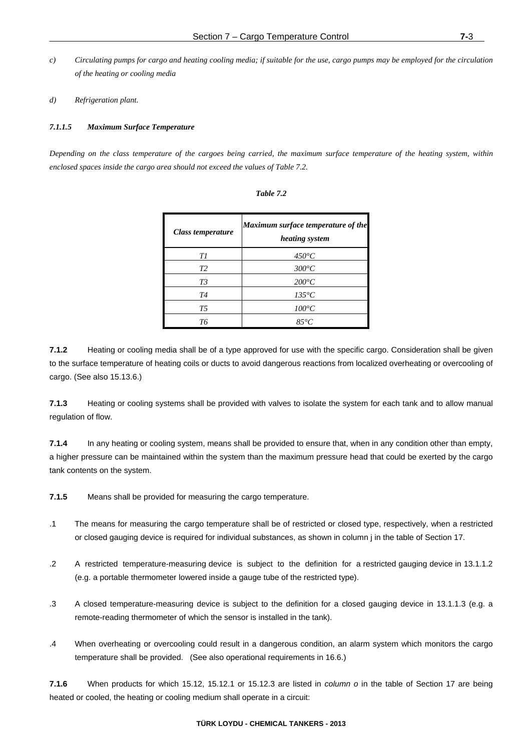- *c) Circulating pumps for cargo and heating cooling media; if suitable for the use, cargo pumps may be employed for the circulation of the heating or cooling media*
- *d) Refrigeration plant.*

## *7.1.1.5 Maximum Surface Temperature*

*Depending on the class temperature of the cargoes being carried, the maximum surface temperature of the heating system, within enclosed spaces inside the cargo area should not exceed the values of Table 7.2.* 

| Class temperature | Maximum surface temperature of the<br>heating system |
|-------------------|------------------------------------------------------|
| Τl                | $450^{\circ}C$                                       |
| T <sub>2</sub>    | $300^{\circ}C$                                       |
| T3                | $200^{\circ}C$                                       |
| T4                | $135^{\circ}C$                                       |
| T5                | $100^{\circ}C$                                       |
| TК                | $85^{\circ}C$                                        |

| able |  |
|------|--|
|------|--|

**7.1.2** Heating or cooling media shall be of a type approved for use with the specific cargo. Consideration shall be given to the surface temperature of heating coils or ducts to avoid dangerous reactions from localized overheating or overcooling of cargo. (See also 15.13.6.)

**7.1.3** Heating or cooling systems shall be provided with valves to isolate the system for each tank and to allow manual regulation of flow.

**7.1.4** In any heating or cooling system, means shall be provided to ensure that, when in any condition other than empty, a higher pressure can be maintained within the system than the maximum pressure head that could be exerted by the cargo tank contents on the system.

**7.1.5** Means shall be provided for measuring the cargo temperature.

- .1 The means for measuring the cargo temperature shall be of restricted or closed type, respectively, when a restricted or closed gauging device is required for individual substances, as shown in column j in the table of Section 17.
- .2 A restricted temperature-measuring device is subject to the definition for a restricted gauging device in 13.1.1.2 (e.g. a portable thermometer lowered inside a gauge tube of the restricted type).
- .3 A closed temperature-measuring device is subject to the definition for a closed gauging device in 13.1.1.3 (e.g. a remote-reading thermometer of which the sensor is installed in the tank).
- .4 When overheating or overcooling could result in a dangerous condition, an alarm system which monitors the cargo temperature shall be provided. (See also operational requirements in 16.6.)

**7.1.6** When products for which 15.12, 15.12.1 or 15.12.3 are listed in *column o* in the table of Section 17 are being heated or cooled, the heating or cooling medium shall operate in a circuit: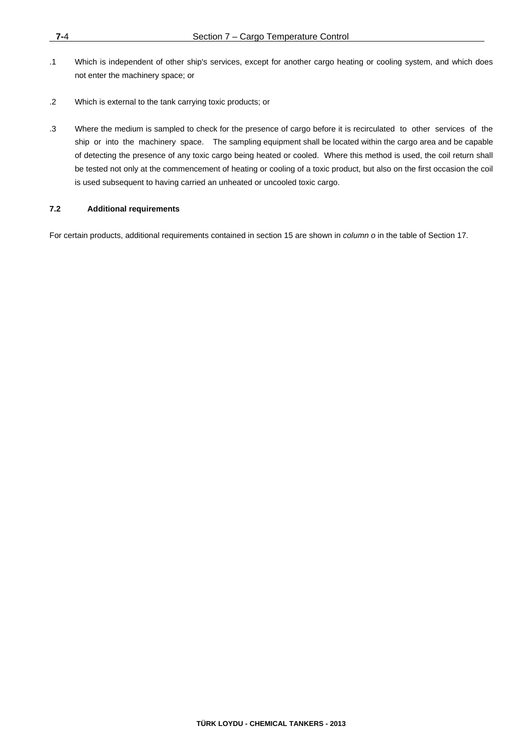- .1 Which is independent of other ship's services, except for another cargo heating or cooling system, and which does not enter the machinery space; or
- .2 Which is external to the tank carrying toxic products; or
- .3 Where the medium is sampled to check for the presence of cargo before it is recirculated to other services of the ship or into the machinery space. The sampling equipment shall be located within the cargo area and be capable of detecting the presence of any toxic cargo being heated or cooled. Where this method is used, the coil return shall be tested not only at the commencement of heating or cooling of a toxic product, but also on the first occasion the coil is used subsequent to having carried an unheated or uncooled toxic cargo.

# **7.2 Additional requirements**

For certain products, additional requirements contained in section 15 are shown in *column o* in the table of Section 17.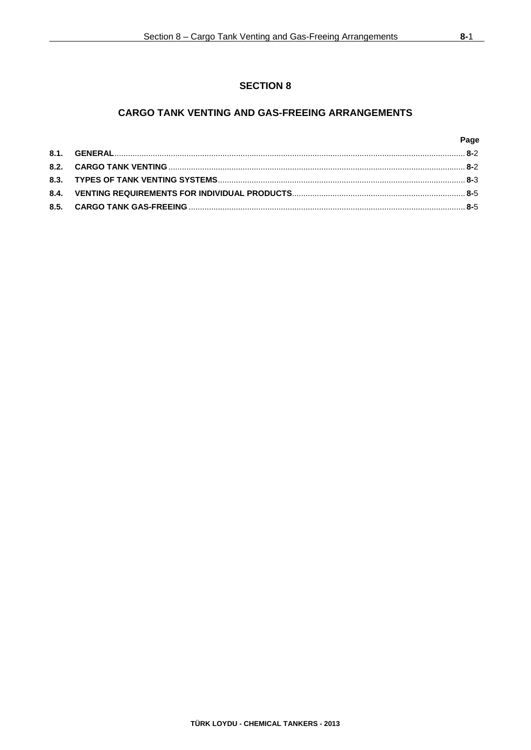# **CARGO TANK VENTING AND GAS-FREEING ARRANGEMENTS**

|  | Page |
|--|------|
|  |      |
|  |      |
|  |      |
|  |      |
|  |      |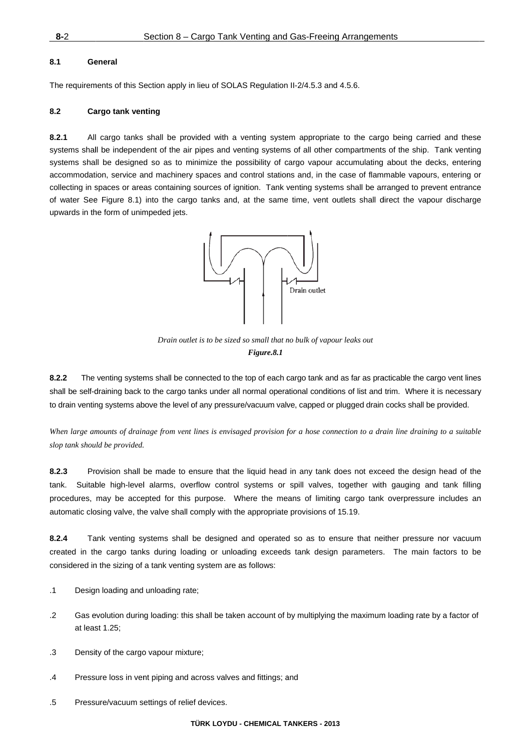## **8.1 Ge eneral**

The requirements of this Section apply in lieu of SOLAS Regulation II-2/4.5.3 and 4.5.6.

## 8.2 Cargo tank venting

**8.2.1** All systems shall be independent of the air pipes and venting systems of all other compartments of the ship. Tank venting systems shall be designed so as to minimize the possibility of cargo vapour accumulating about the decks, entering accommodation, service and machinery spaces and control stations and, in the case of flammable vapours, entering or collecting in spaces or areas containing sources of ignition. Tank venting systems shall be arranged to prevent entrance of water See Figure 8.1) into the cargo tanks and, at the same time, vent outlets shall direct the vapour discharge upwards in the form of unimpeded jets. cargo tanks shall be provided with a venting system appropriate to the cargo being carried and these eegg<br>gg<br>es<br>ry



*Drain outlet is to be sized so small that no bulk of vapour leaks out Figure.8.1* 

8.2.2 The venting systems shall be connected to the top of each cargo tank and as far as practicable the cargo vent lines shall be self-draining back to the cargo tanks under all normal operational conditions of list and trim. Where it is necessary to drain venting systems above the level of any pressure/vacuum valve, capped or plugged drain cocks shall be provided.

When large amounts of drainage from vent lines is envisaged provision for a hose connection to a drain line draining to a suitable *slop tank shou ld be provided.*

**8.2.3** Pro tank. Suitable high-level alarms, overflow control systems or spill valves, together with gauging and tank filling procedures, may be accepted for this purpose. Where the means of limiting cargo tank overpressure includes an automatic closing valve, the valve shall comply with the appropriate provisions of 15.19. ovision shall be made to ensure that the liquid head in any tank does not exceed the design head of the าe<br>าg<br>m<br>วe

 $8.2.4$ created in the cargo tanks during loading or unloading exceeds tank design parameters. The main factors to be considered in the sizing of a tank venting system are as follows: ank venting systems shall be designed and operated so as to ensure that neither pressure nor vacuum

- .1 Design loading and unloading rate;
- .2 Gas evolution during loading: this shall be taken account of by multiplying the maximum loading rate by a factor of at least 1.25;
- .3 Density of the cargo vapour mixture;
- .4 Pressure loss in vent piping and across valves and fittings; and
- .5 Pressure/vacuum settings of relief devices.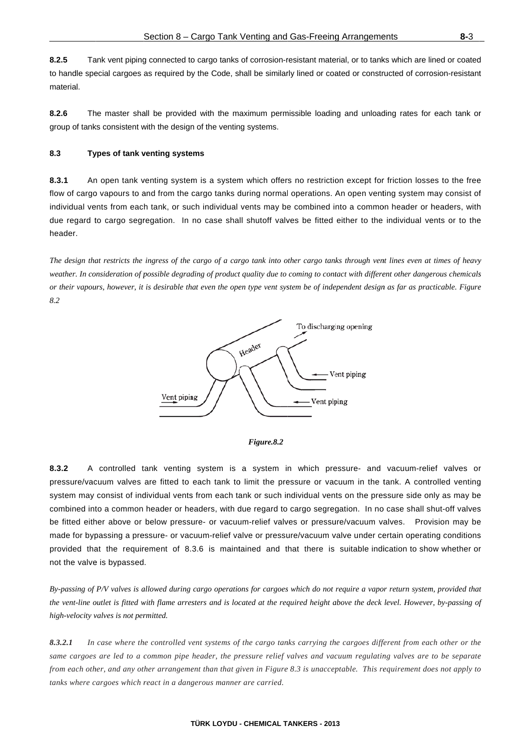**8.2.5** Ta to handle special cargoes as required by the Code, shall be similarly lined or coated or constructed of corrosion-resistant material. ank vent piping connected to cargo tanks of corrosion-resistant material, or to tanks which are lined or coated

**8.2.6** Th group of tanks consistent with the design of the venting systems. he master shall be provided with the maximum permissible loading and unloading rates for each tank or

## **8.3 Ty ypes of tank v venting syste ems**

**8.3.1** An flow of cargo vapours to and from the cargo tanks during normal operations. An open venting system may consist of individual vents from each tank, or such individual vents may be combined into a common header or headers, with due regard to cargo segregation. In no case shall shutoff valves be fitted either to the individual vents or to the header. n open tank venting system is a system which offers no restriction except for friction losses to the free d<br>nt<br>e<br>bf<br>e

*The design that restricts the ingress of the cargo of a cargo tank into other cargo tanks through vent lines even at times of heavy ding the consideration of possible degrading of product quality due to coming to contact with different other dangerous chemicals or their vapours, however, it is desirable that even the open type vent system be of independent design as far as practicable. Figure 8.2*  y<br>ls<br>e





**8.3.2** A pressure/vacuum valves are fitted to each tank to limit the pressure or vacuum in the tank. A controlled venting system may consist of individual vents from each tank or such individual vents on the pressure side only as may be combined into a common header or headers, with due regard to cargo segregation. In no case shall shut-off valves be fitted either above or below pressure- or vacuum-relief valves or pressure/vacuum valves. Provision may be made for bypassing a pressure- or vacuum-relief valve or pressure/vacuum valve under certain operating conditions provided that the requirement of 8.3.6 is maintained and that there is suitable indication to show whether or not the valve is bypassed. controlled tank venting system is a system in which pressure- and vacuum-relief valves or prgeses

By-passing of P/V valves is allowed during cargo operations for cargoes which do not require a vapor return system, provided that *the vent-line outlet is fitted with flame arresters and is located at the required height above the deck level. However, by-passing of high-velocity v valves is not per rmitted.* 

*8.3.2.1 In same cargoes are led to a common pipe header, the pressure relief valves and vacuum regulating valves are to be separate from each other, and any other arrangement than that given in Figure 8.3 is unacceptable. This requirement does not apply to tanks where cargoes which react in a dangerous manner are carried. case where the controlled vent systems of the cargo tanks carrying the cargoes different from each other or the feeo*

#### **T TÜRK LOYDU - - CHEMICAL T ANKERS - 201 3**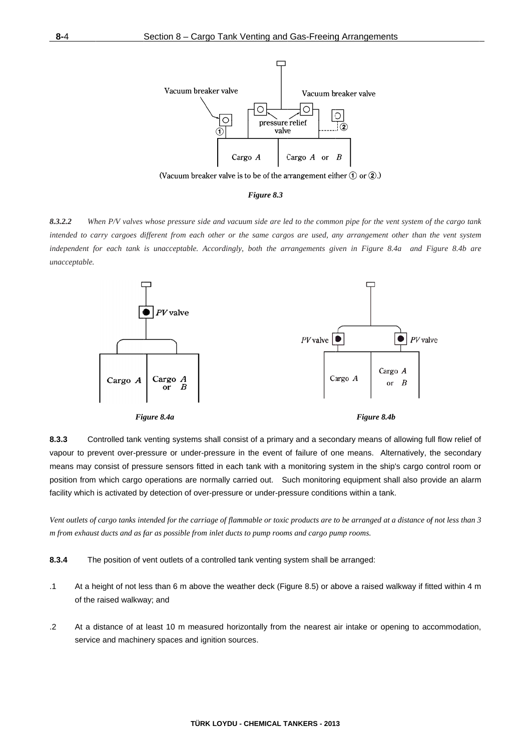

(Vacuum breaker valve is to be of the arrangement either  $(1)$  or  $(2)$ .)



*8.3.2.2 Wh intended to ca arry cargoes d different from e each other or t the same cargo os are used, a any arrangemen nt other than t the vent system independent fo for each tank is unacceptabl le. Accordingly y, both the ar rrangements gi iven in Figure 8.4a and F Figure 8.4b are unacceptable. hen P/V valves whose pressur e side and vacu uum side are le ed to the comm on pipe for the e vent system of f the cargo tank kme*



**8.3.3** Co vapour to prevent over-pressure or under-pressure in the event of failure of one means. Alternatively, the secondary means may consist of pressure sensors fitted in each tank with a monitoring system in the ship's cargo control room or position from which cargo operations are normally carried out. Such monitoring equipment shall also provide an alarm facility which is activated by detection of over-pressure or under-pressure conditions within a tank. ontrolled tank venting systems shall consist of a primary and a secondary means of allowing full flow relief of of ry or m $\frac{1}{3}$  m,

*Vent outlets of f cargo tanks in tended for the c carriage of flam mmable or toxic c products are t to be arranged at a distance of f not less than 3 m* from exhaust ducts and as far as possible from inlet ducts to pump rooms and cargo pump rooms.

- **8.3.4** Th he position of vent outlets of a controlled tank venting system shall be arranged:
- .1 At a height of not less than 6 m above the weather deck (Figure 8.5) or above a raised walkway if fitted within 4 m of the raised walkway; and
- .2 At a d distance of at least 10 m m measured hori zontally from the nearest a air intake or o opening to acc commodation service and machinery spaces and ignition sources.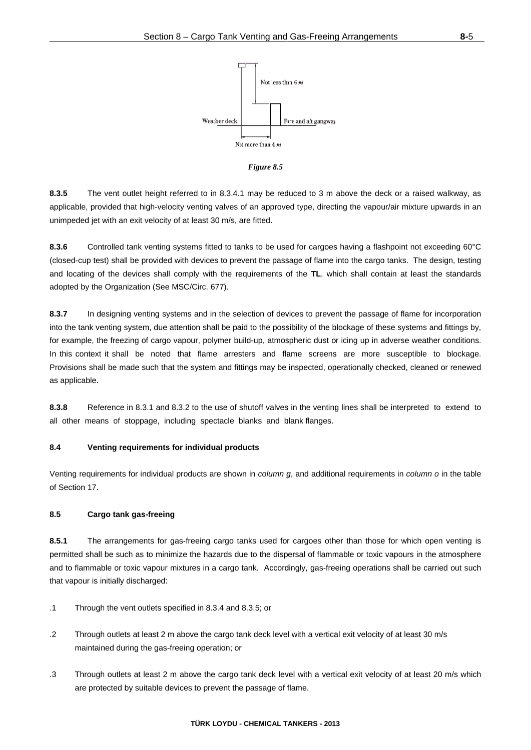

Figure 8.5

 $8.3.5$ The vent outlet height referred to in 8.3.4.1 may be reduced to 3 m above the deck or a raised walkway, as applicable, provided that high-velocity venting valves of an approved type, directing the vapour/air mixture upwards in an unimpeded jet with an exit velocity of at least 30 m/s, are fitted.

8.3.6 Controlled tank venting systems fitted to tanks to be used for cargoes having a flashpoint not exceeding 60°C (closed-cup test) shall be provided with devices to prevent the passage of flame into the cargo tanks. The design, testing and locating of the devices shall comply with the requirements of the TL, which shall contain at least the standards adopted by the Organization (See MSC/Circ. 677).

8.3.7 In designing venting systems and in the selection of devices to prevent the passage of flame for incorporation into the tank venting system, due attention shall be paid to the possibility of the blockage of these systems and fittings by, for example, the freezing of cargo vapour, polymer build-up, atmospheric dust or icing up in adverse weather conditions. In this context it shall be noted that flame arresters and flame screens are more susceptible to blockage. Provisions shall be made such that the system and fittings may be inspected, operationally checked, cleaned or renewed as applicable.

8.3.8 Reference in 8.3.1 and 8.3.2 to the use of shutoff valves in the venting lines shall be interpreted to extend to all other means of stoppage, including spectacle blanks and blank flanges.

#### $8.4$ Venting requirements for individual products

Venting requirements for individual products are shown in *column q*, and additional requirements in *column o* in the table of Section 17.

#### $8.5$ Cargo tank gas-freeing

 $8.5.1$ The arrangements for gas-freeing cargo tanks used for cargoes other than those for which open venting is permitted shall be such as to minimize the hazards due to the dispersal of flammable or toxic vapours in the atmosphere and to flammable or toxic vapour mixtures in a cargo tank. Accordingly, gas-freeing operations shall be carried out such that vapour is initially discharged:

- $\cdot$ 1 Through the vent outlets specified in 8.3.4 and 8.3.5; or
- $\overline{.2}$ Through outlets at least 2 m above the cargo tank deck level with a vertical exit velocity of at least 30 m/s maintained during the gas-freeing operation; or
- $\cdot$ 3 Through outlets at least 2 m above the cargo tank deck level with a vertical exit velocity of at least 20 m/s which are protected by suitable devices to prevent the passage of flame.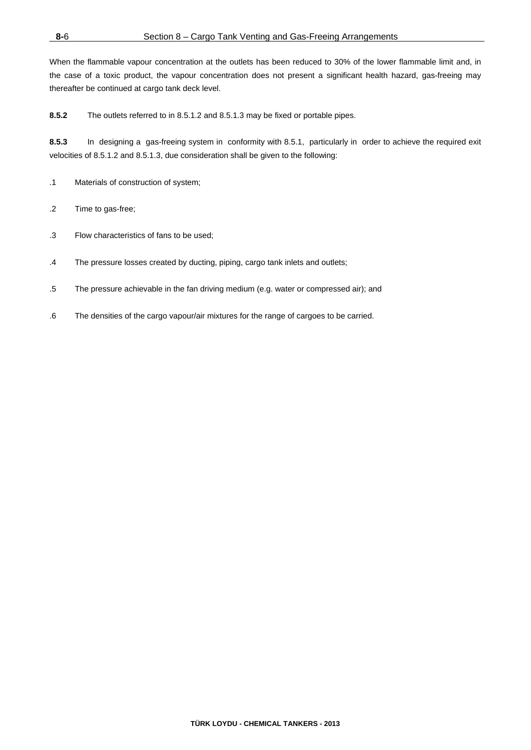When the flammable vapour concentration at the outlets has been reduced to 30% of the lower flammable limit and, in the case of a toxic product, the vapour concentration does not present a significant health hazard, gas-freeing may thereafter be continued at cargo tank deck level.

**8.5.2** The outlets referred to in 8.5.1.2 and 8.5.1.3 may be fixed or portable pipes.

**8.5.3** In designing a gas-freeing system in conformity with 8.5.1, particularly in order to achieve the required exit velocities of 8.5.1.2 and 8.5.1.3, due consideration shall be given to the following:

- .1 Materials of construction of system;
- .2 Time to gas-free;
- .3 Flow characteristics of fans to be used;
- .4 The pressure losses created by ducting, piping, cargo tank inlets and outlets;
- .5 The pressure achievable in the fan driving medium (e.g. water or compressed air); and
- .6 The densities of the cargo vapour/air mixtures for the range of cargoes to be carried.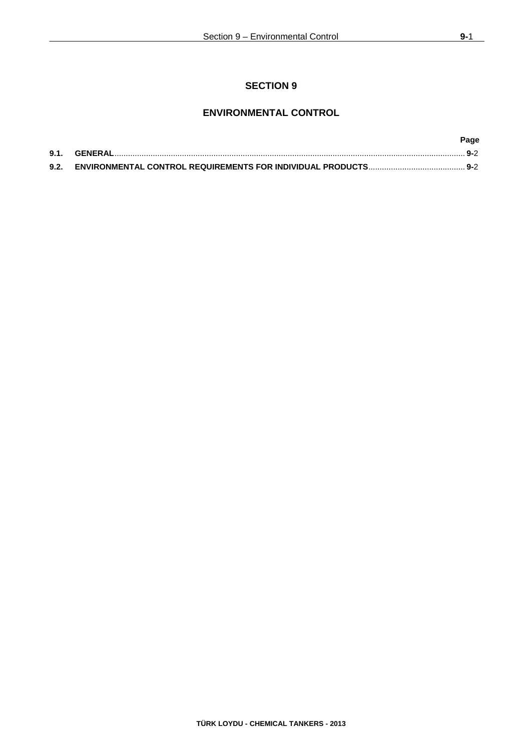# **SECTION 9**

# **ENVIRONMENTAL CONTROL**

|      | Page |
|------|------|
| 9.1. | 9-2  |
| 9.2. |      |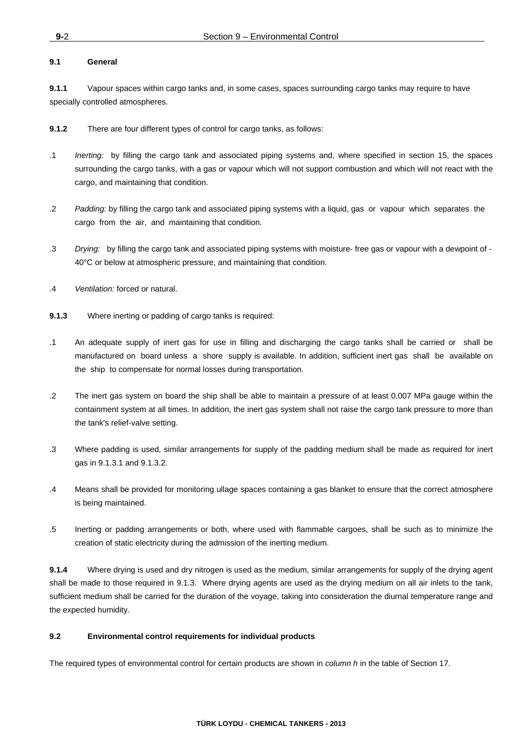## **9.1 General**

**9.1.1** Vapour spaces within cargo tanks and, in some cases, spaces surrounding cargo tanks may require to have specially controlled atmospheres.

**9.1.2** There are four different types of control for cargo tanks, as follows:

- .1 *Inerting:* by filling the cargo tank and associated piping systems and, where specified in section 15, the spaces surrounding the cargo tanks, with a gas or vapour which will not support combustion and which will not react with the cargo, and maintaining that condition.
- .2 *Padding:* by filling the cargo tank and associated piping systems with a liquid, gas or vapour which separates the cargo from the air, and maintaining that condition.
- .3 *Drying:* by filling the cargo tank and associated piping systems with moisture- free gas or vapour with a dewpoint of 40°C or below at atmospheric pressure, and maintaining that condition.
- .4 *Ventilation:* forced or natural.
- **9.1.3** Where inerting or padding of cargo tanks is required:
- .1 An adequate supply of inert gas for use in filling and discharging the cargo tanks shall be carried or shall be manufactured on board unless a shore supply is available. In addition, sufficient inert gas shall be available on the ship to compensate for normal losses during transportation.
- .2 The inert gas system on board the ship shall be able to maintain a pressure of at least 0.007 MPa gauge within the containment system at all times. In addition, the inert gas system shall not raise the cargo tank pressure to more than the tank's relief-valve setting.
- .3 Where padding is used, similar arrangements for supply of the padding medium shall be made as required for inert gas in 9.1.3.1 and 9.1.3.2.
- .4 Means shall be provided for monitoring ullage spaces containing a gas blanket to ensure that the correct atmosphere is being maintained.
- .5 Inerting or padding arrangements or both, where used with flammable cargoes, shall be such as to minimize the creation of static electricity during the admission of the inerting medium.

**9.1.4** Where drying is used and dry nitrogen is used as the medium, similar arrangements for supply of the drying agent shall be made to those required in 9.1.3. Where drying agents are used as the drying medium on all air inlets to the tank, sufficient medium shall be carried for the duration of the voyage, taking into consideration the diurnal temperature range and the expected humidity.

## **9.2 Environmental control requirements for individual products**

The required types of environmental control for certain products are shown in *column h* in the table of Section 17.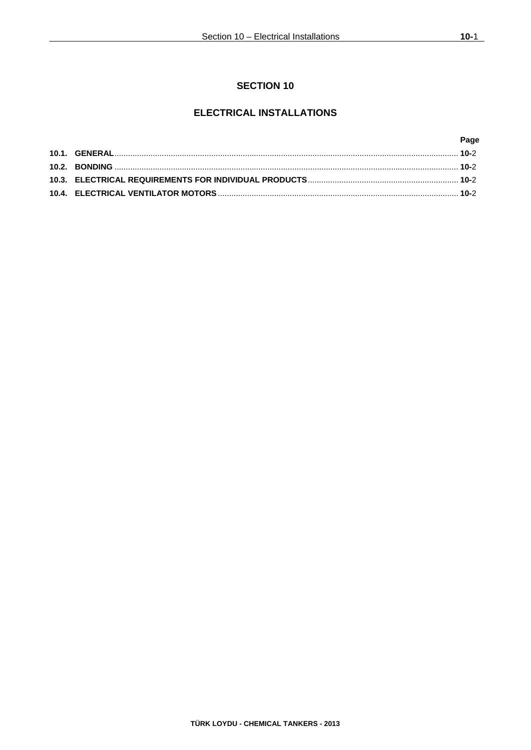# **SECTION 10**

# **ELECTRICAL INSTALLATIONS**

|  | Page |
|--|------|
|  |      |
|  |      |
|  |      |
|  |      |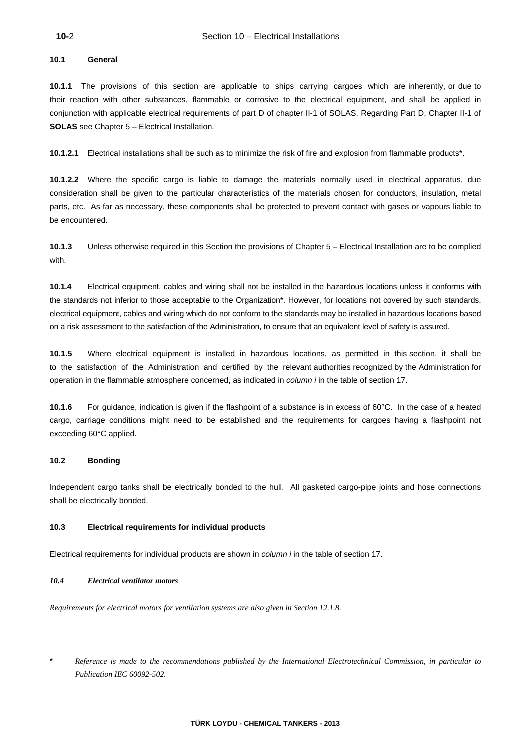## **10.1 General**

**10.1.1** The provisions of this section are applicable to ships carrying cargoes which are inherently, or due to their reaction with other substances, flammable or corrosive to the electrical equipment, and shall be applied in conjunction with applicable electrical requirements of part D of chapter II-1 of SOLAS. Regarding Part D, Chapter II-1 of **SOLAS** see Chapter 5 – Electrical Installation.

**10.1.2.1** Electrical installations shall be such as to minimize the risk of fire and explosion from flammable products\*.

**10.1.2.2** Where the specific cargo is liable to damage the materials normally used in electrical apparatus, due consideration shall be given to the particular characteristics of the materials chosen for conductors, insulation, metal parts, etc. As far as necessary, these components shall be protected to prevent contact with gases or vapours liable to be encountered.

**10.1.3** Unless otherwise required in this Section the provisions of Chapter 5 – Electrical Installation are to be complied with.

**10.1.4** Electrical equipment, cables and wiring shall not be installed in the hazardous locations unless it conforms with the standards not inferior to those acceptable to the Organization\*. However, for locations not covered by such standards, electrical equipment, cables and wiring which do not conform to the standards may be installed in hazardous locations based on a risk assessment to the satisfaction of the Administration, to ensure that an equivalent level of safety is assured.

**10.1.5** Where electrical equipment is installed in hazardous locations, as permitted in this section, it shall be to the satisfaction of the Administration and certified by the relevant authorities recognized by the Administration for operation in the flammable atmosphere concerned, as indicated in *column i* in the table of section 17.

**10.1.6** For guidance, indication is given if the flashpoint of a substance is in excess of 60°C. In the case of a heated cargo, carriage conditions might need to be established and the requirements for cargoes having a flashpoint not exceeding 60°C applied.

#### **10.2 Bonding**

Independent cargo tanks shall be electrically bonded to the hull. All gasketed cargo-pipe joints and hose connections shall be electrically bonded.

#### **10.3 Electrical requirements for individual products**

Electrical requirements for individual products are shown in *column i* in the table of section 17.

## *10.4 Electrical ventilator motors*

*Requirements for electrical motors for ventilation systems are also given in Section 12.1.8.*

<sup>\*</sup> *Reference is made to the recommendations published by the International Electrotechnical Commission, in particular to Publication IEC 60092-502.*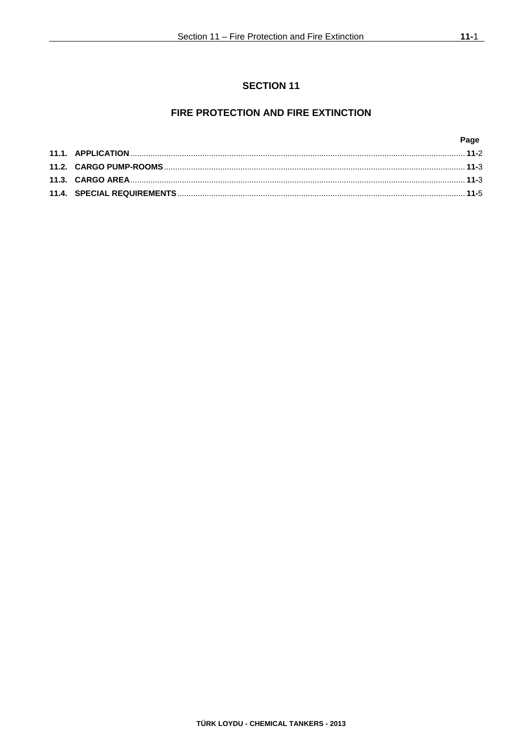# FIRE PROTECTION AND FIRE EXTINCTION

|  | Page |
|--|------|
|  |      |
|  |      |
|  |      |
|  |      |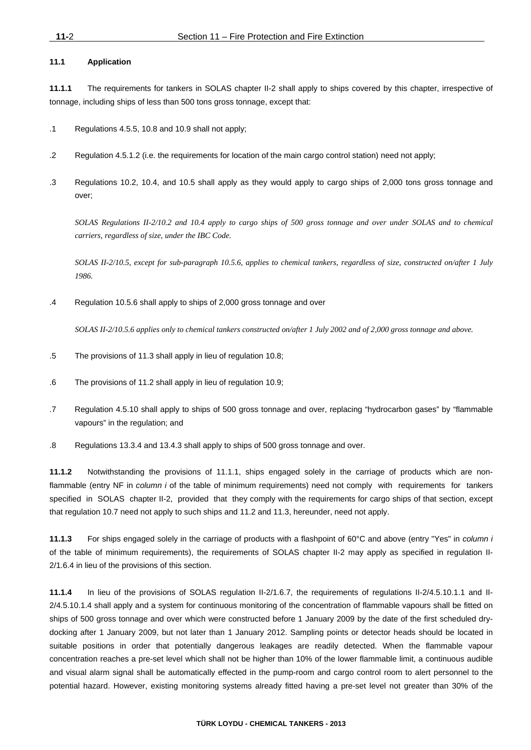# **11.1 Application**

**11.1.1** The requirements for tankers in SOLAS chapter II-2 shall apply to ships covered by this chapter, irrespective of tonnage, including ships of less than 500 tons gross tonnage, except that:

- .1 Regulations 4.5.5, 10.8 and 10.9 shall not apply;
- .2 Regulation 4.5.1.2 (i.e. the requirements for location of the main cargo control station) need not apply;
- .3 Regulations 10.2, 10.4, and 10.5 shall apply as they would apply to cargo ships of 2,000 tons gross tonnage and over;

*SOLAS Regulations II-2/10.2 and 10.4 apply to cargo ships of 500 gross tonnage and over under SOLAS and to chemical carriers, regardless of size, under the IBC Code.* 

 *SOLAS II-2/10.5, except for sub-paragraph 10.5.6, applies to chemical tankers, regardless of size, constructed on/after 1 July 1986.* 

.4 Regulation 10.5.6 shall apply to ships of 2,000 gross tonnage and over

*SOLAS II-2/10.5.6 applies only to chemical tankers constructed on/after 1 July 2002 and of 2,000 gross tonnage and above.* 

- .5 The provisions of 11.3 shall apply in lieu of regulation 10.8;
- .6 The provisions of 11.2 shall apply in lieu of regulation 10.9;
- .7 Regulation 4.5.10 shall apply to ships of 500 gross tonnage and over, replacing "hydrocarbon gases" by "flammable vapours" in the regulation; and
- .8 Regulations 13.3.4 and 13.4.3 shall apply to ships of 500 gross tonnage and over.

**11.1.2** Notwithstanding the provisions of 11.1.1, ships engaged solely in the carriage of products which are nonflammable (entry NF in *column i* of the table of minimum requirements) need not comply with requirements for tankers specified in SOLAS chapter II-2, provided that they comply with the requirements for cargo ships of that section, except that regulation 10.7 need not apply to such ships and 11.2 and 11.3, hereunder, need not apply.

**11.1.3** For ships engaged solely in the carriage of products with a flashpoint of 60°C and above (entry "Yes" in *column i* of the table of minimum requirements), the requirements of SOLAS chapter II-2 may apply as specified in regulation II-2/1.6.4 in lieu of the provisions of this section.

**11.1.4** In lieu of the provisions of SOLAS regulation II-2/1.6.7, the requirements of regulations II-2/4.5.10.1.1 and II-2/4.5.10.1.4 shall apply and a system for continuous monitoring of the concentration of flammable vapours shall be fitted on ships of 500 gross tonnage and over which were constructed before 1 January 2009 by the date of the first scheduled drydocking after 1 January 2009, but not later than 1 January 2012. Sampling points or detector heads should be located in suitable positions in order that potentially dangerous leakages are readily detected. When the flammable vapour concentration reaches a pre-set level which shall not be higher than 10% of the lower flammable limit, a continuous audible and visual alarm signal shall be automatically effected in the pump-room and cargo control room to alert personnel to the potential hazard. However, existing monitoring systems already fitted having a pre-set level not greater than 30% of the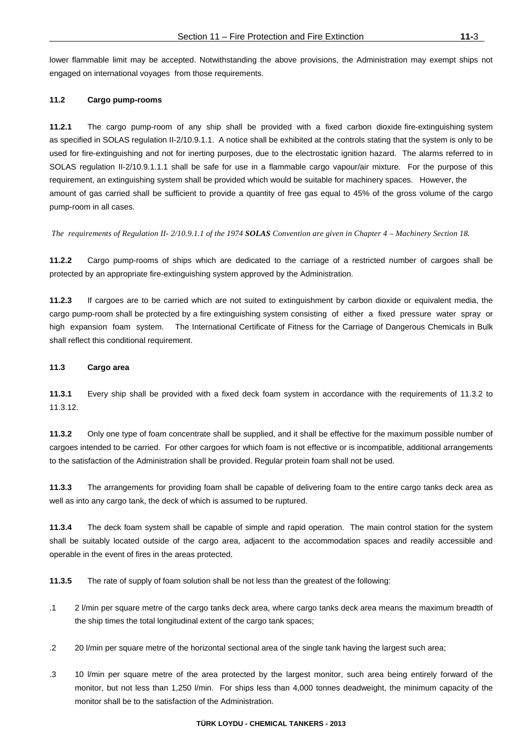lower flammable limit may be accepted. Notwithstanding the above provisions, the Administration may exempt ships not engaged on international voyages from those requirements.

## **11.2 Cargo pump-rooms**

**11.2.1** The cargo pump-room of any ship shall be provided with a fixed carbon dioxide fire-extinguishing system as specified in SOLAS regulation II-2/10.9.1.1. A notice shall be exhibited at the controls stating that the system is only to be used for fire-extinguishing and not for inerting purposes, due to the electrostatic ignition hazard. The alarms referred to in SOLAS regulation II-2/10.9.1.1.1 shall be safe for use in a flammable cargo vapour/air mixture. For the purpose of this requirement, an extinguishing system shall be provided which would be suitable for machinery spaces. However, the amount of gas carried shall be sufficient to provide a quantity of free gas equal to 45% of the gross volume of the cargo pump-room in all cases.

*The requirements of Regulation II- 2/10.9.1.1 of the 1974 SOLAS Convention are given in Chapter 4 – Machinery Section 18.* 

**11.2.2** Cargo pump-rooms of ships which are dedicated to the carriage of a restricted number of cargoes shall be protected by an appropriate fire-extinguishing system approved by the Administration.

**11.2.3** If cargoes are to be carried which are not suited to extinguishment by carbon dioxide or equivalent media, the cargo pump-room shall be protected by a fire extinguishing system consisting of either a fixed pressure water spray or high expansion foam system. The International Certificate of Fitness for the Carriage of Dangerous Chemicals in Bulk shall reflect this conditional requirement.

## **11.3 Cargo area**

**11.3.1** Every ship shall be provided with a fixed deck foam system in accordance with the requirements of 11.3.2 to 11.3.12.

**11.3.2** Only one type of foam concentrate shall be supplied, and it shall be effective for the maximum possible number of cargoes intended to be carried. For other cargoes for which foam is not effective or is incompatible, additional arrangements to the satisfaction of the Administration shall be provided. Regular protein foam shall not be used.

**11.3.3** The arrangements for providing foam shall be capable of delivering foam to the entire cargo tanks deck area as well as into any cargo tank, the deck of which is assumed to be ruptured.

**11.3.4** The deck foam system shall be capable of simple and rapid operation. The main control station for the system shall be suitably located outside of the cargo area, adjacent to the accommodation spaces and readily accessible and operable in the event of fires in the areas protected.

**11.3.5** The rate of supply of foam solution shall be not less than the greatest of the following:

- .1 2 l/min per square metre of the cargo tanks deck area, where cargo tanks deck area means the maximum breadth of the ship times the total longitudinal extent of the cargo tank spaces;
- .2 20 l/min per square metre of the horizontal sectional area of the single tank having the largest such area;
- .3 10 l/min per square metre of the area protected by the largest monitor, such area being entirely forward of the monitor, but not less than 1,250 l/min. For ships less than 4,000 tonnes deadweight, the minimum capacity of the monitor shall be to the satisfaction of the Administration.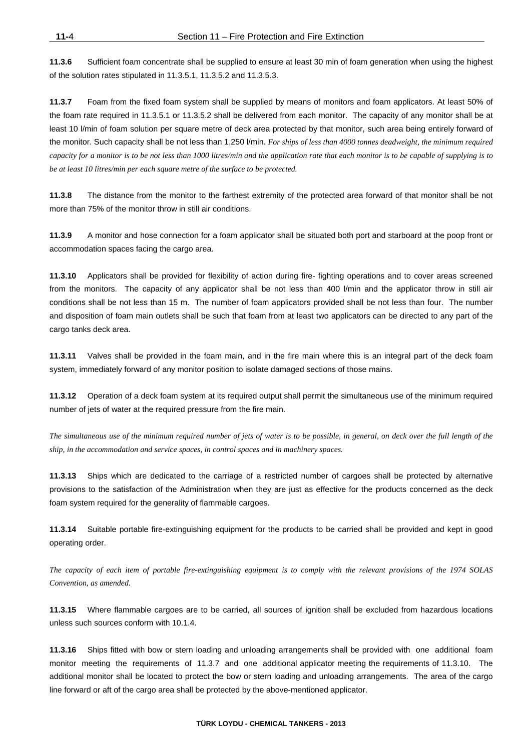**11.3.6** Sufficient foam concentrate shall be supplied to ensure at least 30 min of foam generation when using the highest of the solution rates stipulated in 11.3.5.1, 11.3.5.2 and 11.3.5.3.

**11.3.7** Foam from the fixed foam system shall be supplied by means of monitors and foam applicators. At least 50% of the foam rate required in 11.3.5.1 or 11.3.5.2 shall be delivered from each monitor. The capacity of any monitor shall be at least 10 l/min of foam solution per square metre of deck area protected by that monitor, such area being entirely forward of the monitor. Such capacity shall be not less than 1,250 l/min. *For ships of less than 4000 tonnes deadweight, the minimum required capacity for a monitor is to be not less than 1000 litres/min and the application rate that each monitor is to be capable of supplying is to be at least 10 litres/min per each square metre of the surface to be protected.*

**11.3.8** The distance from the monitor to the farthest extremity of the protected area forward of that monitor shall be not more than 75% of the monitor throw in still air conditions.

**11.3.9** A monitor and hose connection for a foam applicator shall be situated both port and starboard at the poop front or accommodation spaces facing the cargo area.

**11.3.10** Applicators shall be provided for flexibility of action during fire- fighting operations and to cover areas screened from the monitors. The capacity of any applicator shall be not less than 400 l/min and the applicator throw in still air conditions shall be not less than 15 m. The number of foam applicators provided shall be not less than four. The number and disposition of foam main outlets shall be such that foam from at least two applicators can be directed to any part of the cargo tanks deck area.

**11.3.11** Valves shall be provided in the foam main, and in the fire main where this is an integral part of the deck foam system, immediately forward of any monitor position to isolate damaged sections of those mains.

**11.3.12** Operation of a deck foam system at its required output shall permit the simultaneous use of the minimum required number of jets of water at the required pressure from the fire main.

*The simultaneous use of the minimum required number of jets of water is to be possible, in general, on deck over the full length of the ship, in the accommodation and service spaces, in control spaces and in machinery spaces.* 

**11.3.13** Ships which are dedicated to the carriage of a restricted number of cargoes shall be protected by alternative provisions to the satisfaction of the Administration when they are just as effective for the products concerned as the deck foam system required for the generality of flammable cargoes.

**11.3.14** Suitable portable fire-extinguishing equipment for the products to be carried shall be provided and kept in good operating order.

*The capacity of each item of portable fire-extinguishing equipment is to comply with the relevant provisions of the 1974 SOLAS Convention, as amended.* 

**11.3.15** Where flammable cargoes are to be carried, all sources of ignition shall be excluded from hazardous locations unless such sources conform with 10.1.4.

**11.3.16** Ships fitted with bow or stern loading and unloading arrangements shall be provided with one additional foam monitor meeting the requirements of 11.3.7 and one additional applicator meeting the requirements of 11.3.10. The additional monitor shall be located to protect the bow or stern loading and unloading arrangements. The area of the cargo line forward or aft of the cargo area shall be protected by the above-mentioned applicator.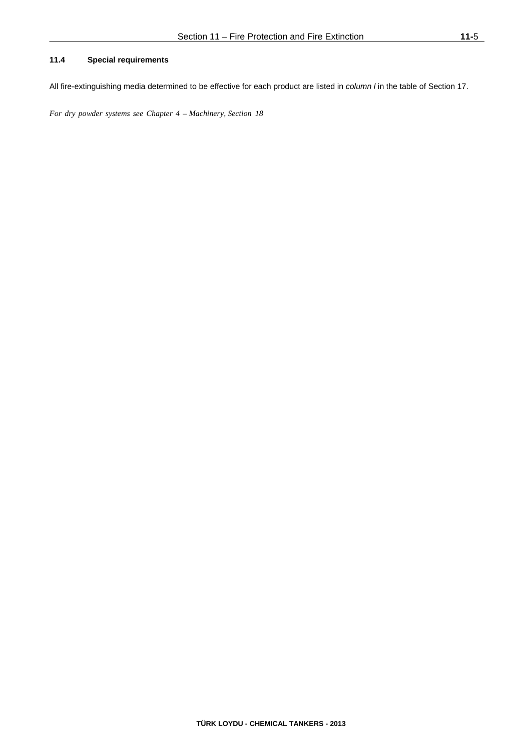# **11.4 Special requirements**

All fire-extinguishing media determined to be effective for each product are listed in *column l* in the table of Section 17.

*For dry powder systems see Chapter 4 – Machinery, Section 18*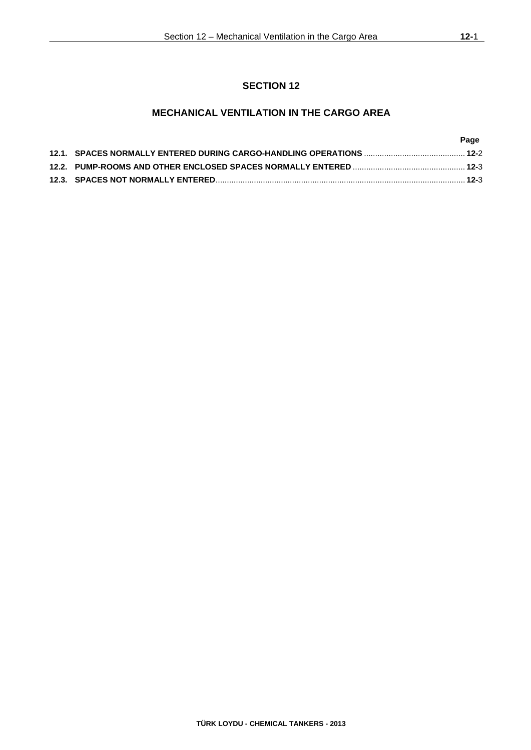# **SECTION 12**

# **MECHANICAL VENTILATION IN THE CARGO AREA**

|  | Page |
|--|------|
|  |      |
|  |      |
|  |      |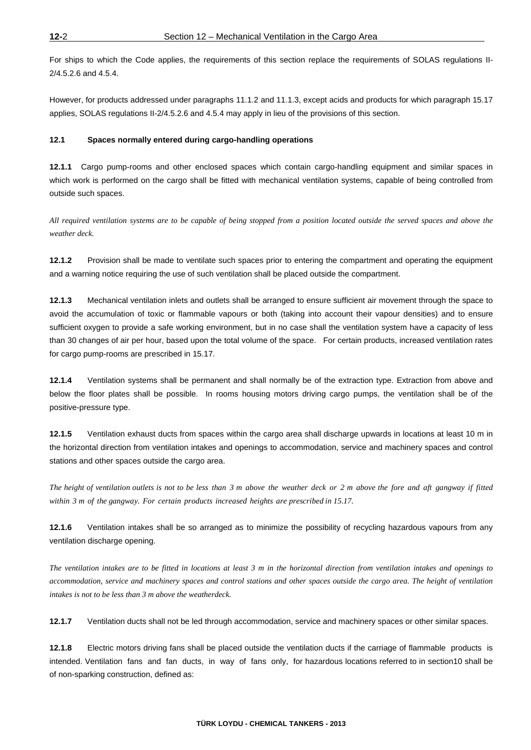For ships to which the Code applies, the requirements of this section replace the requirements of SOLAS regulations II-2/4.5.2.6 and 4.5.4.

However, for products addressed under paragraphs 11.1.2 and 11.1.3, except acids and products for which paragraph 15.17 applies, SOLAS regulations II-2/4.5.2.6 and 4.5.4 may apply in lieu of the provisions of this section.

## **12.1 Spaces normally entered during cargo-handling operations**

**12.1.1** Cargo pump-rooms and other enclosed spaces which contain cargo-handling equipment and similar spaces in which work is performed on the cargo shall be fitted with mechanical ventilation systems, capable of being controlled from outside such spaces.

*All required ventilation systems are to be capable of being stopped from a position located outside the served spaces and above the weather deck.* 

**12.1.2** Provision shall be made to ventilate such spaces prior to entering the compartment and operating the equipment and a warning notice requiring the use of such ventilation shall be placed outside the compartment.

**12.1.3** Mechanical ventilation inlets and outlets shall be arranged to ensure sufficient air movement through the space to avoid the accumulation of toxic or flammable vapours or both (taking into account their vapour densities) and to ensure sufficient oxygen to provide a safe working environment, but in no case shall the ventilation system have a capacity of less than 30 changes of air per hour, based upon the total volume of the space. For certain products, increased ventilation rates for cargo pump-rooms are prescribed in 15.17.

**12.1.4** Ventilation systems shall be permanent and shall normally be of the extraction type. Extraction from above and below the floor plates shall be possible. In rooms housing motors driving cargo pumps, the ventilation shall be of the positive-pressure type.

**12.1.5** Ventilation exhaust ducts from spaces within the cargo area shall discharge upwards in locations at least 10 m in the horizontal direction from ventilation intakes and openings to accommodation, service and machinery spaces and control stations and other spaces outside the cargo area.

*The height of ventilation outlets is not to be less than 3 m above the weather deck or 2 m above the fore and aft gangway if fitted within 3 m of the gangway. For certain products increased heights are prescribed in 15.17.* 

**12.1.6** Ventilation intakes shall be so arranged as to minimize the possibility of recycling hazardous vapours from any ventilation discharge opening.

*The ventilation intakes are to be fitted in locations at least 3 m in the horizontal direction from ventilation intakes and openings to accommodation, service and machinery spaces and control stations and other spaces outside the cargo area. The height of ventilation intakes is not to be less than 3 m above the weatherdeck.* 

**12.1.7** Ventilation ducts shall not be led through accommodation, service and machinery spaces or other similar spaces.

**12.1.8** Electric motors driving fans shall be placed outside the ventilation ducts if the carriage of flammable products is intended. Ventilation fans and fan ducts, in way of fans only, for hazardous locations referred to in section10 shall be of non-sparking construction, defined as: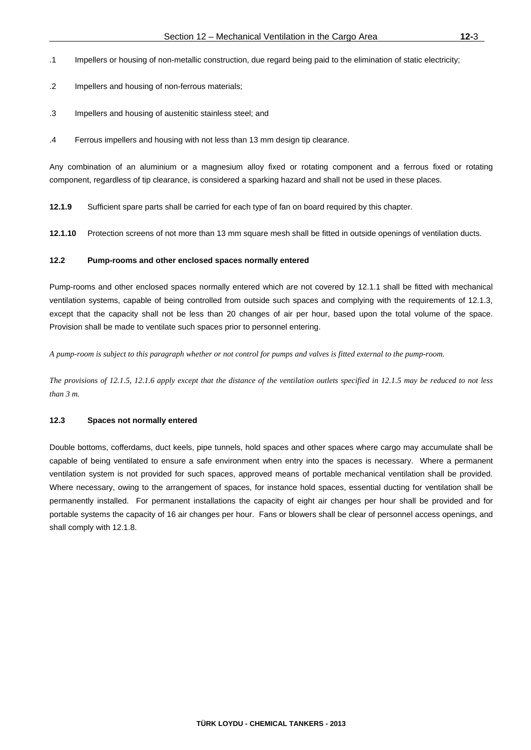- .1 Impellers or housing of non-metallic construction, due regard being paid to the elimination of static electricity;
- .2 Impellers and housing of non-ferrous materials;
- .3 Impellers and housing of austenitic stainless steel; and
- .4 Ferrous impellers and housing with not less than 13 mm design tip clearance.

Any combination of an aluminium or a magnesium alloy fixed or rotating component and a ferrous fixed or rotating component, regardless of tip clearance, is considered a sparking hazard and shall not be used in these places.

**12.1.9** Sufficient spare parts shall be carried for each type of fan on board required by this chapter.

**12.1.10** Protection screens of not more than 13 mm square mesh shall be fitted in outside openings of ventilation ducts.

## **12.2 Pump-rooms and other enclosed spaces normally entered**

Pump-rooms and other enclosed spaces normally entered which are not covered by 12.1.1 shall be fitted with mechanical ventilation systems, capable of being controlled from outside such spaces and complying with the requirements of 12.1.3, except that the capacity shall not be less than 20 changes of air per hour, based upon the total volume of the space. Provision shall be made to ventilate such spaces prior to personnel entering.

*A pump-room is subject to this paragraph whether or not control for pumps and valves is fitted external to the pump-room.* 

*The provisions of 12.1.5, 12.1.6 apply except that the distance of the ventilation outlets specified in 12.1.5 may be reduced to not less than 3 m.* 

#### **12.3 Spaces not normally entered**

Double bottoms, cofferdams, duct keels, pipe tunnels, hold spaces and other spaces where cargo may accumulate shall be capable of being ventilated to ensure a safe environment when entry into the spaces is necessary. Where a permanent ventilation system is not provided for such spaces, approved means of portable mechanical ventilation shall be provided. Where necessary, owing to the arrangement of spaces, for instance hold spaces, essential ducting for ventilation shall be permanently installed. For permanent installations the capacity of eight air changes per hour shall be provided and for portable systems the capacity of 16 air changes per hour. Fans or blowers shall be clear of personnel access openings, and shall comply with 12.1.8.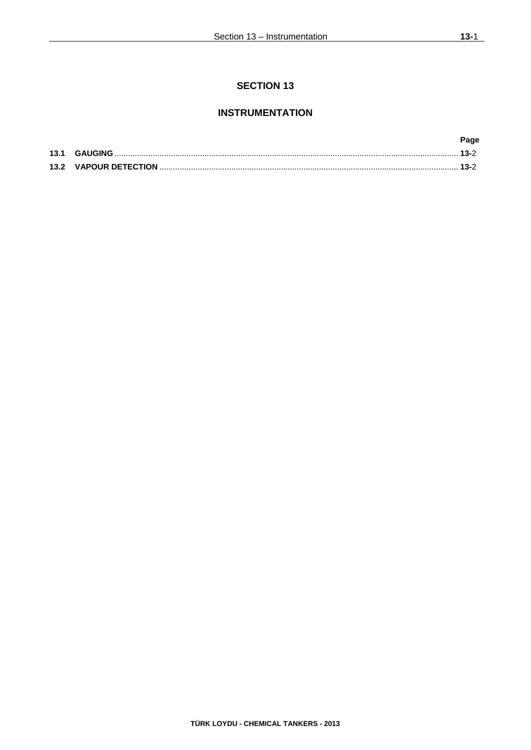# **INSTRUMENTATION**

|  | Page |
|--|------|
|  |      |
|  |      |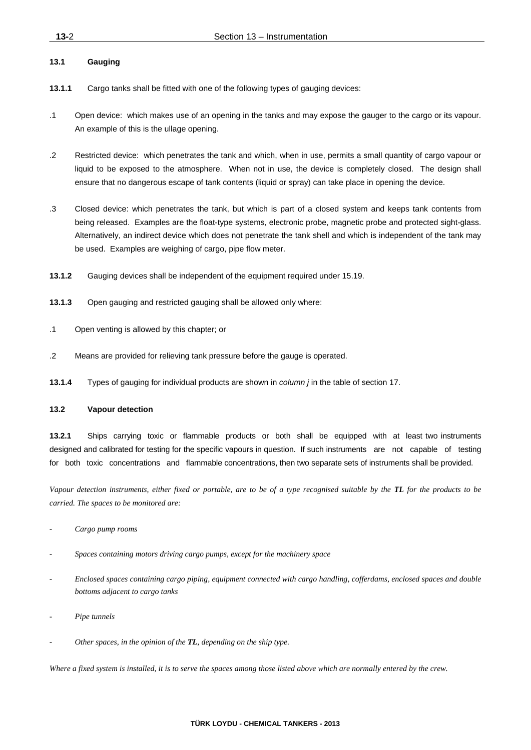## **13.1 Gauging**

- **13.1.1** Cargo tanks shall be fitted with one of the following types of gauging devices:
- .1 Open device: which makes use of an opening in the tanks and may expose the gauger to the cargo or its vapour. An example of this is the ullage opening.
- .2 Restricted device: which penetrates the tank and which, when in use, permits a small quantity of cargo vapour or liquid to be exposed to the atmosphere. When not in use, the device is completely closed. The design shall ensure that no dangerous escape of tank contents (liquid or spray) can take place in opening the device.
- .3 Closed device: which penetrates the tank, but which is part of a closed system and keeps tank contents from being released. Examples are the float-type systems, electronic probe, magnetic probe and protected sight-glass. Alternatively, an indirect device which does not penetrate the tank shell and which is independent of the tank may be used. Examples are weighing of cargo, pipe flow meter.
- **13.1.2** Gauging devices shall be independent of the equipment required under 15.19.
- **13.1.3** Open gauging and restricted gauging shall be allowed only where:
- .1 Open venting is allowed by this chapter; or
- .2 Means are provided for relieving tank pressure before the gauge is operated.
- **13.1.4** Types of gauging for individual products are shown in *column j* in the table of section 17.

## **13.2 Vapour detection**

**13.2.1** Ships carrying toxic or flammable products or both shall be equipped with at least two instruments designed and calibrated for testing for the specific vapours in question. If such instruments are not capable of testing for both toxic concentrations and flammable concentrations, then two separate sets of instruments shall be provided.

*Vapour detection instruments, either fixed or portable, are to be of a type recognised suitable by the TL for the products to be carried. The spaces to be monitored are:* 

- *Cargo pump rooms*
- *Spaces containing motors driving cargo pumps, except for the machinery space*
- *Enclosed spaces containing cargo piping, equipment connected with cargo handling, cofferdams, enclosed spaces and double bottoms adjacent to cargo tanks*
- *Pipe tunnels*
- *Other spaces, in the opinion of the TL, depending on the ship type.*

*Where a fixed system is installed, it is to serve the spaces among those listed above which are normally entered by the crew.*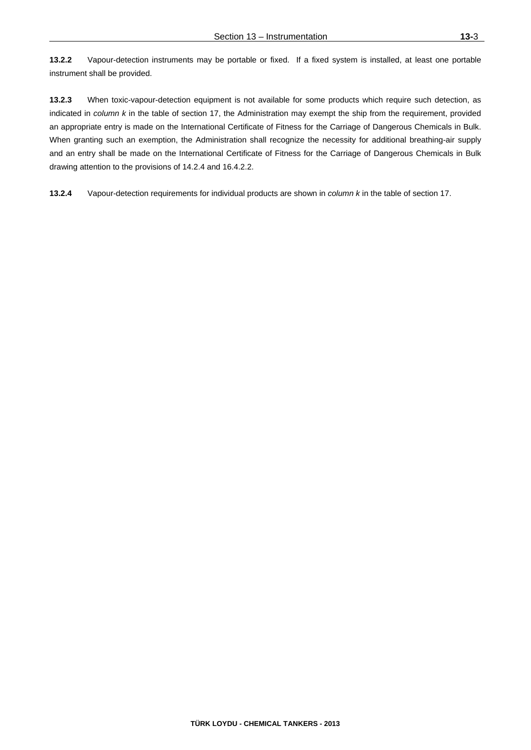**13.2.3** When toxic-vapour-detection equipment is not available for some products which require such detection, as indicated in *column k* in the table of section 17, the Administration may exempt the ship from the requirement, provided an appropriate entry is made on the International Certificate of Fitness for the Carriage of Dangerous Chemicals in Bulk. When granting such an exemption, the Administration shall recognize the necessity for additional breathing-air supply and an entry shall be made on the International Certificate of Fitness for the Carriage of Dangerous Chemicals in Bulk drawing attention to the provisions of 14.2.4 and 16.4.2.2.

**13.2.4** Vapour-detection requirements for individual products are shown in *column k* in the table of section 17.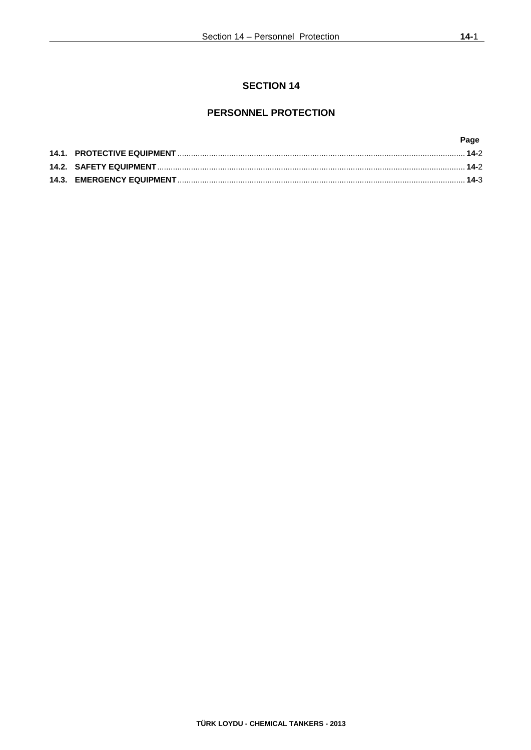# **PERSONNEL PROTECTION**

|  | Page |
|--|------|
|  |      |
|  |      |
|  |      |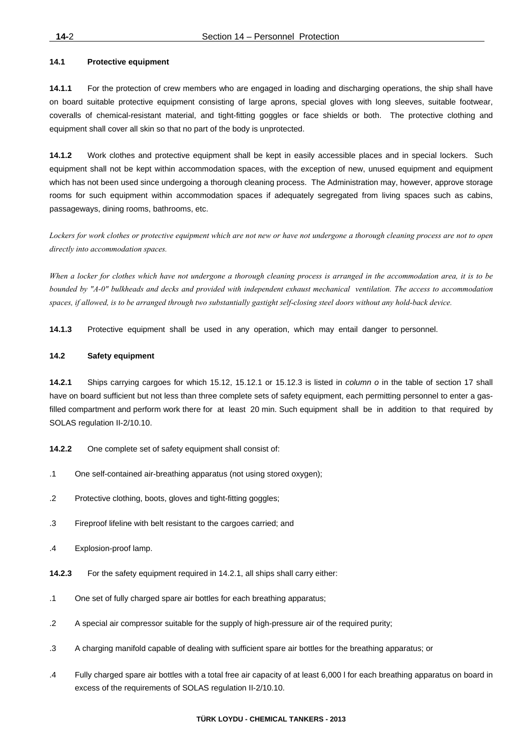## **14.1 Protective equipment**

**14.1.1** For the protection of crew members who are engaged in loading and discharging operations, the ship shall have on board suitable protective equipment consisting of large aprons, special gloves with long sleeves, suitable footwear, coveralls of chemical-resistant material, and tight-fitting goggles or face shields or both. The protective clothing and equipment shall cover all skin so that no part of the body is unprotected.

**14.1.2** Work clothes and protective equipment shall be kept in easily accessible places and in special lockers. Such equipment shall not be kept within accommodation spaces, with the exception of new, unused equipment and equipment which has not been used since undergoing a thorough cleaning process. The Administration may, however, approve storage rooms for such equipment within accommodation spaces if adequately segregated from living spaces such as cabins, passageways, dining rooms, bathrooms, etc.

*Lockers for work clothes or protective equipment which are not new or have not undergone a thorough cleaning process are not to open directly into accommodation spaces.* 

*When a locker for clothes which have not undergone a thorough cleaning process is arranged in the accommodation area, it is to be bounded by "A-0" bulkheads and decks and provided with independent exhaust mechanical ventilation. The access to accommodation spaces, if allowed, is to be arranged through two substantially gastight self-closing steel doors without any hold-back device.*

**14.1.3** Protective equipment shall be used in any operation, which may entail danger to personnel.

### **14.2 Safety equipment**

**14.2.1** Ships carrying cargoes for which 15.12, 15.12.1 or 15.12.3 is listed in *column o* in the table of section 17 shall have on board sufficient but not less than three complete sets of safety equipment, each permitting personnel to enter a gasfilled compartment and perform work there for at least 20 min. Such equipment shall be in addition to that required by SOLAS regulation II-2/10.10.

- **14.2.2** One complete set of safety equipment shall consist of:
- .1 One self-contained air-breathing apparatus (not using stored oxygen);
- .2 Protective clothing, boots, gloves and tight-fitting goggles;
- .3 Fireproof lifeline with belt resistant to the cargoes carried; and
- .4 Explosion-proof lamp.
- **14.2.3** For the safety equipment required in 14.2.1, all ships shall carry either:
- .1 One set of fully charged spare air bottles for each breathing apparatus;
- .2 A special air compressor suitable for the supply of high-pressure air of the required purity;
- .3 A charging manifold capable of dealing with sufficient spare air bottles for the breathing apparatus; or
- .4 Fully charged spare air bottles with a total free air capacity of at least 6,000 l for each breathing apparatus on board in excess of the requirements of SOLAS regulation II-2/10.10.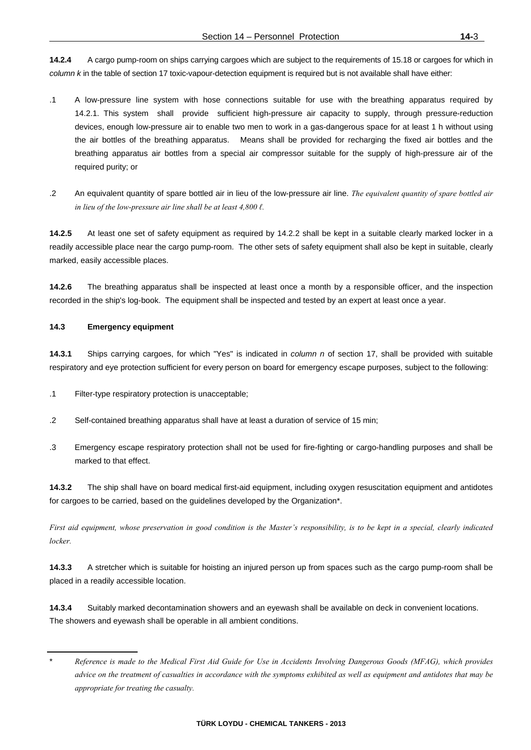**14.2.4** A cargo pump-room on ships carrying cargoes which are subject to the requirements of 15.18 or cargoes for which in *column k* in the table of section 17 toxic-vapour-detection equipment is required but is not available shall have either:

- .1 A low-pressure line system with hose connections suitable for use with the breathing apparatus required by 14.2.1. This system shall provide sufficient high-pressure air capacity to supply, through pressure-reduction devices, enough low-pressure air to enable two men to work in a gas-dangerous space for at least 1 h without using the air bottles of the breathing apparatus. Means shall be provided for recharging the fixed air bottles and the breathing apparatus air bottles from a special air compressor suitable for the supply of high-pressure air of the required purity; or
- .2 An equivalent quantity of spare bottled air in lieu of the low-pressure air line. *The equivalent quantity of spare bottled air in lieu of the low-pressure air line shall be at least 4,800 ℓ.*

**14.2.5** At least one set of safety equipment as required by 14.2.2 shall be kept in a suitable clearly marked locker in a readily accessible place near the cargo pump-room. The other sets of safety equipment shall also be kept in suitable, clearly marked, easily accessible places.

**14.2.6** The breathing apparatus shall be inspected at least once a month by a responsible officer, and the inspection recorded in the ship's log-book. The equipment shall be inspected and tested by an expert at least once a year.

# **14.3 Emergency equipment**

**14.3.1** Ships carrying cargoes, for which "Yes" is indicated in *column n* of section 17, shall be provided with suitable respiratory and eye protection sufficient for every person on board for emergency escape purposes, subject to the following:

.1 Filter-type respiratory protection is unacceptable;

- .2 Self-contained breathing apparatus shall have at least a duration of service of 15 min;
- .3 Emergency escape respiratory protection shall not be used for fire-fighting or cargo-handling purposes and shall be marked to that effect.

**14.3.2** The ship shall have on board medical first-aid equipment, including oxygen resuscitation equipment and antidotes for cargoes to be carried, based on the guidelines developed by the Organization\*.

*First aid equipment, whose preservation in good condition is the Master's responsibility, is to be kept in a special, clearly indicated locker.* 

**14.3.3** A stretcher which is suitable for hoisting an injured person up from spaces such as the cargo pump-room shall be placed in a readily accessible location.

**14.3.4** Suitably marked decontamination showers and an eyewash shall be available on deck in convenient locations. The showers and eyewash shall be operable in all ambient conditions.

<sup>\*</sup> *Reference is made to the Medical First Aid Guide for Use in Accidents Involving Dangerous Goods (MFAG), which provides advice on the treatment of casualties in accordance with the symptoms exhibited as well as equipment and antidotes that may be appropriate for treating the casualty.*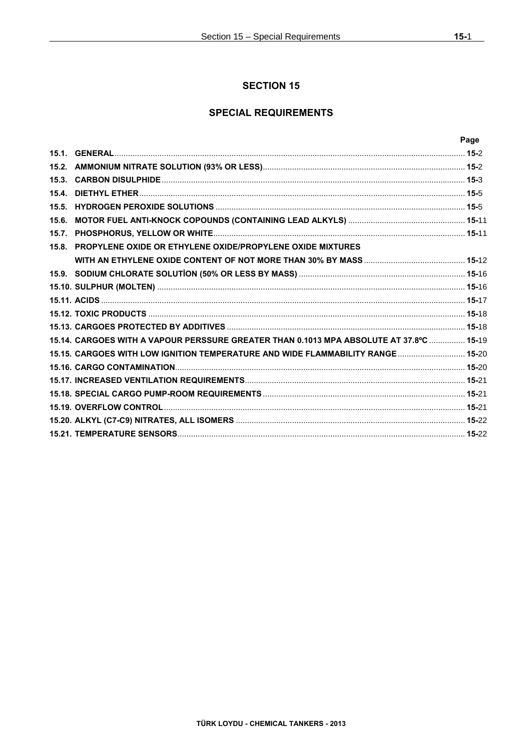# **SPECIAL REQUIREMENTS**

|      |                                                                                         | Page |
|------|-----------------------------------------------------------------------------------------|------|
|      |                                                                                         |      |
|      |                                                                                         |      |
|      |                                                                                         |      |
| 15.4 |                                                                                         |      |
|      |                                                                                         |      |
|      |                                                                                         |      |
|      |                                                                                         |      |
|      | 15.8. PROPYLENE OXIDE OR ETHYLENE OXIDE/PROPYLENE OXIDE MIXTURES                        |      |
|      |                                                                                         |      |
|      |                                                                                         |      |
|      |                                                                                         |      |
|      |                                                                                         |      |
|      |                                                                                         |      |
|      |                                                                                         |      |
|      | 15.14. CARGOES WITH A VAPOUR PERSSURE GREATER THAN 0.1013 MPA ABSOLUTE AT 37.8°C  15-19 |      |
|      | 15.15. CARGOES WITH LOW IGNITION TEMPERATURE AND WIDE FLAMMABILITY RANGE 15-20          |      |
|      |                                                                                         |      |
|      |                                                                                         |      |
|      |                                                                                         |      |
|      |                                                                                         |      |
|      |                                                                                         |      |
|      |                                                                                         |      |
|      |                                                                                         |      |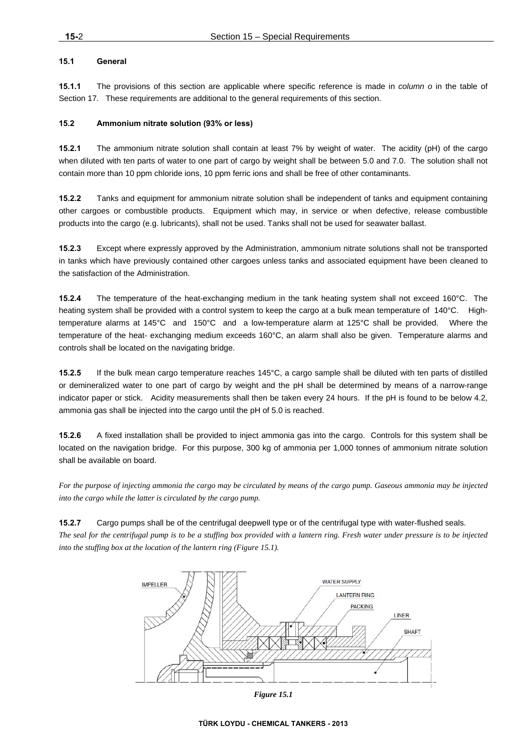# **15.1 General**

**15.1.1** The provisions of this section are applicable where specific reference is made in *column o* in the table of Section 17. These requirements are additional to the general requirements of this section.

### **15.2 Ammonium nitrate solution (93% or less)**

**15.2.1** The ammonium nitrate solution shall contain at least 7% by weight of water. The acidity (pH) of the cargo when diluted with ten parts of water to one part of cargo by weight shall be between 5.0 and 7.0. The solution shall not contain more than 10 ppm chloride ions, 10 ppm ferric ions and shall be free of other contaminants.

**15.2.2** Tanks and equipment for ammonium nitrate solution shall be independent of tanks and equipment containing other cargoes or combustible products. Equipment which may, in service or when defective, release combustible products into the cargo (e.g. lubricants), shall not be used. Tanks shall not be used for seawater ballast.

**15.2.3** Except where expressly approved by the Administration, ammonium nitrate solutions shall not be transported in tanks which have previously contained other cargoes unless tanks and associated equipment have been cleaned to the satisfaction of the Administration.

**15.2.4** The temperature of the heat-exchanging medium in the tank heating system shall not exceed 160°C. The heating system shall be provided with a control system to keep the cargo at a bulk mean temperature of 140°C. Hightemperature alarms at 145°C and 150°C and a low-temperature alarm at 125°C shall be provided. Where the temperature of the heat- exchanging medium exceeds 160°C, an alarm shall also be given. Temperature alarms and controls shall be located on the navigating bridge.

**15.2.5** If the bulk mean cargo temperature reaches 145°C, a cargo sample shall be diluted with ten parts of distilled or demineralized water to one part of cargo by weight and the pH shall be determined by means of a narrow-range indicator paper or stick. Acidity measurements shall then be taken every 24 hours. If the pH is found to be below 4.2, ammonia gas shall be injected into the cargo until the pH of 5.0 is reached.

**15.2.6** A fixed installation shall be provided to inject ammonia gas into the cargo. Controls for this system shall be located on the navigation bridge. For this purpose, 300 kg of ammonia per 1,000 tonnes of ammonium nitrate solution shall be available on board.

*For the purpose of injecting ammonia the cargo may be circulated by means of the cargo pump. Gaseous ammonia may be injected into the cargo while the latter is circulated by the cargo pump.* 

# **15.2.7** Cargo pumps shall be of the centrifugal deepwell type or of the centrifugal type with water-flushed seals.

*The seal for the centrifugal pump is to be a stuffing box provided with a lantern ring. Fresh water under pressure is to be injected into the stuffing box at the location of the lantern ring (Figure 15.1).* 



*Figure 15.1*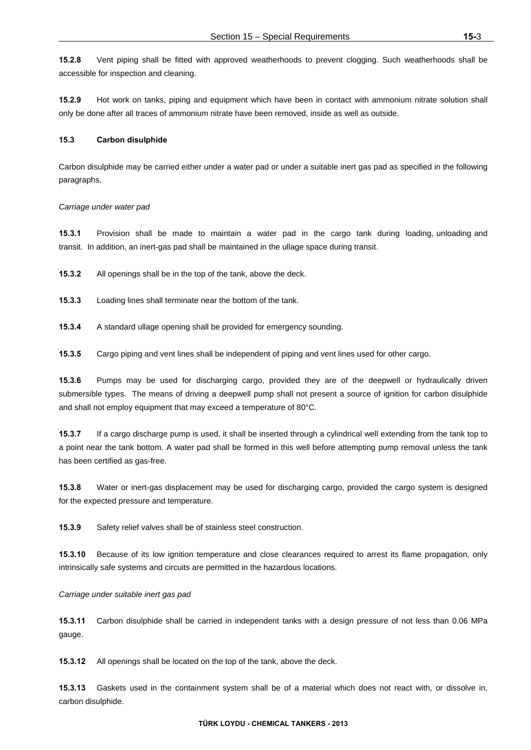**15.2.9** Hot work on tanks, piping and equipment which have been in contact with ammonium nitrate solution shall only be done after all traces of ammonium nitrate have been removed, inside as well as outside.

#### **15.3 Carbon disulphide**

Carbon disulphide may be carried either under a water pad or under a suitable inert gas pad as specified in the following paragraphs.

#### *Carriage under water pad*

**15.3.1** Provision shall be made to maintain a water pad in the cargo tank during loading, unloading and transit. In addition, an inert-gas pad shall be maintained in the ullage space during transit.

**15.3.2** All openings shall be in the top of the tank, above the deck.

- **15.3.3** Loading lines shall terminate near the bottom of the tank.
- **15.3.4** A standard ullage opening shall be provided for emergency sounding.

**15.3.5** Cargo piping and vent lines shall be independent of piping and vent lines used for other cargo.

**15.3.6** Pumps may be used for discharging cargo, provided they are of the deepwell or hydraulically driven submersible types. The means of driving a deepwell pump shall not present a source of ignition for carbon disulphide and shall not employ equipment that may exceed a temperature of 80°C.

**15.3.7** If a cargo discharge pump is used, it shall be inserted through a cylindrical well extending from the tank top to a point near the tank bottom. A water pad shall be formed in this well before attempting pump removal unless the tank has been certified as gas-free.

**15.3.8** Water or inert-gas displacement may be used for discharging cargo, provided the cargo system is designed for the expected pressure and temperature.

**15.3.9** Safety relief valves shall be of stainless steel construction.

**15.3.10** Because of its low ignition temperature and close clearances required to arrest its flame propagation, only intrinsically safe systems and circuits are permitted in the hazardous locations.

#### *Carriage under suitable inert gas pad*

**15.3.11** Carbon disulphide shall be carried in independent tanks with a design pressure of not less than 0.06 MPa gauge.

**15.3.12** All openings shall be located on the top of the tank, above the deck.

**15.3.13** Gaskets used in the containment system shall be of a material which does not react with, or dissolve in, carbon disulphide.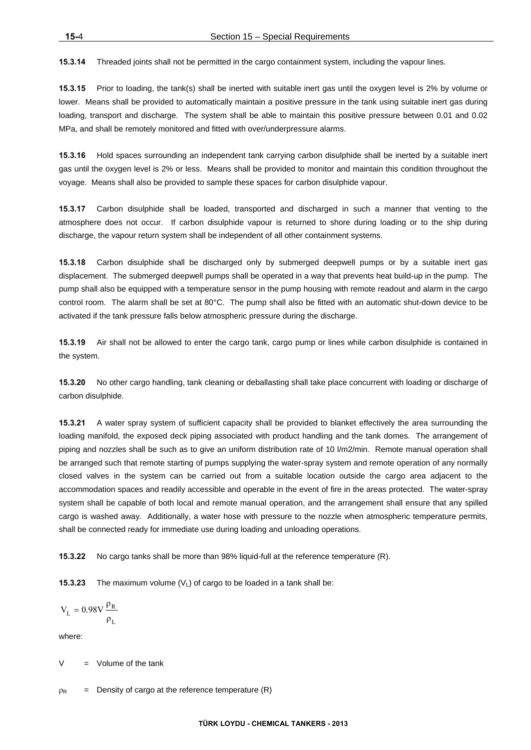**15.3.14** Threaded joints shall not be permitted in the cargo containment system, including the vapour lines.

**15.3.15** Prior to loading, the tank(s) shall be inerted with suitable inert gas until the oxygen level is 2% by volume or lower. Means shall be provided to automatically maintain a positive pressure in the tank using suitable inert gas during loading, transport and discharge. The system shall be able to maintain this positive pressure between 0.01 and 0.02 MPa, and shall be remotely monitored and fitted with over/underpressure alarms.

**15.3.16** Hold spaces surrounding an independent tank carrying carbon disulphide shall be inerted by a suitable inert gas until the oxygen level is 2% or less. Means shall be provided to monitor and maintain this condition throughout the voyage. Means shall also be provided to sample these spaces for carbon disulphide vapour.

**15.3.17** Carbon disulphide shall be loaded, transported and discharged in such a manner that venting to the atmosphere does not occur. If carbon disulphide vapour is returned to shore during loading or to the ship during discharge, the vapour return system shall be independent of all other containment systems.

**15.3.18** Carbon disulphide shall be discharged only by submerged deepwell pumps or by a suitable inert gas displacement. The submerged deepwell pumps shall be operated in a way that prevents heat build-up in the pump. The pump shall also be equipped with a temperature sensor in the pump housing with remote readout and alarm in the cargo control room. The alarm shall be set at 80°C. The pump shall also be fitted with an automatic shut-down device to be activated if the tank pressure falls below atmospheric pressure during the discharge.

**15.3.19** Air shall not be allowed to enter the cargo tank, cargo pump or lines while carbon disulphide is contained in the system.

**15.3.20** No other cargo handling, tank cleaning or deballasting shall take place concurrent with loading or discharge of carbon disulphide.

**15.3.21** A water spray system of sufficient capacity shall be provided to blanket effectively the area surrounding the loading manifold, the exposed deck piping associated with product handling and the tank domes. The arrangement of piping and nozzles shall be such as to give an uniform distribution rate of 10 l/m2/min. Remote manual operation shall be arranged such that remote starting of pumps supplying the water-spray system and remote operation of any normally closed valves in the system can be carried out from a suitable location outside the cargo area adjacent to the accommodation spaces and readily accessible and operable in the event of fire in the areas protected. The water-spray system shall be capable of both local and remote manual operation, and the arrangement shall ensure that any spilled cargo is washed away. Additionally, a water hose with pressure to the nozzle when atmospheric temperature permits, shall be connected ready for immediate use during loading and unloading operations.

**15.3.22** No cargo tanks shall be more than 98% liquid-full at the reference temperature (R).

**15.3.23** The maximum volume  $(V_1)$  of cargo to be loaded in a tank shall be:

$$
V_L = 0.98 V \frac{\rho_R}{\rho_L}
$$

where:

Volume of the tank

 $\Omega_R$  = Density of cargo at the reference temperature (R)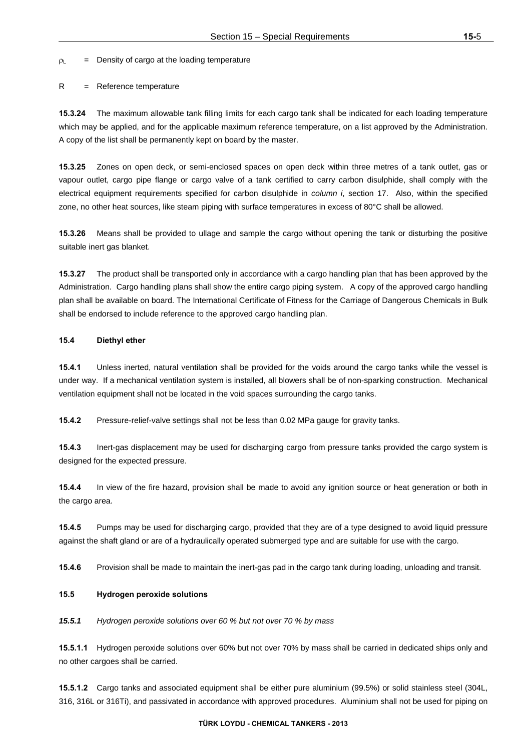$\rho_1$  = Density of cargo at the loading temperature

#### R = Reference temperature

**15.3.24** The maximum allowable tank filling limits for each cargo tank shall be indicated for each loading temperature which may be applied, and for the applicable maximum reference temperature, on a list approved by the Administration. A copy of the list shall be permanently kept on board by the master.

**15.3.25** Zones on open deck, or semi-enclosed spaces on open deck within three metres of a tank outlet, gas or vapour outlet, cargo pipe flange or cargo valve of a tank certified to carry carbon disulphide, shall comply with the electrical equipment requirements specified for carbon disulphide in *column i*, section 17. Also, within the specified zone, no other heat sources, like steam piping with surface temperatures in excess of 80°C shall be allowed.

**15.3.26** Means shall be provided to ullage and sample the cargo without opening the tank or disturbing the positive suitable inert gas blanket.

**15.3.27** The product shall be transported only in accordance with a cargo handling plan that has been approved by the Administration. Cargo handling plans shall show the entire cargo piping system. A copy of the approved cargo handling plan shall be available on board. The International Certificate of Fitness for the Carriage of Dangerous Chemicals in Bulk shall be endorsed to include reference to the approved cargo handling plan.

# **15.4 Diethyl ether**

**15.4.1** Unless inerted, natural ventilation shall be provided for the voids around the cargo tanks while the vessel is under way. If a mechanical ventilation system is installed, all blowers shall be of non-sparking construction. Mechanical ventilation equipment shall not be located in the void spaces surrounding the cargo tanks.

**15.4.2** Pressure-relief-valve settings shall not be less than 0.02 MPa gauge for gravity tanks.

**15.4.3** Inert-gas displacement may be used for discharging cargo from pressure tanks provided the cargo system is designed for the expected pressure.

**15.4.4** In view of the fire hazard, provision shall be made to avoid any ignition source or heat generation or both in the cargo area.

**15.4.5** Pumps may be used for discharging cargo, provided that they are of a type designed to avoid liquid pressure against the shaft gland or are of a hydraulically operated submerged type and are suitable for use with the cargo.

**15.4.6** Provision shall be made to maintain the inert-gas pad in the cargo tank during loading, unloading and transit.

# **15.5 Hydrogen peroxide solutions**

*15.5.1 Hydrogen peroxide solutions over 60 % but not over 70 % by mass* 

**15.5.1.1** Hydrogen peroxide solutions over 60% but not over 70% by mass shall be carried in dedicated ships only and no other cargoes shall be carried.

**15.5.1.2** Cargo tanks and associated equipment shall be either pure aluminium (99.5%) or solid stainless steel (304L, 316, 316L or 316Ti), and passivated in accordance with approved procedures. Aluminium shall not be used for piping on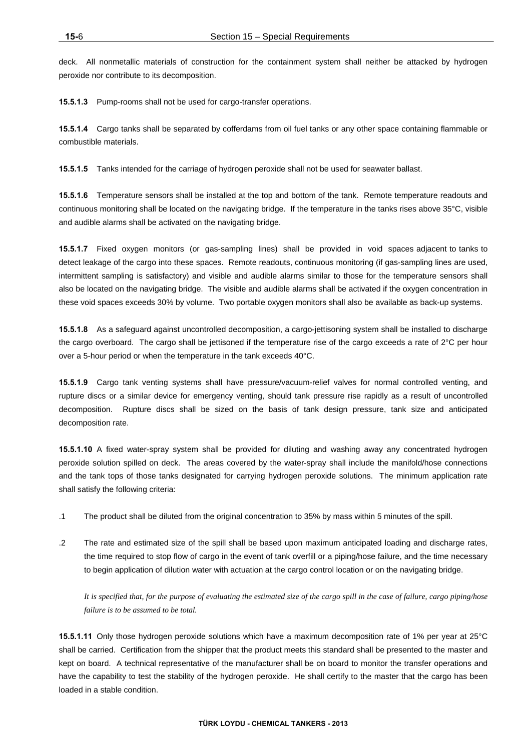deck. All nonmetallic materials of construction for the containment system shall neither be attacked by hydrogen peroxide nor contribute to its decomposition.

**15.5.1.3** Pump-rooms shall not be used for cargo-transfer operations.

**15.5.1.4** Cargo tanks shall be separated by cofferdams from oil fuel tanks or any other space containing flammable or combustible materials.

**15.5.1.5** Tanks intended for the carriage of hydrogen peroxide shall not be used for seawater ballast.

**15.5.1.6** Temperature sensors shall be installed at the top and bottom of the tank. Remote temperature readouts and continuous monitoring shall be located on the navigating bridge. If the temperature in the tanks rises above 35°C, visible and audible alarms shall be activated on the navigating bridge.

**15.5.1.7** Fixed oxygen monitors (or gas-sampling lines) shall be provided in void spaces adjacent to tanks to detect leakage of the cargo into these spaces. Remote readouts, continuous monitoring (if gas-sampling lines are used, intermittent sampling is satisfactory) and visible and audible alarms similar to those for the temperature sensors shall also be located on the navigating bridge. The visible and audible alarms shall be activated if the oxygen concentration in these void spaces exceeds 30% by volume. Two portable oxygen monitors shall also be available as back-up systems.

**15.5.1.8** As a safeguard against uncontrolled decomposition, a cargo-jettisoning system shall be installed to discharge the cargo overboard. The cargo shall be jettisoned if the temperature rise of the cargo exceeds a rate of 2°C per hour over a 5-hour period or when the temperature in the tank exceeds 40°C.

**15.5.1.9** Cargo tank venting systems shall have pressure/vacuum-relief valves for normal controlled venting, and rupture discs or a similar device for emergency venting, should tank pressure rise rapidly as a result of uncontrolled decomposition. Rupture discs shall be sized on the basis of tank design pressure, tank size and anticipated decomposition rate.

**15.5.1.10** A fixed water-spray system shall be provided for diluting and washing away any concentrated hydrogen peroxide solution spilled on deck. The areas covered by the water-spray shall include the manifold/hose connections and the tank tops of those tanks designated for carrying hydrogen peroxide solutions. The minimum application rate shall satisfy the following criteria:

- .1 The product shall be diluted from the original concentration to 35% by mass within 5 minutes of the spill.
- .2 The rate and estimated size of the spill shall be based upon maximum anticipated loading and discharge rates, the time required to stop flow of cargo in the event of tank overfill or a piping/hose failure, and the time necessary to begin application of dilution water with actuation at the cargo control location or on the navigating bridge.

*It is specified that, for the purpose of evaluating the estimated size of the cargo spill in the case of failure, cargo piping/hose failure is to be assumed to be total.* 

**15.5.1.11** Only those hydrogen peroxide solutions which have a maximum decomposition rate of 1% per year at 25°C shall be carried. Certification from the shipper that the product meets this standard shall be presented to the master and kept on board. A technical representative of the manufacturer shall be on board to monitor the transfer operations and have the capability to test the stability of the hydrogen peroxide. He shall certify to the master that the cargo has been loaded in a stable condition.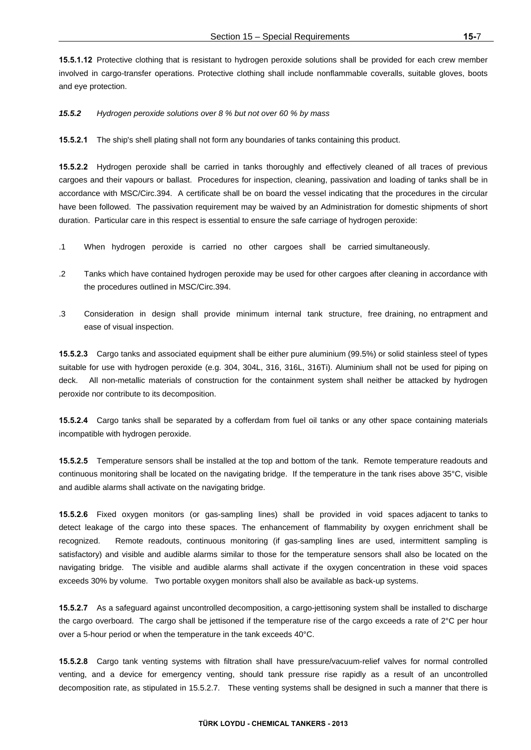**15.5.1.12** Protective clothing that is resistant to hydrogen peroxide solutions shall be provided for each crew member involved in cargo-transfer operations. Protective clothing shall include nonflammable coveralls, suitable gloves, boots and eye protection.

*15.5.2 Hydrogen peroxide solutions over 8 % but not over 60 % by mass* 

**15.5.2.1** The ship's shell plating shall not form any boundaries of tanks containing this product.

**15.5.2.2** Hydrogen peroxide shall be carried in tanks thoroughly and effectively cleaned of all traces of previous cargoes and their vapours or ballast. Procedures for inspection, cleaning, passivation and loading of tanks shall be in accordance with MSC/Circ.394. A certificate shall be on board the vessel indicating that the procedures in the circular have been followed. The passivation requirement may be waived by an Administration for domestic shipments of short duration. Particular care in this respect is essential to ensure the safe carriage of hydrogen peroxide:

- .1 When hydrogen peroxide is carried no other cargoes shall be carried simultaneously.
- .2 Tanks which have contained hydrogen peroxide may be used for other cargoes after cleaning in accordance with the procedures outlined in MSC/Circ.394.
- .3 Consideration in design shall provide minimum internal tank structure, free draining, no entrapment and ease of visual inspection.

**15.5.2.3** Cargo tanks and associated equipment shall be either pure aluminium (99.5%) or solid stainless steel of types suitable for use with hydrogen peroxide (e.g. 304, 304L, 316, 316L, 316Ti). Aluminium shall not be used for piping on deck. All non-metallic materials of construction for the containment system shall neither be attacked by hydrogen peroxide nor contribute to its decomposition.

**15.5.2.4** Cargo tanks shall be separated by a cofferdam from fuel oil tanks or any other space containing materials incompatible with hydrogen peroxide.

**15.5.2.5** Temperature sensors shall be installed at the top and bottom of the tank. Remote temperature readouts and continuous monitoring shall be located on the navigating bridge. If the temperature in the tank rises above 35°C, visible and audible alarms shall activate on the navigating bridge.

**15.5.2.6** Fixed oxygen monitors (or gas-sampling lines) shall be provided in void spaces adjacent to tanks to detect leakage of the cargo into these spaces. The enhancement of flammability by oxygen enrichment shall be recognized. Remote readouts, continuous monitoring (if gas-sampling lines are used, intermittent sampling is satisfactory) and visible and audible alarms similar to those for the temperature sensors shall also be located on the navigating bridge. The visible and audible alarms shall activate if the oxygen concentration in these void spaces exceeds 30% by volume. Two portable oxygen monitors shall also be available as back-up systems.

**15.5.2.7** As a safeguard against uncontrolled decomposition, a cargo-jettisoning system shall be installed to discharge the cargo overboard. The cargo shall be jettisoned if the temperature rise of the cargo exceeds a rate of 2°C per hour over a 5-hour period or when the temperature in the tank exceeds 40°C.

**15.5.2.8** Cargo tank venting systems with filtration shall have pressure/vacuum-relief valves for normal controlled venting, and a device for emergency venting, should tank pressure rise rapidly as a result of an uncontrolled decomposition rate, as stipulated in 15.5.2.7. These venting systems shall be designed in such a manner that there is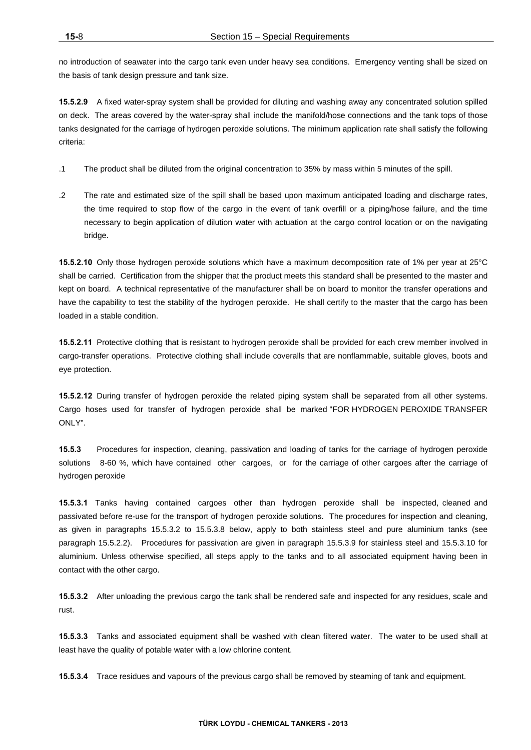no introduction of seawater into the cargo tank even under heavy sea conditions. Emergency venting shall be sized on the basis of tank design pressure and tank size.

**15.5.2.9** A fixed water-spray system shall be provided for diluting and washing away any concentrated solution spilled on deck. The areas covered by the water-spray shall include the manifold/hose connections and the tank tops of those tanks designated for the carriage of hydrogen peroxide solutions. The minimum application rate shall satisfy the following criteria:

- .1 The product shall be diluted from the original concentration to 35% by mass within 5 minutes of the spill.
- .2 The rate and estimated size of the spill shall be based upon maximum anticipated loading and discharge rates, the time required to stop flow of the cargo in the event of tank overfill or a piping/hose failure, and the time necessary to begin application of dilution water with actuation at the cargo control location or on the navigating bridge.

**15.5.2.10** Only those hydrogen peroxide solutions which have a maximum decomposition rate of 1% per year at 25°C shall be carried. Certification from the shipper that the product meets this standard shall be presented to the master and kept on board. A technical representative of the manufacturer shall be on board to monitor the transfer operations and have the capability to test the stability of the hydrogen peroxide. He shall certify to the master that the cargo has been loaded in a stable condition.

**15.5.2.11** Protective clothing that is resistant to hydrogen peroxide shall be provided for each crew member involved in cargo-transfer operations. Protective clothing shall include coveralls that are nonflammable, suitable gloves, boots and eye protection.

**15.5.2.12** During transfer of hydrogen peroxide the related piping system shall be separated from all other systems. Cargo hoses used for transfer of hydrogen peroxide shall be marked "FOR HYDROGEN PEROXIDE TRANSFER ONLY".

**15.5.3** Procedures for inspection, cleaning, passivation and loading of tanks for the carriage of hydrogen peroxide solutions 8-60 %, which have contained other cargoes, or for the carriage of other cargoes after the carriage of hydrogen peroxide

**15.5.3.1** Tanks having contained cargoes other than hydrogen peroxide shall be inspected, cleaned and passivated before re-use for the transport of hydrogen peroxide solutions. The procedures for inspection and cleaning, as given in paragraphs 15.5.3.2 to 15.5.3.8 below, apply to both stainless steel and pure aluminium tanks (see paragraph 15.5.2.2). Procedures for passivation are given in paragraph 15.5.3.9 for stainless steel and 15.5.3.10 for aluminium. Unless otherwise specified, all steps apply to the tanks and to all associated equipment having been in contact with the other cargo.

**15.5.3.2** After unloading the previous cargo the tank shall be rendered safe and inspected for any residues, scale and rust.

**15.5.3.3** Tanks and associated equipment shall be washed with clean filtered water. The water to be used shall at least have the quality of potable water with a low chlorine content.

**15.5.3.4** Trace residues and vapours of the previous cargo shall be removed by steaming of tank and equipment.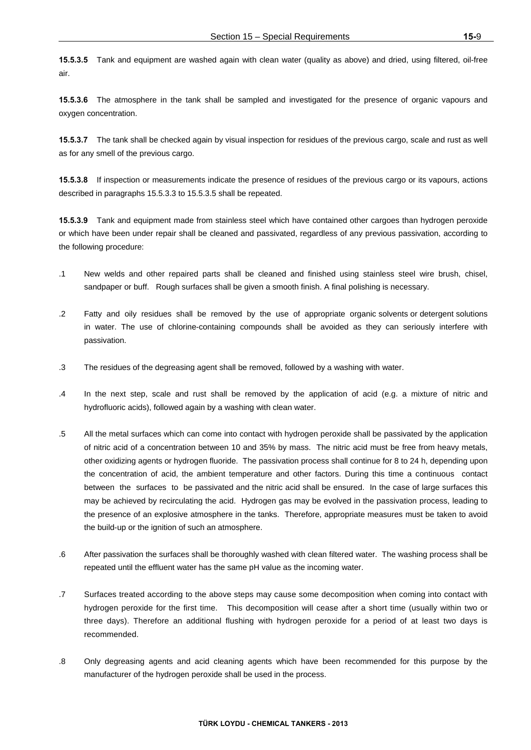**15.5.3.5** Tank and equipment are washed again with clean water (quality as above) and dried, using filtered, oil-free air.

**15.5.3.6** The atmosphere in the tank shall be sampled and investigated for the presence of organic vapours and oxygen concentration.

**15.5.3.7** The tank shall be checked again by visual inspection for residues of the previous cargo, scale and rust as well as for any smell of the previous cargo.

**15.5.3.8** If inspection or measurements indicate the presence of residues of the previous cargo or its vapours, actions described in paragraphs 15.5.3.3 to 15.5.3.5 shall be repeated.

**15.5.3.9** Tank and equipment made from stainless steel which have contained other cargoes than hydrogen peroxide or which have been under repair shall be cleaned and passivated, regardless of any previous passivation, according to the following procedure:

- .1 New welds and other repaired parts shall be cleaned and finished using stainless steel wire brush, chisel, sandpaper or buff. Rough surfaces shall be given a smooth finish. A final polishing is necessary.
- .2 Fatty and oily residues shall be removed by the use of appropriate organic solvents or detergent solutions in water. The use of chlorine-containing compounds shall be avoided as they can seriously interfere with passivation.
- .3 The residues of the degreasing agent shall be removed, followed by a washing with water.
- .4 In the next step, scale and rust shall be removed by the application of acid (e.g. a mixture of nitric and hydrofluoric acids), followed again by a washing with clean water.
- .5 All the metal surfaces which can come into contact with hydrogen peroxide shall be passivated by the application of nitric acid of a concentration between 10 and 35% by mass. The nitric acid must be free from heavy metals, other oxidizing agents or hydrogen fluoride. The passivation process shall continue for 8 to 24 h, depending upon the concentration of acid, the ambient temperature and other factors. During this time a continuous contact between the surfaces to be passivated and the nitric acid shall be ensured. In the case of large surfaces this may be achieved by recirculating the acid. Hydrogen gas may be evolved in the passivation process, leading to the presence of an explosive atmosphere in the tanks. Therefore, appropriate measures must be taken to avoid the build-up or the ignition of such an atmosphere.
- .6 After passivation the surfaces shall be thoroughly washed with clean filtered water. The washing process shall be repeated until the effluent water has the same pH value as the incoming water.
- .7 Surfaces treated according to the above steps may cause some decomposition when coming into contact with hydrogen peroxide for the first time. This decomposition will cease after a short time (usually within two or three days). Therefore an additional flushing with hydrogen peroxide for a period of at least two days is recommended.
- .8 Only degreasing agents and acid cleaning agents which have been recommended for this purpose by the manufacturer of the hydrogen peroxide shall be used in the process.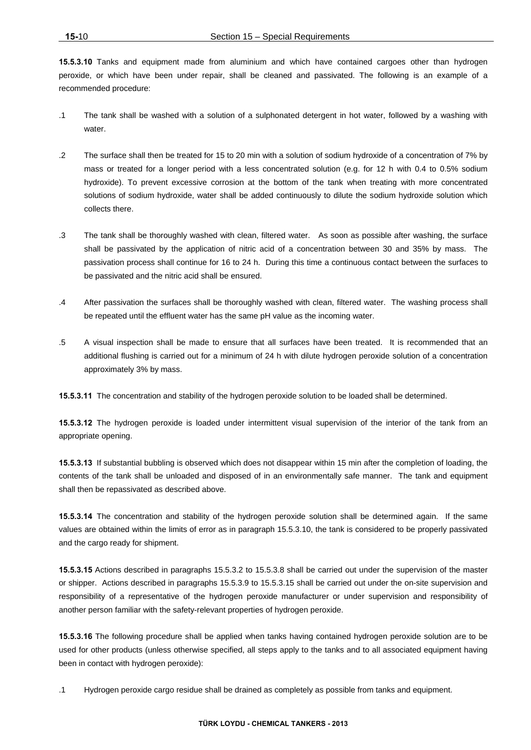**15.5.3.10** Tanks and equipment made from aluminium and which have contained cargoes other than hydrogen peroxide, or which have been under repair, shall be cleaned and passivated. The following is an example of a recommended procedure:

- .1 The tank shall be washed with a solution of a sulphonated detergent in hot water, followed by a washing with water.
- .2 The surface shall then be treated for 15 to 20 min with a solution of sodium hydroxide of a concentration of 7% by mass or treated for a longer period with a less concentrated solution (e.g. for 12 h with 0.4 to 0.5% sodium hydroxide). To prevent excessive corrosion at the bottom of the tank when treating with more concentrated solutions of sodium hydroxide, water shall be added continuously to dilute the sodium hydroxide solution which collects there.
- .3 The tank shall be thoroughly washed with clean, filtered water. As soon as possible after washing, the surface shall be passivated by the application of nitric acid of a concentration between 30 and 35% by mass. The passivation process shall continue for 16 to 24 h. During this time a continuous contact between the surfaces to be passivated and the nitric acid shall be ensured.
- .4 After passivation the surfaces shall be thoroughly washed with clean, filtered water. The washing process shall be repeated until the effluent water has the same pH value as the incoming water.
- .5 A visual inspection shall be made to ensure that all surfaces have been treated. It is recommended that an additional flushing is carried out for a minimum of 24 h with dilute hydrogen peroxide solution of a concentration approximately 3% by mass.

**15.5.3.11** The concentration and stability of the hydrogen peroxide solution to be loaded shall be determined.

**15.5.3.12** The hydrogen peroxide is loaded under intermittent visual supervision of the interior of the tank from an appropriate opening.

**15.5.3.13** If substantial bubbling is observed which does not disappear within 15 min after the completion of loading, the contents of the tank shall be unloaded and disposed of in an environmentally safe manner. The tank and equipment shall then be repassivated as described above.

**15.5.3.14** The concentration and stability of the hydrogen peroxide solution shall be determined again. If the same values are obtained within the limits of error as in paragraph 15.5.3.10, the tank is considered to be properly passivated and the cargo ready for shipment.

**15.5.3.15** Actions described in paragraphs 15.5.3.2 to 15.5.3.8 shall be carried out under the supervision of the master or shipper. Actions described in paragraphs 15.5.3.9 to 15.5.3.15 shall be carried out under the on-site supervision and responsibility of a representative of the hydrogen peroxide manufacturer or under supervision and responsibility of another person familiar with the safety-relevant properties of hydrogen peroxide.

**15.5.3.16** The following procedure shall be applied when tanks having contained hydrogen peroxide solution are to be used for other products (unless otherwise specified, all steps apply to the tanks and to all associated equipment having been in contact with hydrogen peroxide):

.1 Hydrogen peroxide cargo residue shall be drained as completely as possible from tanks and equipment.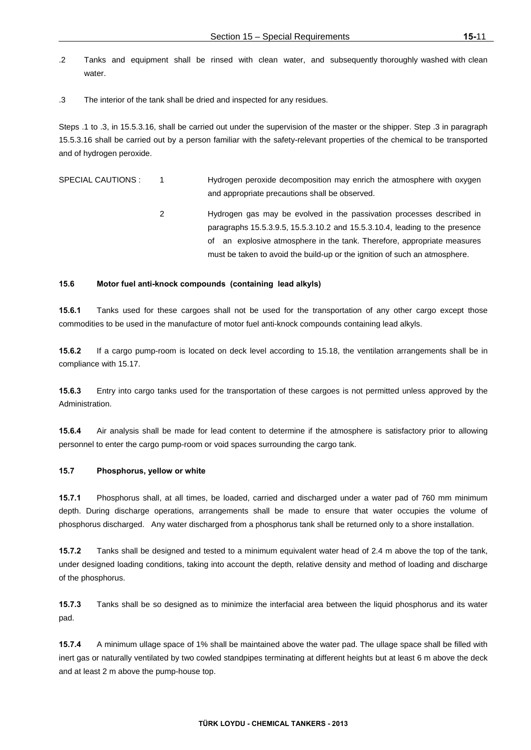- .2 Tanks and equipment shall be rinsed with clean water, and subsequently thoroughly washed with clean water
- .3 The interior of the tank shall be dried and inspected for any residues.

Steps .1 to .3, in 15.5.3.16, shall be carried out under the supervision of the master or the shipper. Step .3 in paragraph 15.5.3.16 shall be carried out by a person familiar with the safety-relevant properties of the chemical to be transported and of hydrogen peroxide.

| SPECIAL CAUTIONS : | Hydrogen peroxide decomposition may enrich the atmosphere with oxygen |
|--------------------|-----------------------------------------------------------------------|
|                    | and appropriate precautions shall be observed.                        |

 2 Hydrogen gas may be evolved in the passivation processes described in paragraphs 15.5.3.9.5, 15.5.3.10.2 and 15.5.3.10.4, leading to the presence of an explosive atmosphere in the tank. Therefore, appropriate measures must be taken to avoid the build-up or the ignition of such an atmosphere.

### **15.6 Motor fuel anti-knock compounds (containing lead alkyls)**

**15.6.1** Tanks used for these cargoes shall not be used for the transportation of any other cargo except those commodities to be used in the manufacture of motor fuel anti-knock compounds containing lead alkyls.

**15.6.2** If a cargo pump-room is located on deck level according to 15.18, the ventilation arrangements shall be in compliance with 15.17.

**15.6.3** Entry into cargo tanks used for the transportation of these cargoes is not permitted unless approved by the Administration.

**15.6.4** Air analysis shall be made for lead content to determine if the atmosphere is satisfactory prior to allowing personnel to enter the cargo pump-room or void spaces surrounding the cargo tank.

#### **15.7 Phosphorus, yellow or white**

**15.7.1** Phosphorus shall, at all times, be loaded, carried and discharged under a water pad of 760 mm minimum depth. During discharge operations, arrangements shall be made to ensure that water occupies the volume of phosphorus discharged. Any water discharged from a phosphorus tank shall be returned only to a shore installation.

**15.7.2** Tanks shall be designed and tested to a minimum equivalent water head of 2.4 m above the top of the tank, under designed loading conditions, taking into account the depth, relative density and method of loading and discharge of the phosphorus.

**15.7.3** Tanks shall be so designed as to minimize the interfacial area between the liquid phosphorus and its water pad.

**15.7.4** A minimum ullage space of 1% shall be maintained above the water pad. The ullage space shall be filled with inert gas or naturally ventilated by two cowled standpipes terminating at different heights but at least 6 m above the deck and at least 2 m above the pump-house top.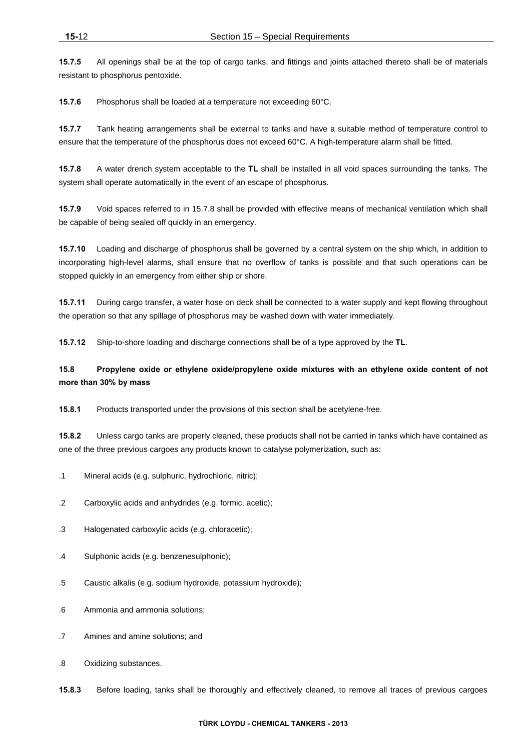**15.7.5** All openings shall be at the top of cargo tanks, and fittings and joints attached thereto shall be of materials resistant to phosphorus pentoxide.

**15.7.6** Phosphorus shall be loaded at a temperature not exceeding 60°C.

**15.7.7** Tank heating arrangements shall be external to tanks and have a suitable method of temperature control to ensure that the temperature of the phosphorus does not exceed 60°C. A high-temperature alarm shall be fitted.

**15.7.8** A water drench system acceptable to the **TL** shall be installed in all void spaces surrounding the tanks. The system shall operate automatically in the event of an escape of phosphorus.

**15.7.9** Void spaces referred to in 15.7.8 shall be provided with effective means of mechanical ventilation which shall be capable of being sealed off quickly in an emergency.

**15.7.10** Loading and discharge of phosphorus shall be governed by a central system on the ship which, in addition to incorporating high-level alarms, shall ensure that no overflow of tanks is possible and that such operations can be stopped quickly in an emergency from either ship or shore.

**15.7.11** During cargo transfer, a water hose on deck shall be connected to a water supply and kept flowing throughout the operation so that any spillage of phosphorus may be washed down with water immediately.

**15.7.12** Ship-to-shore loading and discharge connections shall be of a type approved by the **TL**.

# **15.8 Propylene oxide or ethylene oxide/propylene oxide mixtures with an ethylene oxide content of not more than 30% by mass**

**15.8.1** Products transported under the provisions of this section shall be acetylene-free.

**15.8.2** Unless cargo tanks are properly cleaned, these products shall not be carried in tanks which have contained as one of the three previous cargoes any products known to catalyse polymerization, such as:

- .1 Mineral acids (e.g. sulphuric, hydrochloric, nitric);
- .2 Carboxylic acids and anhydrides (e.g. formic, acetic);
- .3 Halogenated carboxylic acids (e.g. chloracetic);
- .4 Sulphonic acids (e.g. benzenesulphonic);
- .5 Caustic alkalis (e.g. sodium hydroxide, potassium hydroxide);
- .6 Ammonia and ammonia solutions;
- .7 Amines and amine solutions; and
- .8 Oxidizing substances.
- **15.8.3** Before loading, tanks shall be thoroughly and effectively cleaned, to remove all traces of previous cargoes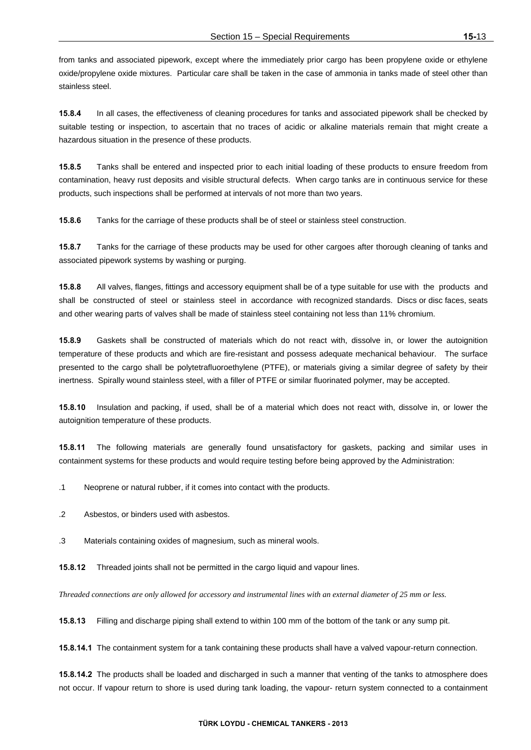from tanks and associated pipework, except where the immediately prior cargo has been propylene oxide or ethylene oxide/propylene oxide mixtures. Particular care shall be taken in the case of ammonia in tanks made of steel other than stainless steel.

**15.8.4** In all cases, the effectiveness of cleaning procedures for tanks and associated pipework shall be checked by suitable testing or inspection, to ascertain that no traces of acidic or alkaline materials remain that might create a hazardous situation in the presence of these products.

**15.8.5** Tanks shall be entered and inspected prior to each initial loading of these products to ensure freedom from contamination, heavy rust deposits and visible structural defects. When cargo tanks are in continuous service for these products, such inspections shall be performed at intervals of not more than two years.

**15.8.6** Tanks for the carriage of these products shall be of steel or stainless steel construction.

**15.8.7** Tanks for the carriage of these products may be used for other cargoes after thorough cleaning of tanks and associated pipework systems by washing or purging.

**15.8.8** All valves, flanges, fittings and accessory equipment shall be of a type suitable for use with the products and shall be constructed of steel or stainless steel in accordance with recognized standards. Discs or disc faces, seats and other wearing parts of valves shall be made of stainless steel containing not less than 11% chromium.

**15.8.9** Gaskets shall be constructed of materials which do not react with, dissolve in, or lower the autoignition temperature of these products and which are fire-resistant and possess adequate mechanical behaviour. The surface presented to the cargo shall be polytetrafluoroethylene (PTFE), or materials giving a similar degree of safety by their inertness. Spirally wound stainless steel, with a filler of PTFE or similar fluorinated polymer, may be accepted.

**15.8.10** Insulation and packing, if used, shall be of a material which does not react with, dissolve in, or lower the autoignition temperature of these products.

**15.8.11** The following materials are generally found unsatisfactory for gaskets, packing and similar uses in containment systems for these products and would require testing before being approved by the Administration:

.1 Neoprene or natural rubber, if it comes into contact with the products.

.2 Asbestos, or binders used with asbestos.

.3 Materials containing oxides of magnesium, such as mineral wools.

**15.8.12** Threaded joints shall not be permitted in the cargo liquid and vapour lines.

*Threaded connections are only allowed for accessory and instrumental lines with an external diameter of 25 mm or less.* 

**15.8.13** Filling and discharge piping shall extend to within 100 mm of the bottom of the tank or any sump pit.

**15.8.14.1** The containment system for a tank containing these products shall have a valved vapour-return connection.

**15.8.14.2** The products shall be loaded and discharged in such a manner that venting of the tanks to atmosphere does not occur. If vapour return to shore is used during tank loading, the vapour- return system connected to a containment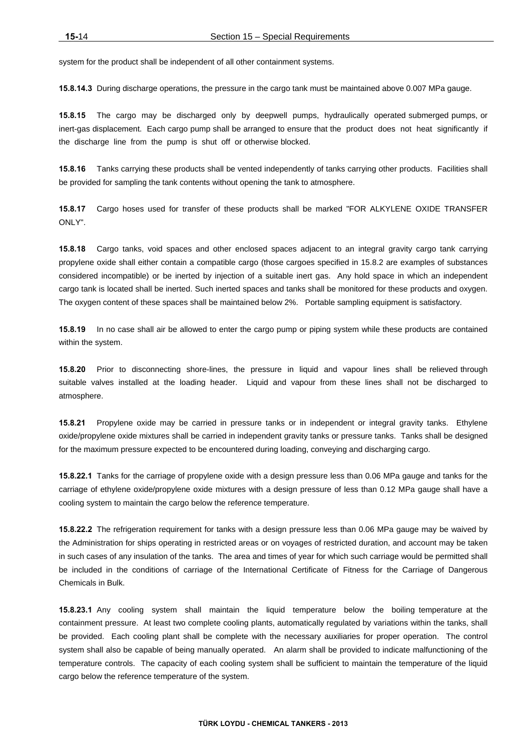system for the product shall be independent of all other containment systems.

**15.8.14.3** During discharge operations, the pressure in the cargo tank must be maintained above 0.007 MPa gauge.

**15.8.15** The cargo may be discharged only by deepwell pumps, hydraulically operated submerged pumps, or inert-gas displacement. Each cargo pump shall be arranged to ensure that the product does not heat significantly if the discharge line from the pump is shut off or otherwise blocked.

**15.8.16** Tanks carrying these products shall be vented independently of tanks carrying other products. Facilities shall be provided for sampling the tank contents without opening the tank to atmosphere.

**15.8.17** Cargo hoses used for transfer of these products shall be marked "FOR ALKYLENE OXIDE TRANSFER ONLY".

**15.8.18** Cargo tanks, void spaces and other enclosed spaces adjacent to an integral gravity cargo tank carrying propylene oxide shall either contain a compatible cargo (those cargoes specified in 15.8.2 are examples of substances considered incompatible) or be inerted by injection of a suitable inert gas. Any hold space in which an independent cargo tank is located shall be inerted. Such inerted spaces and tanks shall be monitored for these products and oxygen. The oxygen content of these spaces shall be maintained below 2%. Portable sampling equipment is satisfactory.

**15.8.19** In no case shall air be allowed to enter the cargo pump or piping system while these products are contained within the system.

**15.8.20** Prior to disconnecting shore-lines, the pressure in liquid and vapour lines shall be relieved through suitable valves installed at the loading header. Liquid and vapour from these lines shall not be discharged to atmosphere.

**15.8.21** Propylene oxide may be carried in pressure tanks or in independent or integral gravity tanks. Ethylene oxide/propylene oxide mixtures shall be carried in independent gravity tanks or pressure tanks. Tanks shall be designed for the maximum pressure expected to be encountered during loading, conveying and discharging cargo.

**15.8.22.1** Tanks for the carriage of propylene oxide with a design pressure less than 0.06 MPa gauge and tanks for the carriage of ethylene oxide/propylene oxide mixtures with a design pressure of less than 0.12 MPa gauge shall have a cooling system to maintain the cargo below the reference temperature.

**15.8.22.2** The refrigeration requirement for tanks with a design pressure less than 0.06 MPa gauge may be waived by the Administration for ships operating in restricted areas or on voyages of restricted duration, and account may be taken in such cases of any insulation of the tanks. The area and times of year for which such carriage would be permitted shall be included in the conditions of carriage of the International Certificate of Fitness for the Carriage of Dangerous Chemicals in Bulk.

**15.8.23.1** Any cooling system shall maintain the liquid temperature below the boiling temperature at the containment pressure. At least two complete cooling plants, automatically regulated by variations within the tanks, shall be provided. Each cooling plant shall be complete with the necessary auxiliaries for proper operation. The control system shall also be capable of being manually operated. An alarm shall be provided to indicate malfunctioning of the temperature controls. The capacity of each cooling system shall be sufficient to maintain the temperature of the liquid cargo below the reference temperature of the system.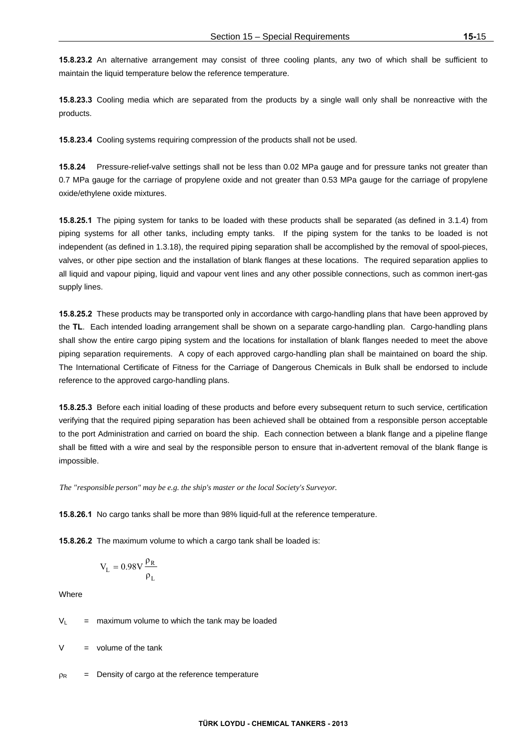**15.8.23.2** An alternative arrangement may consist of three cooling plants, any two of which shall be sufficient to maintain the liquid temperature below the reference temperature.

**15.8.23.3** Cooling media which are separated from the products by a single wall only shall be nonreactive with the products.

**15.8.23.4** Cooling systems requiring compression of the products shall not be used.

**15.8.24** Pressure-relief-valve settings shall not be less than 0.02 MPa gauge and for pressure tanks not greater than 0.7 MPa gauge for the carriage of propylene oxide and not greater than 0.53 MPa gauge for the carriage of propylene oxide/ethylene oxide mixtures.

**15.8.25.1** The piping system for tanks to be loaded with these products shall be separated (as defined in 3.1.4) from piping systems for all other tanks, including empty tanks. If the piping system for the tanks to be loaded is not independent (as defined in 1.3.18), the required piping separation shall be accomplished by the removal of spool-pieces, valves, or other pipe section and the installation of blank flanges at these locations. The required separation applies to all liquid and vapour piping, liquid and vapour vent lines and any other possible connections, such as common inert-gas supply lines.

**15.8.25.2** These products may be transported only in accordance with cargo-handling plans that have been approved by the **TL**. Each intended loading arrangement shall be shown on a separate cargo-handling plan. Cargo-handling plans shall show the entire cargo piping system and the locations for installation of blank flanges needed to meet the above piping separation requirements. A copy of each approved cargo-handling plan shall be maintained on board the ship. The International Certificate of Fitness for the Carriage of Dangerous Chemicals in Bulk shall be endorsed to include reference to the approved cargo-handling plans.

**15.8.25.3** Before each initial loading of these products and before every subsequent return to such service, certification verifying that the required piping separation has been achieved shall be obtained from a responsible person acceptable to the port Administration and carried on board the ship. Each connection between a blank flange and a pipeline flange shall be fitted with a wire and seal by the responsible person to ensure that in-advertent removal of the blank flange is impossible.

*The "responsible person" may be e.g. the ship's master or the local Society's Surveyor.*

**15.8.26.1** No cargo tanks shall be more than 98% liquid-full at the reference temperature.

**15.8.26.2** The maximum volume to which a cargo tank shall be loaded is:

$$
V_L=0.98V\frac{\rho_R}{\rho_L}
$$

Where

 $V_1$  = maximum volume to which the tank may be loaded

 $=$  volume of the tank

 $p_R$  = Density of cargo at the reference temperature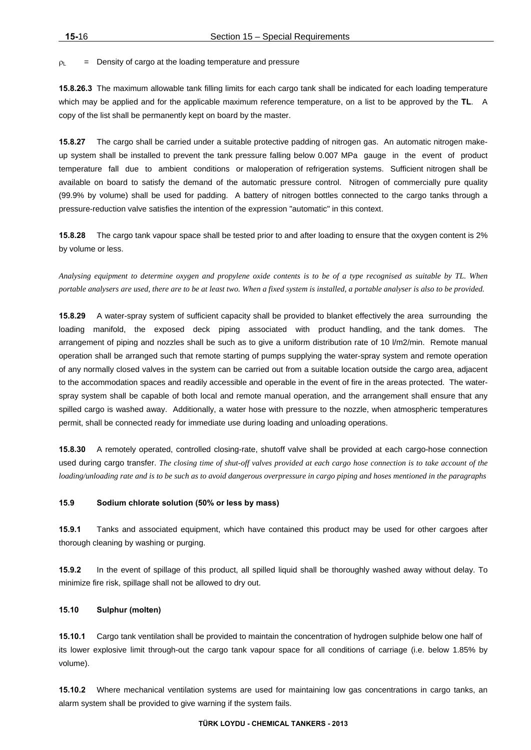$p_L$  = Density of cargo at the loading temperature and pressure

**15.8.26.3** The maximum allowable tank filling limits for each cargo tank shall be indicated for each loading temperature which may be applied and for the applicable maximum reference temperature, on a list to be approved by the **TL**. A copy of the list shall be permanently kept on board by the master.

**15.8.27** The cargo shall be carried under a suitable protective padding of nitrogen gas. An automatic nitrogen makeup system shall be installed to prevent the tank pressure falling below 0.007 MPa gauge in the event of product temperature fall due to ambient conditions or maloperation of refrigeration systems. Sufficient nitrogen shall be available on board to satisfy the demand of the automatic pressure control. Nitrogen of commercially pure quality (99.9% by volume) shall be used for padding. A battery of nitrogen bottles connected to the cargo tanks through a pressure-reduction valve satisfies the intention of the expression "automatic" in this context.

**15.8.28** The cargo tank vapour space shall be tested prior to and after loading to ensure that the oxygen content is 2% by volume or less.

*Analysing equipment to determine oxygen and propylene oxide contents is to be of a type recognised as suitable by TL. When portable analysers are used, there are to be at least two. When a fixed system is installed, a portable analyser is also to be provided.* 

**15.8.29** A water-spray system of sufficient capacity shall be provided to blanket effectively the area surrounding the loading manifold, the exposed deck piping associated with product handling, and the tank domes. The arrangement of piping and nozzles shall be such as to give a uniform distribution rate of 10 l/m2/min. Remote manual operation shall be arranged such that remote starting of pumps supplying the water-spray system and remote operation of any normally closed valves in the system can be carried out from a suitable location outside the cargo area, adjacent to the accommodation spaces and readily accessible and operable in the event of fire in the areas protected. The waterspray system shall be capable of both local and remote manual operation, and the arrangement shall ensure that any spilled cargo is washed away. Additionally, a water hose with pressure to the nozzle, when atmospheric temperatures permit, shall be connected ready for immediate use during loading and unloading operations.

**15.8.30** A remotely operated, controlled closing-rate, shutoff valve shall be provided at each cargo-hose connection used during cargo transfer. *The closing time of shut-off valves provided at each cargo hose connection is to take account of the loading/unloading rate and is to be such as to avoid dangerous overpressure in cargo piping and hoses mentioned in the paragraphs*

# **15.9 Sodium chlorate solution (50% or less by mass)**

**15.9.1** Tanks and associated equipment, which have contained this product may be used for other cargoes after thorough cleaning by washing or purging.

**15.9.2** In the event of spillage of this product, all spilled liquid shall be thoroughly washed away without delay. To minimize fire risk, spillage shall not be allowed to dry out.

# **15.10 Sulphur (molten)**

**15.10.1** Cargo tank ventilation shall be provided to maintain the concentration of hydrogen sulphide below one half of its lower explosive limit through-out the cargo tank vapour space for all conditions of carriage (i.e. below 1.85% by volume).

**15.10.2** Where mechanical ventilation systems are used for maintaining low gas concentrations in cargo tanks, an alarm system shall be provided to give warning if the system fails.

#### **TÜRK LOYDU - CHEMICAL TANKERS - 2013**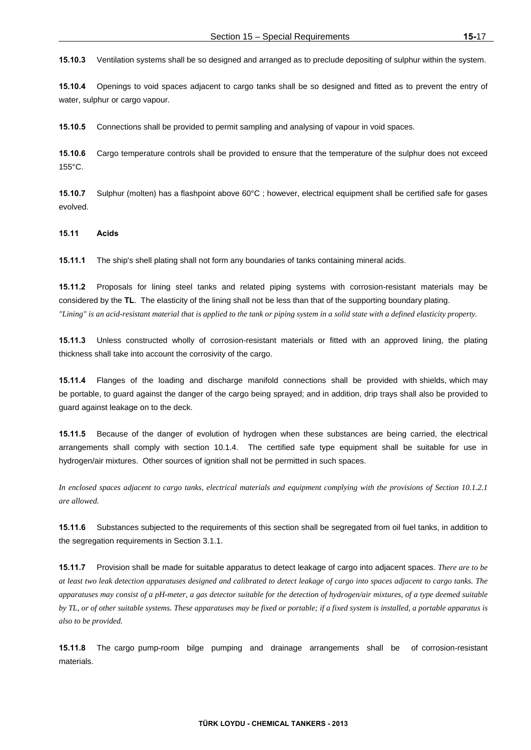**15.10.3** Ventilation systems shall be so designed and arranged as to preclude depositing of sulphur within the system.

**15.10.4** Openings to void spaces adjacent to cargo tanks shall be so designed and fitted as to prevent the entry of water, sulphur or cargo vapour.

**15.10.5** Connections shall be provided to permit sampling and analysing of vapour in void spaces.

**15.10.6** Cargo temperature controls shall be provided to ensure that the temperature of the sulphur does not exceed 155°C.

**15.10.7** Sulphur (molten) has a flashpoint above 60°C ; however, electrical equipment shall be certified safe for gases evolved.

**15.11 Acids** 

**15.11.1** The ship's shell plating shall not form any boundaries of tanks containing mineral acids.

**15.11.2** Proposals for lining steel tanks and related piping systems with corrosion-resistant materials may be considered by the **TL**. The elasticity of the lining shall not be less than that of the supporting boundary plating. *"Lining" is an acid-resistant material that is applied to the tank or piping system in a solid state with a defined elasticity property.* 

**15.11.3** Unless constructed wholly of corrosion-resistant materials or fitted with an approved lining, the plating thickness shall take into account the corrosivity of the cargo.

**15.11.4** Flanges of the loading and discharge manifold connections shall be provided with shields, which may be portable, to guard against the danger of the cargo being sprayed; and in addition, drip trays shall also be provided to guard against leakage on to the deck.

**15.11.5** Because of the danger of evolution of hydrogen when these substances are being carried, the electrical arrangements shall comply with section 10.1.4. The certified safe type equipment shall be suitable for use in hydrogen/air mixtures. Other sources of ignition shall not be permitted in such spaces.

*In enclosed spaces adjacent to cargo tanks, electrical materials and equipment complying with the provisions of Section 10.1.2.1 are allowed.* 

**15.11.6** Substances subjected to the requirements of this section shall be segregated from oil fuel tanks, in addition to the segregation requirements in Section 3.1.1.

**15.11.7** Provision shall be made for suitable apparatus to detect leakage of cargo into adjacent spaces. *There are to be at least two leak detection apparatuses designed and calibrated to detect leakage of cargo into spaces adjacent to cargo tanks. The apparatuses may consist of a pH-meter, a gas detector suitable for the detection of hydrogen/air mixtures, of a type deemed suitable by TL, or of other suitable systems. These apparatuses may be fixed or portable; if a fixed system is installed, a portable apparatus is also to be provided.*

**15.11.8** The cargo pump-room bilge pumping and drainage arrangements shall be of corrosion-resistant materials.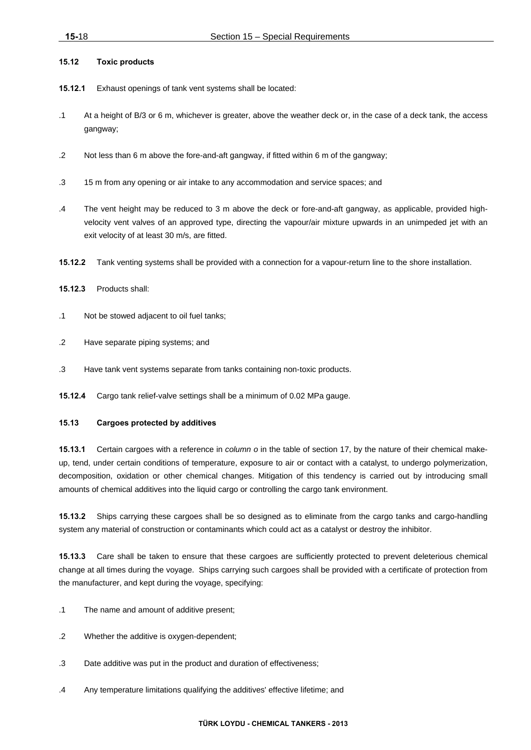### **15.12 Toxic products**

- **15.12.1** Exhaust openings of tank vent systems shall be located:
- .1 At a height of B/3 or 6 m, whichever is greater, above the weather deck or, in the case of a deck tank, the access gangway;
- .2 Not less than 6 m above the fore-and-aft gangway, if fitted within 6 m of the gangway;
- .3 15 m from any opening or air intake to any accommodation and service spaces; and
- .4 The vent height may be reduced to 3 m above the deck or fore-and-aft gangway, as applicable, provided highvelocity vent valves of an approved type, directing the vapour/air mixture upwards in an unimpeded jet with an exit velocity of at least 30 m/s, are fitted.
- **15.12.2** Tank venting systems shall be provided with a connection for a vapour-return line to the shore installation.
- **15.12.3** Products shall:
- .1 Not be stowed adjacent to oil fuel tanks;
- .2 Have separate piping systems; and
- .3 Have tank vent systems separate from tanks containing non-toxic products.

**15.12.4** Cargo tank relief-valve settings shall be a minimum of 0.02 MPa gauge.

#### **15.13 Cargoes protected by additives**

**15.13.1** Certain cargoes with a reference in *column o* in the table of section 17, by the nature of their chemical makeup, tend, under certain conditions of temperature, exposure to air or contact with a catalyst, to undergo polymerization, decomposition, oxidation or other chemical changes. Mitigation of this tendency is carried out by introducing small amounts of chemical additives into the liquid cargo or controlling the cargo tank environment.

**15.13.2** Ships carrying these cargoes shall be so designed as to eliminate from the cargo tanks and cargo-handling system any material of construction or contaminants which could act as a catalyst or destroy the inhibitor.

**15.13.3** Care shall be taken to ensure that these cargoes are sufficiently protected to prevent deleterious chemical change at all times during the voyage. Ships carrying such cargoes shall be provided with a certificate of protection from the manufacturer, and kept during the voyage, specifying:

- .1 The name and amount of additive present;
- .2 Whether the additive is oxygen-dependent;
- .3 Date additive was put in the product and duration of effectiveness;
- .4 Any temperature limitations qualifying the additives' effective lifetime; and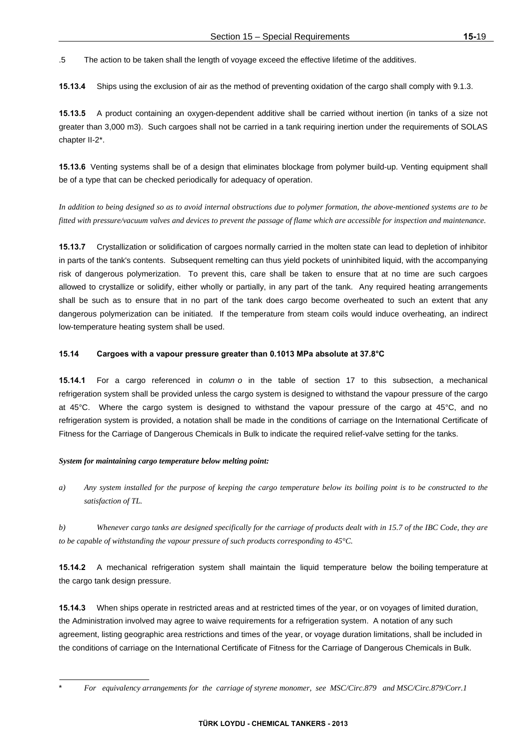.5 The action to be taken shall the length of voyage exceed the effective lifetime of the additives.

**15.13.4** Ships using the exclusion of air as the method of preventing oxidation of the cargo shall comply with 9.1.3.

**15.13.5** A product containing an oxygen-dependent additive shall be carried without inertion (in tanks of a size not greater than 3,000 m3). Such cargoes shall not be carried in a tank requiring inertion under the requirements of SOLAS chapter II-2\*.

**15.13.6** Venting systems shall be of a design that eliminates blockage from polymer build-up. Venting equipment shall be of a type that can be checked periodically for adequacy of operation.

*In addition to being designed so as to avoid internal obstructions due to polymer formation, the above-mentioned systems are to be fitted with pressure/vacuum valves and devices to prevent the passage of flame which are accessible for inspection and maintenance.*

**15.13.7** Crystallization or solidification of cargoes normally carried in the molten state can lead to depletion of inhibitor in parts of the tank's contents. Subsequent remelting can thus yield pockets of uninhibited liquid, with the accompanying risk of dangerous polymerization. To prevent this, care shall be taken to ensure that at no time are such cargoes allowed to crystallize or solidify, either wholly or partially, in any part of the tank. Any required heating arrangements shall be such as to ensure that in no part of the tank does cargo become overheated to such an extent that any dangerous polymerization can be initiated. If the temperature from steam coils would induce overheating, an indirect low-temperature heating system shall be used.

### **15.14 Cargoes with a vapour pressure greater than 0.1013 MPa absolute at 37.8°C**

**15.14.1** For a cargo referenced in *column o* in the table of section 17 to this subsection, a mechanical refrigeration system shall be provided unless the cargo system is designed to withstand the vapour pressure of the cargo at 45°C. Where the cargo system is designed to withstand the vapour pressure of the cargo at 45°C, and no refrigeration system is provided, a notation shall be made in the conditions of carriage on the International Certificate of Fitness for the Carriage of Dangerous Chemicals in Bulk to indicate the required relief-valve setting for the tanks.

#### *System for maintaining cargo temperature below melting point:*

*a) Any system installed for the purpose of keeping the cargo temperature below its boiling point is to be constructed to the satisfaction of TL.* 

*b) Whenever cargo tanks are designed specifically for the carriage of products dealt with in 15.7 of the IBC Code, they are to be capable of withstanding the vapour pressure of such products corresponding to 45°C.* 

**15.14.2** A mechanical refrigeration system shall maintain the liquid temperature below the boiling temperature at the cargo tank design pressure.

**15.14.3** When ships operate in restricted areas and at restricted times of the year, or on voyages of limited duration, the Administration involved may agree to waive requirements for a refrigeration system. A notation of any such agreement, listing geographic area restrictions and times of the year, or voyage duration limitations, shall be included in the conditions of carriage on the International Certificate of Fitness for the Carriage of Dangerous Chemicals in Bulk.

<sup>\*</sup> *For equivalency arrangements for the carriage of styrene monomer, see MSC/Circ.879 and MSC/Circ.879/Corr.1*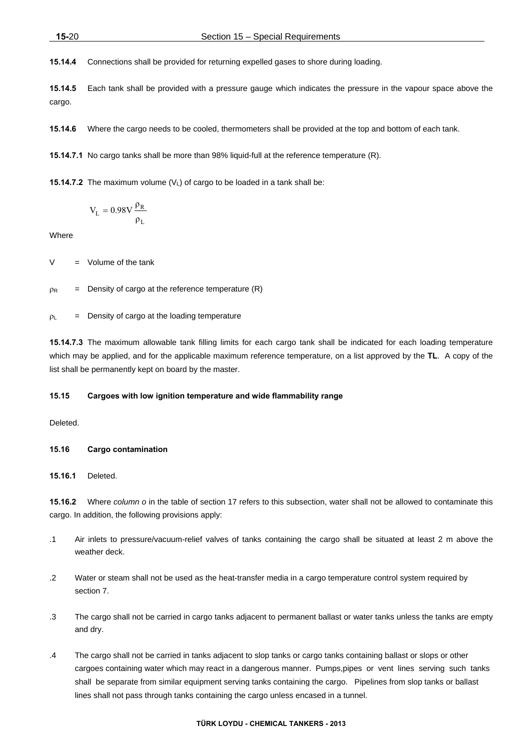**15.14.4** Connections shall be provided for returning expelled gases to shore during loading.

**15.14.5** Each tank shall be provided with a pressure gauge which indicates the pressure in the vapour space above the cargo.

**15.14.6** Where the cargo needs to be cooled, thermometers shall be provided at the top and bottom of each tank.

**15.14.7.1** No cargo tanks shall be more than 98% liquid-full at the reference temperature (R).

**15.14.7.2** The maximum volume  $(V<sub>1</sub>)$  of cargo to be loaded in a tank shall be:

$$
V_L=0.98V\frac{\rho_R}{\rho_L}
$$

**Where** 

 $V = Volume of the tank$ 

 $p_R$  = Density of cargo at the reference temperature (R)

 $p_L$  = Density of cargo at the loading temperature

**15.14.7.3** The maximum allowable tank filling limits for each cargo tank shall be indicated for each loading temperature which may be applied, and for the applicable maximum reference temperature, on a list approved by the **TL**. A copy of the list shall be permanently kept on board by the master.

### **15.15 Cargoes with low ignition temperature and wide flammability range**

Deleted.

#### **15.16 Cargo contamination**

# **15.16.1** Deleted.

**15.16.2** Where *column o* in the table of section 17 refers to this subsection, water shall not be allowed to contaminate this cargo. In addition, the following provisions apply:

- .1 Air inlets to pressure/vacuum-relief valves of tanks containing the cargo shall be situated at least 2 m above the weather deck.
- .2 Water or steam shall not be used as the heat-transfer media in a cargo temperature control system required by section 7.
- .3 The cargo shall not be carried in cargo tanks adjacent to permanent ballast or water tanks unless the tanks are empty and dry.
- .4 The cargo shall not be carried in tanks adjacent to slop tanks or cargo tanks containing ballast or slops or other cargoes containing water which may react in a dangerous manner. Pumps,pipes or vent lines serving such tanks shall be separate from similar equipment serving tanks containing the cargo. Pipelines from slop tanks or ballast lines shall not pass through tanks containing the cargo unless encased in a tunnel.

#### **TÜRK LOYDU - CHEMICAL TANKERS - 2013**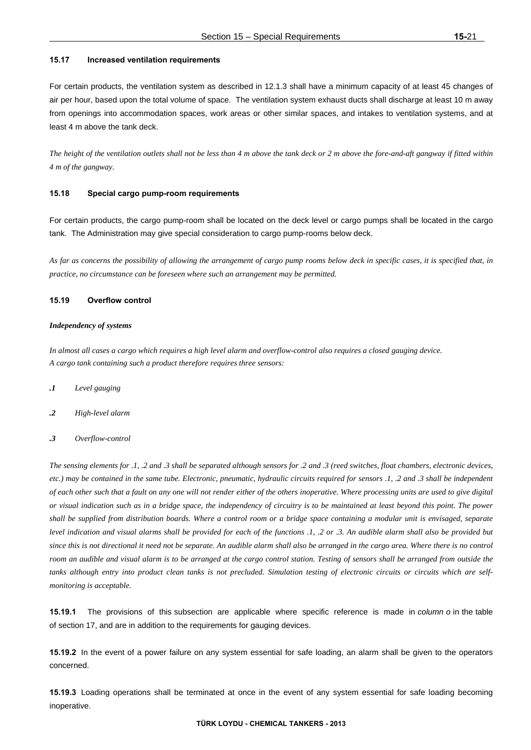#### **15.17 Increased ventilation requirements**

For certain products, the ventilation system as described in 12.1.3 shall have a minimum capacity of at least 45 changes of air per hour, based upon the total volume of space. The ventilation system exhaust ducts shall discharge at least 10 m away from openings into accommodation spaces, work areas or other similar spaces, and intakes to ventilation systems, and at least 4 m above the tank deck.

*The height of the ventilation outlets shall not be less than 4 m above the tank deck or 2 m above the fore-and-aft gangway if fitted within 4 m of the gangway.* 

# **15.18 Special cargo pump-room requirements**

For certain products, the cargo pump-room shall be located on the deck level or cargo pumps shall be located in the cargo tank. The Administration may give special consideration to cargo pump-rooms below deck.

*As far as concerns the possibility of allowing the arrangement of cargo pump rooms below deck in specific cases, it is specified that, in practice, no circumstance can be foreseen where such an arrangement may be permitted.* 

#### **15.19 Overflow control**

# *Independency of systems*

*In almost all cases a cargo which requires a high level alarm and overflow-control also requires a closed gauging device. A cargo tank containing such a product therefore requires three sensors:* 

- *.1 Level gauging*
- *.2 High-level alarm*
- *.3 Overflow-control*

*The sensing elements for .1, .2 and .3 shall be separated although sensors for .2 and .3 (reed switches, float chambers, electronic devices, etc.) may be contained in the same tube. Electronic, pneumatic, hydraulic circuits required for sensors .1, .2 and .3 shall be independent of each other such that a fault on any one will not render either of the others inoperative. Where processing units are used to give digital or visual indication such as in a bridge space, the independency of circuitry is to be maintained at least beyond this point. The power shall be supplied from distribution boards. Where a control room or a bridge space containing a modular unit is envisaged, separate level indication and visual alarms shall be provided for each of the functions .1, .2 or .3. An audible alarm shall also be provided but since this is not directional it need not be separate. An audible alarm shall also be arranged in the cargo area. Where there is no control*  room an audible and visual alarm is to be arranged at the cargo control station. Testing of sensors shall be arranged from outside the *tanks although entry into product clean tanks is not precluded. Simulation testing of electronic circuits or circuits which are selfmonitoring is acceptable.* 

**15.19.1** The provisions of this subsection are applicable where specific reference is made in *column o* in the table of section 17, and are in addition to the requirements for gauging devices.

**15.19.2** In the event of a power failure on any system essential for safe loading, an alarm shall be given to the operators concerned.

**15.19.3** Loading operations shall be terminated at once in the event of any system essential for safe loading becoming inoperative.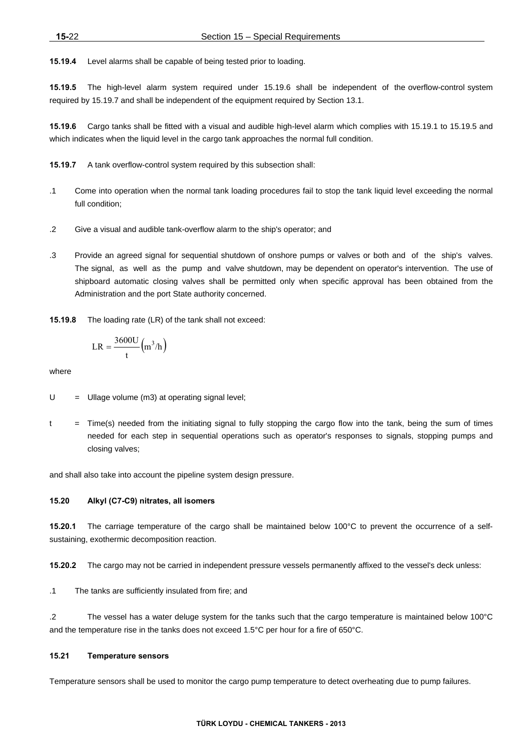**15.19.4** Level alarms shall be capable of being tested prior to loading.

**15.19.5** The high-level alarm system required under 15.19.6 shall be independent of the overflow-control system required by 15.19.7 and shall be independent of the equipment required by Section 13.1.

**15.19.6** Cargo tanks shall be fitted with a visual and audible high-level alarm which complies with 15.19.1 to 15.19.5 and which indicates when the liquid level in the cargo tank approaches the normal full condition.

**15.19.7** A tank overflow-control system required by this subsection shall:

- .1 Come into operation when the normal tank loading procedures fail to stop the tank liquid level exceeding the normal full condition:
- .2 Give a visual and audible tank-overflow alarm to the ship's operator; and
- .3 Provide an agreed signal for sequential shutdown of onshore pumps or valves or both and of the ship's valves. The signal, as well as the pump and valve shutdown, may be dependent on operator's intervention. The use of shipboard automatic closing valves shall be permitted only when specific approval has been obtained from the Administration and the port State authority concerned.

**15.19.8** The loading rate (LR) of the tank shall not exceed:

$$
LR = \frac{3600U}{t} (m^3/h)
$$

where

- $U =$  Ullage volume (m3) at operating signal level:
- $t =$  Time(s) needed from the initiating signal to fully stopping the cargo flow into the tank, being the sum of times needed for each step in sequential operations such as operator's responses to signals, stopping pumps and closing valves;

and shall also take into account the pipeline system design pressure.

### **15.20 Alkyl (C7-C9) nitrates, all isomers**

**15.20.1** The carriage temperature of the cargo shall be maintained below 100°C to prevent the occurrence of a selfsustaining, exothermic decomposition reaction.

**15.20.2** The cargo may not be carried in independent pressure vessels permanently affixed to the vessel's deck unless:

.1 The tanks are sufficiently insulated from fire; and

.2 The vessel has a water deluge system for the tanks such that the cargo temperature is maintained below 100°C and the temperature rise in the tanks does not exceed 1.5°C per hour for a fire of 650°C.

#### **15.21 Temperature sensors**

Temperature sensors shall be used to monitor the cargo pump temperature to detect overheating due to pump failures.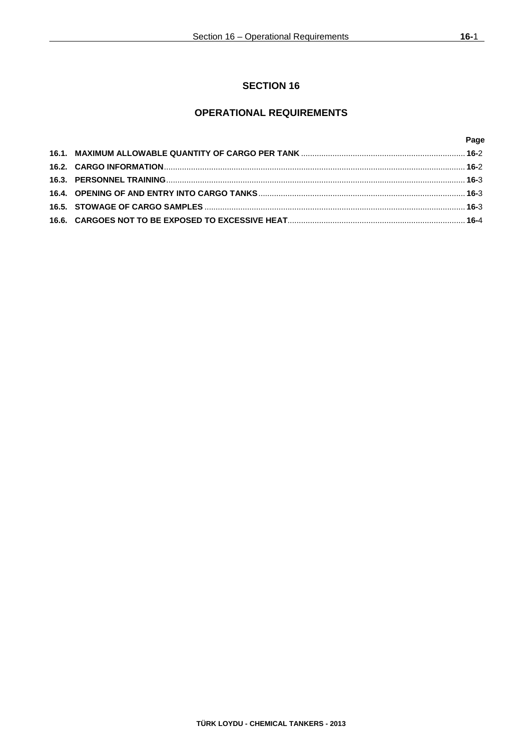# **OPERATIONAL REQUIREMENTS**

|  | Page |
|--|------|
|  |      |
|  |      |
|  |      |
|  |      |
|  |      |
|  |      |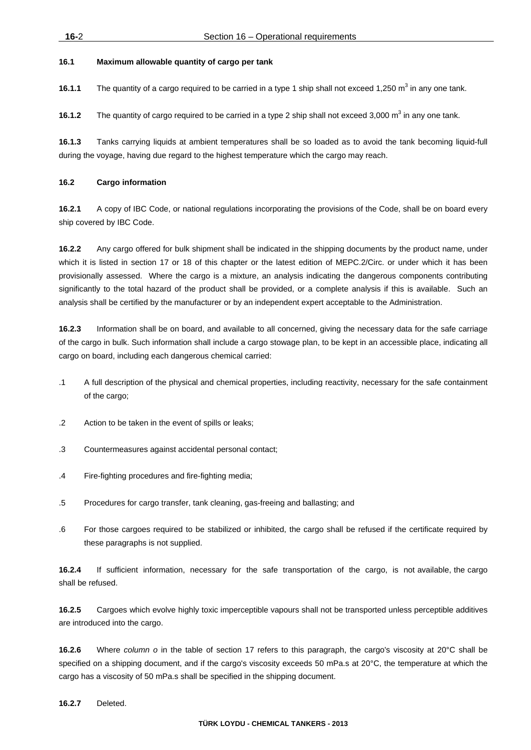# **16.1 Maximum allowable quantity of cargo per tank**

**16.1.1** The quantity of a cargo required to be carried in a type 1 ship shall not exceed 1,250 m<sup>3</sup> in any one tank.

**16.1.2** The quantity of cargo required to be carried in a type 2 ship shall not exceed 3,000 m<sup>3</sup> in any one tank.

**16.1.3** Tanks carrying liquids at ambient temperatures shall be so loaded as to avoid the tank becoming liquid-full during the voyage, having due regard to the highest temperature which the cargo may reach.

# **16.2 Cargo information**

**16.2.1** A copy of IBC Code, or national regulations incorporating the provisions of the Code, shall be on board every ship covered by IBC Code.

**16.2.2** Any cargo offered for bulk shipment shall be indicated in the shipping documents by the product name, under which it is listed in section 17 or 18 of this chapter or the latest edition of MEPC.2/Circ. or under which it has been provisionally assessed. Where the cargo is a mixture, an analysis indicating the dangerous components contributing significantly to the total hazard of the product shall be provided, or a complete analysis if this is available. Such an analysis shall be certified by the manufacturer or by an independent expert acceptable to the Administration.

**16.2.3** Information shall be on board, and available to all concerned, giving the necessary data for the safe carriage of the cargo in bulk. Such information shall include a cargo stowage plan, to be kept in an accessible place, indicating all cargo on board, including each dangerous chemical carried:

- .1 A full description of the physical and chemical properties, including reactivity, necessary for the safe containment of the cargo;
- .2 Action to be taken in the event of spills or leaks;
- .3 Countermeasures against accidental personal contact;
- .4 Fire-fighting procedures and fire-fighting media;
- .5 Procedures for cargo transfer, tank cleaning, gas-freeing and ballasting; and
- .6 For those cargoes required to be stabilized or inhibited, the cargo shall be refused if the certificate required by these paragraphs is not supplied.

**16.2.4** If sufficient information, necessary for the safe transportation of the cargo, is not available, the cargo shall be refused.

**16.2.5** Cargoes which evolve highly toxic imperceptible vapours shall not be transported unless perceptible additives are introduced into the cargo.

**16.2.6** Where *column o* in the table of section 17 refers to this paragraph, the cargo's viscosity at 20°C shall be specified on a shipping document, and if the cargo's viscosity exceeds 50 mPa.s at 20°C, the temperature at which the cargo has a viscosity of 50 mPa.s shall be specified in the shipping document.

**16.2.7** Deleted.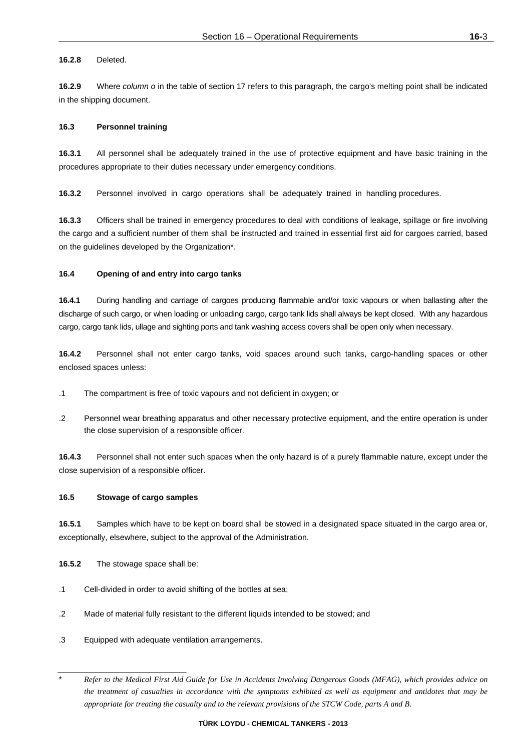# **16.2.8** Deleted.

**16.2.9** Where *column o* in the table of section 17 refers to this paragraph, the cargo's melting point shall be indicated in the shipping document.

# **16.3 Personnel training**

**16.3.1** All personnel shall be adequately trained in the use of protective equipment and have basic training in the procedures appropriate to their duties necessary under emergency conditions.

**16.3.2** Personnel involved in cargo operations shall be adequately trained in handling procedures.

**16.3.3** Officers shall be trained in emergency procedures to deal with conditions of leakage, spillage or fire involving the cargo and a sufficient number of them shall be instructed and trained in essential first aid for cargoes carried, based on the guidelines developed by the Organization\*.

# **16.4 Opening of and entry into cargo tanks**

**16.4.1** During handling and carriage of cargoes producing flammable and/or toxic vapours or when ballasting after the discharge of such cargo, or when loading or unloading cargo, cargo tank lids shall always be kept closed. With any hazardous cargo, cargo tank lids, ullage and sighting ports and tank washing access covers shall be open only when necessary.

**16.4.2** Personnel shall not enter cargo tanks, void spaces around such tanks, cargo-handling spaces or other enclosed spaces unless:

- .1 The compartment is free of toxic vapours and not deficient in oxygen; or
- .2 Personnel wear breathing apparatus and other necessary protective equipment, and the entire operation is under the close supervision of a responsible officer.

**16.4.3** Personnel shall not enter such spaces when the only hazard is of a purely flammable nature, except under the close supervision of a responsible officer.

# **16.5 Stowage of cargo samples**

**16.5.1** Samples which have to be kept on board shall be stowed in a designated space situated in the cargo area or, exceptionally, elsewhere, subject to the approval of the Administration.

**16.5.2** The stowage space shall be:

- .1 Cell-divided in order to avoid shifting of the bottles at sea;
- .2 Made of material fully resistant to the different liquids intended to be stowed; and
- .3 Equipped with adequate ventilation arrangements.

\* *Refer to the Medical First Aid Guide for Use in Accidents Involving Dangerous Goods (MFAG), which provides advice on the treatment of casualties in accordance with the symptoms exhibited as well as equipment and antidotes that may be appropriate for treating the casualty and to the relevant provisions of the STCW Code, parts A and B.*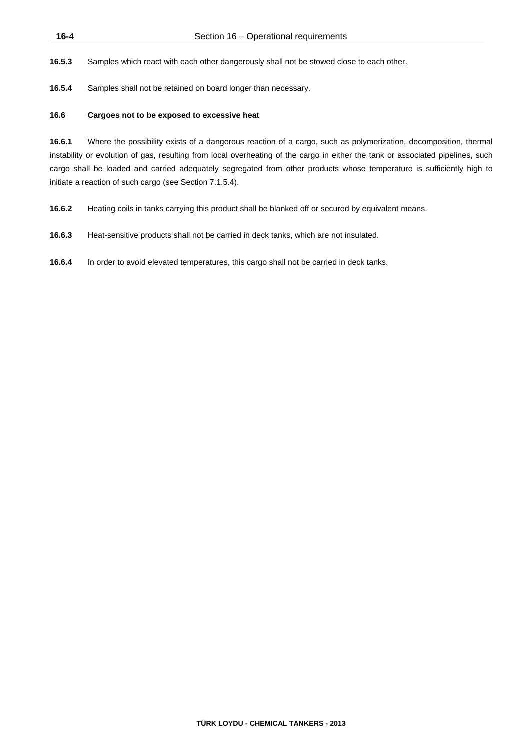**16.5.3** Samples which react with each other dangerously shall not be stowed close to each other.

**16.5.4** Samples shall not be retained on board longer than necessary.

### **16.6 Cargoes not to be exposed to excessive heat**

**16.6.1** Where the possibility exists of a dangerous reaction of a cargo, such as polymerization, decomposition, thermal instability or evolution of gas, resulting from local overheating of the cargo in either the tank or associated pipelines, such cargo shall be loaded and carried adequately segregated from other products whose temperature is sufficiently high to initiate a reaction of such cargo (see Section 7.1.5.4).

**16.6.2** Heating coils in tanks carrying this product shall be blanked off or secured by equivalent means.

**16.6.3** Heat-sensitive products shall not be carried in deck tanks, which are not insulated.

**16.6.4** In order to avoid elevated temperatures, this cargo shall not be carried in deck tanks.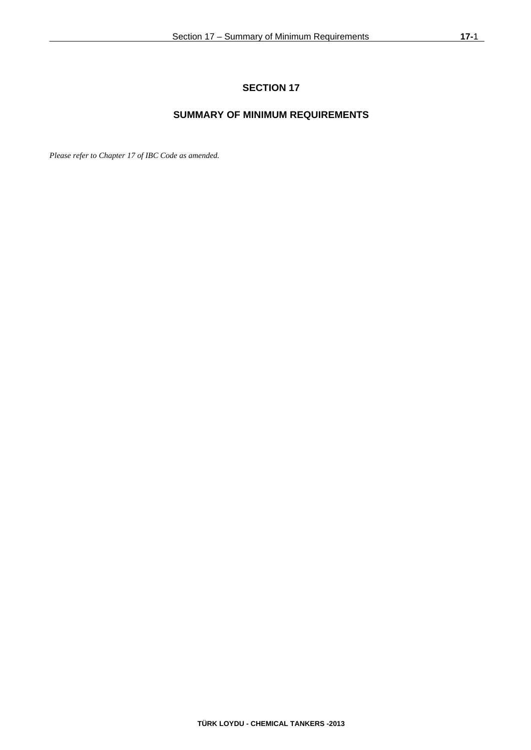# **SUMMARY OF MINIMUM REQUIREMENTS**

*Please refer to Chapter 17 of IBC Code as amended.*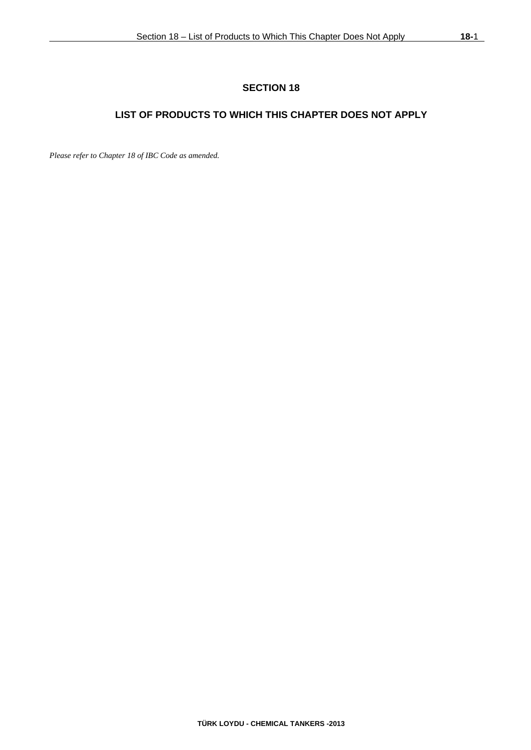# **LIST OF PRODUCTS TO WHICH THIS CHAPTER DOES NOT APPLY**

*Please refer to Chapter 18 of IBC Code as amended.*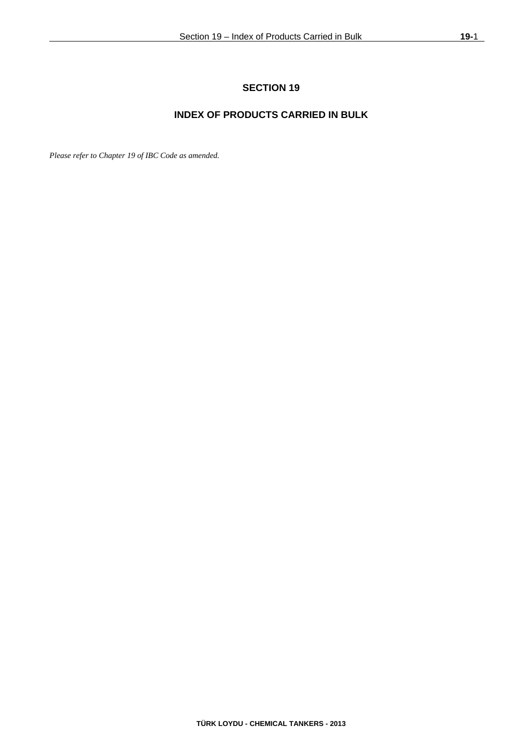# **INDEX OF PRODUCTS CARRIED IN BULK**

*Please refer to Chapter 19 of IBC Code as amended.*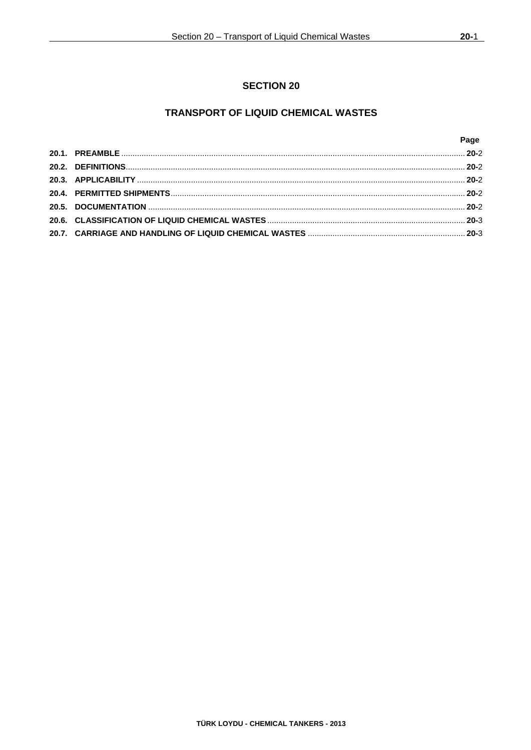# **TRANSPORT OF LIQUID CHEMICAL WASTES**

|  | Page |
|--|------|
|  |      |
|  |      |
|  |      |
|  |      |
|  |      |
|  |      |
|  |      |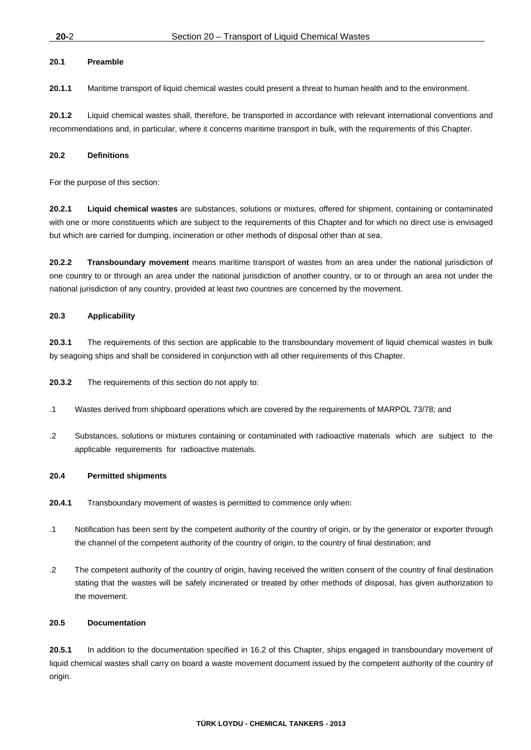# **20.1 Preamble**

**20.1.1** Maritime transport of liquid chemical wastes could present a threat to human health and to the environment.

**20.1.2** Liquid chemical wastes shall, therefore, be transported in accordance with relevant international conventions and recommendations and, in particular, where it concerns maritime transport in bulk, with the requirements of this Chapter.

# **20.2 Definitions**

For the purpose of this section:

**20.2.1 Liquid chemical wastes** are substances, solutions or mixtures, offered for shipment, containing or contaminated with one or more constituents which are subject to the requirements of this Chapter and for which no direct use is envisaged but which are carried for dumping, incineration or other methods of disposal other than at sea.

**20.2.2 Transboundary movement** means maritime transport of wastes from an area under the national jurisdiction of one country to or through an area under the national jurisdiction of another country, or to or through an area not under the national jurisdiction of any country, provided at least two countries are concerned by the movement.

# **20.3 Applicability**

**20.3.1** The requirements of this section are applicable to the transboundary movement of liquid chemical wastes in bulk by seagoing ships and shall be considered in conjunction with all other requirements of this Chapter.

**20.3.2** The requirements of this section do not apply to:

- .1 Wastes derived from shipboard operations which are covered by the requirements of MARPOL 73/78; and
- .2 Substances, solutions or mixtures containing or contaminated with radioactive materials which are subject to the applicable requirements for radioactive materials.

# **20.4 Permitted shipments**

- **20.4.1** Transboundary movement of wastes is permitted to commence only when:
- .1 Notification has been sent by the competent authority of the country of origin, or by the generator or exporter through the channel of the competent authority of the country of origin, to the country of final destination; and
- .2 The competent authority of the country of origin, having received the written consent of the country of final destination stating that the wastes will be safely incinerated or treated by other methods of disposal, has given authorization to the movement.

#### **20.5 Documentation**

**20.5.1** In addition to the documentation specified in 16.2 of this Chapter, ships engaged in transboundary movement of liquid chemical wastes shall carry on board a waste movement document issued by the competent authority of the country of origin.

**TÜRK LOYDU - CHEMICAL TANKERS - 2013**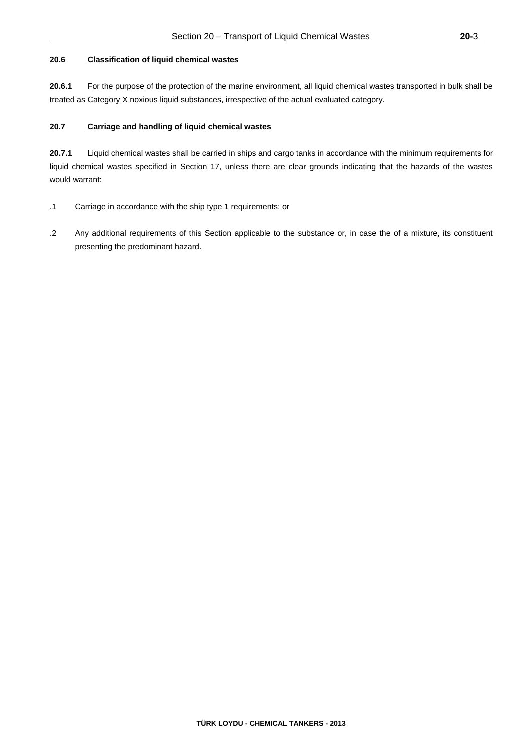# **20.6 Classification of liquid chemical wastes**

**20.6.1** For the purpose of the protection of the marine environment, all liquid chemical wastes transported in bulk shall be treated as Category X noxious liquid substances, irrespective of the actual evaluated category.

# **20.7 Carriage and handling of liquid chemical wastes**

**20.7.1** Liquid chemical wastes shall be carried in ships and cargo tanks in accordance with the minimum requirements for liquid chemical wastes specified in Section 17, unless there are clear grounds indicating that the hazards of the wastes would warrant:

- .1 Carriage in accordance with the ship type 1 requirements; or
- .2 Any additional requirements of this Section applicable to the substance or, in case the of a mixture, its constituent presenting the predominant hazard.